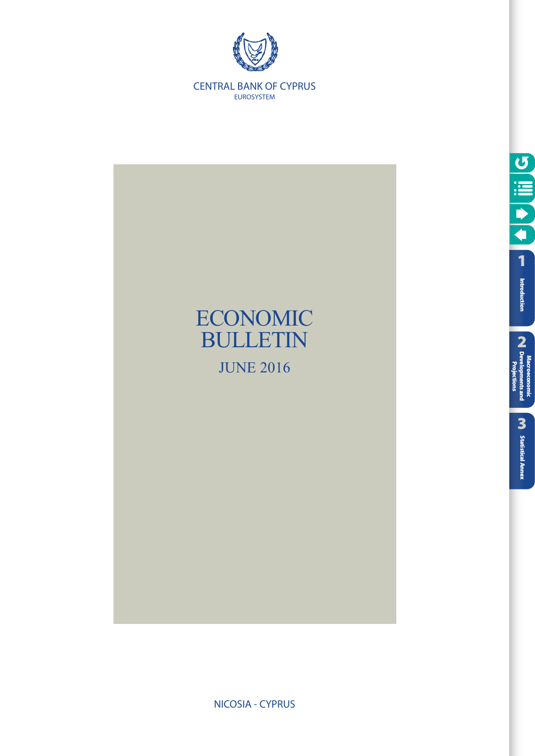



NICOSIA - CYPRUS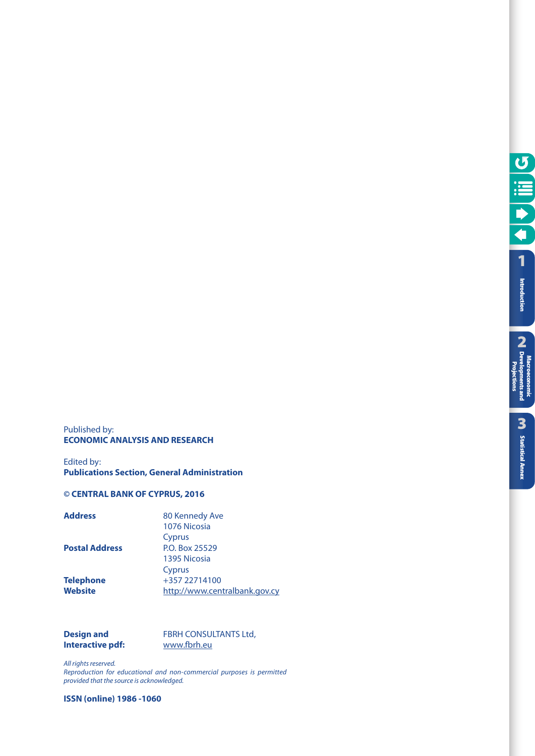**Macroeconomic Developments and Projections**

Projections

#### Published by: **ECONOMIC ANALYSIS AND RESEARCH**

Edited by: **Publications Section, General Administration** 

#### **© CENTRAL BANK OF CYPRUS, 2016**

| 80 Kennedy Ave                |
|-------------------------------|
| 1076 Nicosia<br>Cyprus        |
|                               |
| P.O. Box 25529                |
| 1395 Nicosia                  |
| Cyprus                        |
| +357 22714100                 |
| http://www.centralbank.gov.cy |
|                               |

#### **Design and FBRH CONSULTANTS Ltd, Interactive pdf:** .fbrh .eu

*All rights reserved.*

*Reproduction for educational and non-commercial purposes is permitted provided that the source is acknowledged.*

**ISSN (online) 1986 -1060**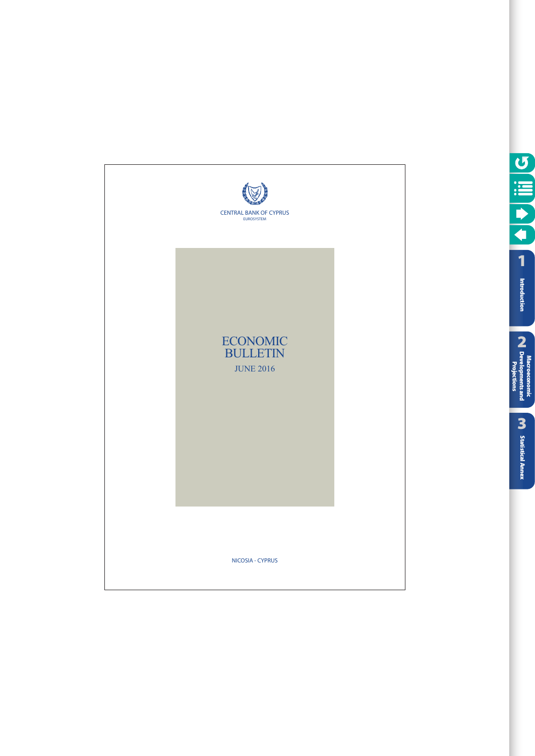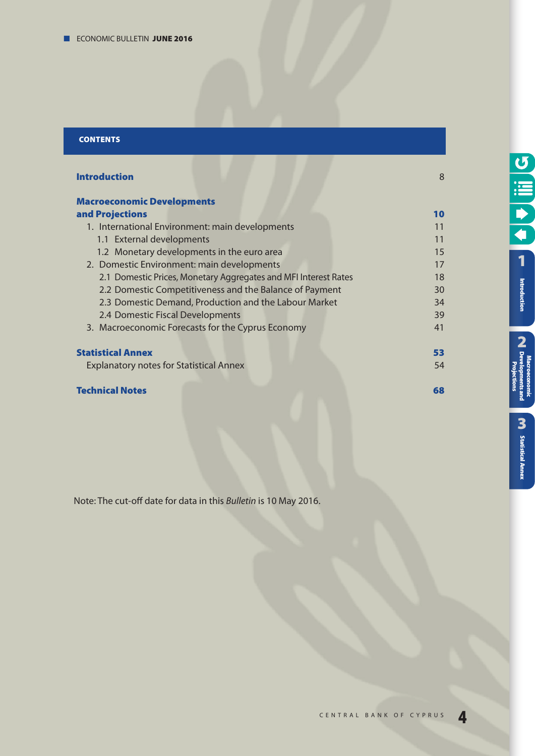#### **CONTENTS**

| <b>Introduction</b>                                             | 8  |
|-----------------------------------------------------------------|----|
| <b>Macroeconomic Developments</b>                               |    |
| and Projections                                                 | 10 |
| 1. International Environment: main developments                 | 11 |
| 1.1 External developments                                       | 11 |
| 1.2 Monetary developments in the euro area                      | 15 |
| 2. Domestic Environment: main developments                      | 17 |
| 2.1 Domestic Prices, Monetary Aggregates and MFI Interest Rates | 18 |
| 2.2 Domestic Competitiveness and the Balance of Payment         | 30 |
| 2.3 Domestic Demand, Production and the Labour Market           | 34 |
| 2.4 Domestic Fiscal Developments                                | 39 |
| 3. Macroeconomic Forecasts for the Cyprus Economy               | 41 |
| <b>Statistical Annex</b>                                        | 53 |
| <b>Explanatory notes for Statistical Annex</b>                  | 54 |
| <b>Technical Notes</b>                                          | 68 |

Note: The cut-off date for data in this Bulletin is 10 May 2016.

**[1](#page-7-0)**

O III O

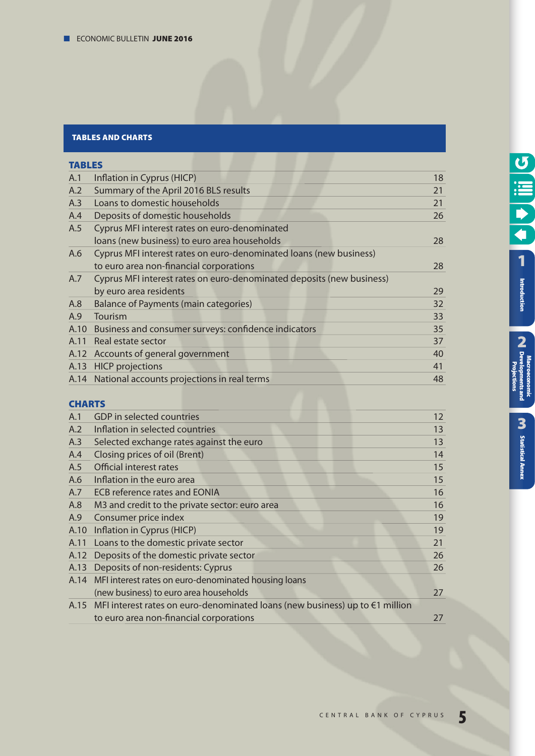#### **TABLES AND CHARTS**

| <b>TABLES</b> |                                                                       |    |
|---------------|-----------------------------------------------------------------------|----|
| A.1           | Inflation in Cyprus (HICP)                                            | 18 |
| A.2           | Summary of the April 2016 BLS results                                 | 21 |
| A.3           | Loans to domestic households                                          | 21 |
| A.4           | Deposits of domestic households                                       | 26 |
| A.5           | Cyprus MFI interest rates on euro-denominated                         |    |
|               | loans (new business) to euro area households                          | 28 |
| A.6           | Cyprus MFI interest rates on euro-denominated loans (new business)    |    |
|               | to euro area non-financial corporations                               | 28 |
| A.7           | Cyprus MFI interest rates on euro-denominated deposits (new business) |    |
|               | by euro area residents                                                | 29 |
| A.8           | <b>Balance of Payments (main categories)</b>                          | 32 |
| A.9           | Tourism                                                               | 33 |
| A.10          | Business and consumer surveys: confidence indicators                  | 35 |
| A.11          | Real estate sector                                                    | 37 |
|               | A.12 Accounts of general government                                   | 40 |
|               | A.13 HICP projections                                                 | 41 |
|               | A.14 National accounts projections in real terms                      | 48 |
|               |                                                                       |    |

#### **CHARTS**

| A.1  | GDP in selected countries                                                         | 12 |
|------|-----------------------------------------------------------------------------------|----|
| A.2  | Inflation in selected countries                                                   | 13 |
| A.3  | Selected exchange rates against the euro                                          | 13 |
| A.4  | Closing prices of oil (Brent)                                                     | 14 |
| A.5  | <b>Official interest rates</b>                                                    | 15 |
| A.6  | Inflation in the euro area                                                        | 15 |
| A.7  | <b>ECB</b> reference rates and <b>EONIA</b>                                       | 16 |
| A.8  | M3 and credit to the private sector: euro area                                    | 16 |
| A.9  | Consumer price index                                                              | 19 |
| A.10 | Inflation in Cyprus (HICP)                                                        | 19 |
| A.11 | Loans to the domestic private sector                                              | 21 |
| A.12 | Deposits of the domestic private sector                                           | 26 |
| A.13 | Deposits of non-residents: Cyprus                                                 | 26 |
| A.14 | MFI interest rates on euro-denominated housing loans                              |    |
|      | (new business) to euro area households                                            | 27 |
|      | A.15 MFI interest rates on euro-denominated loans (new business) up to €1 million |    |
|      | to euro area non-financial corporations                                           | 27 |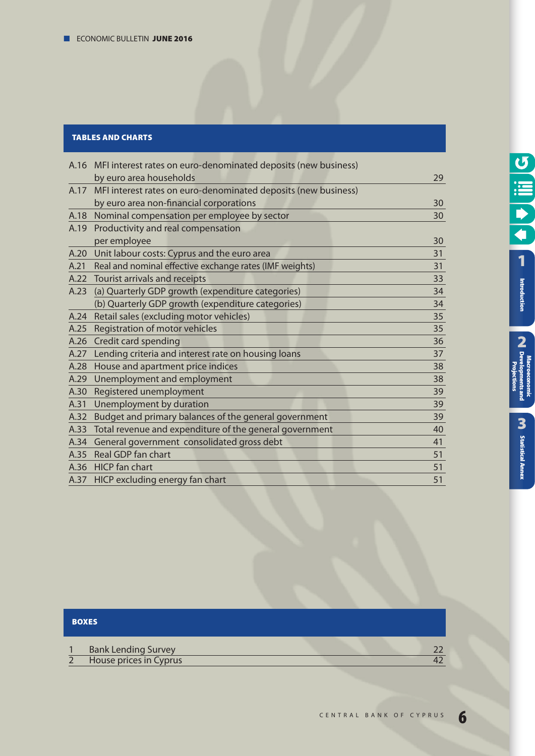#### **TABLES AND CHARTS**

|      | A.16 MFI interest rates on euro-denominated deposits (new business) |    |
|------|---------------------------------------------------------------------|----|
|      | by euro area households                                             | 29 |
| A.17 | MFI interest rates on euro-denominated deposits (new business)      |    |
|      | by euro area non-financial corporations                             | 30 |
| A.18 | Nominal compensation per employee by sector                         | 30 |
| A.19 | Productivity and real compensation                                  |    |
|      | per employee                                                        | 30 |
| A.20 | Unit labour costs: Cyprus and the euro area                         | 31 |
| A.21 | Real and nominal effective exchange rates (IMF weights)             | 31 |
| A.22 | Tourist arrivals and receipts                                       | 33 |
| A.23 | (a) Quarterly GDP growth (expenditure categories)                   | 34 |
|      | (b) Quarterly GDP growth (expenditure categories)                   | 34 |
| A.24 | Retail sales (excluding motor vehicles)                             | 35 |
| A.25 | Registration of motor vehicles                                      | 35 |
| A.26 | Credit card spending                                                | 36 |
| A.27 | Lending criteria and interest rate on housing loans                 | 37 |
| A.28 | House and apartment price indices                                   | 38 |
| A.29 | Unemployment and employment                                         | 38 |
| A.30 | Registered unemployment                                             | 39 |
| A.31 | Unemployment by duration                                            | 39 |
| A.32 | Budget and primary balances of the general government               | 39 |
| A.33 | Total revenue and expenditure of the general government             | 40 |
| A.34 | General government consolidated gross debt                          | 41 |
| A.35 | Real GDP fan chart                                                  | 51 |
|      | A.36 HICP fan chart                                                 | 51 |
|      | A.37 HICP excluding energy fan chart                                | 51 |
|      |                                                                     |    |

### **BOXES**

| <b>Bank Lending Survey</b> |  |
|----------------------------|--|
| House prices in Cyprus     |  |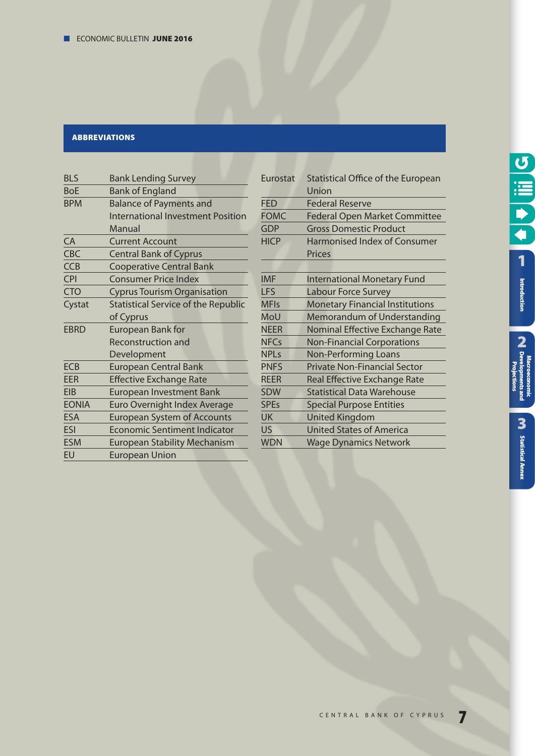#### **ABBREvIATIONS**

| <b>BLS</b>                                           | <b>Bank Lending Survey</b>               |  |  |  |  |
|------------------------------------------------------|------------------------------------------|--|--|--|--|
| <b>BoE</b>                                           | <b>Bank of England</b>                   |  |  |  |  |
| <b>BPM</b>                                           | <b>Balance of Payments and</b>           |  |  |  |  |
|                                                      | <b>International Investment Position</b> |  |  |  |  |
|                                                      | Manual                                   |  |  |  |  |
| CA                                                   | <b>Current Account</b>                   |  |  |  |  |
| <b>CBC</b>                                           | <b>Central Bank of Cyprus</b>            |  |  |  |  |
| <b>CCB</b>                                           | <b>Cooperative Central Bank</b>          |  |  |  |  |
| <b>CPI</b>                                           | <b>Consumer Price Index</b>              |  |  |  |  |
| <b>CTO</b>                                           | <b>Cyprus Tourism Organisation</b>       |  |  |  |  |
| <b>Statistical Service of the Republic</b><br>Cystat |                                          |  |  |  |  |
|                                                      | of Cyprus                                |  |  |  |  |
| <b>EBRD</b>                                          | European Bank for                        |  |  |  |  |
|                                                      | <b>Reconstruction and</b>                |  |  |  |  |
|                                                      | Development                              |  |  |  |  |
| <b>ECB</b>                                           | <b>European Central Bank</b>             |  |  |  |  |
| EER                                                  | <b>Effective Exchange Rate</b>           |  |  |  |  |
| <b>EIB</b>                                           | <b>European Investment Bank</b>          |  |  |  |  |
| <b>EONIA</b>                                         | Euro Overnight Index Average             |  |  |  |  |
| <b>ESA</b>                                           | <b>European System of Accounts</b>       |  |  |  |  |
| ESI                                                  | <b>Economic Sentiment Indicator</b>      |  |  |  |  |
| <b>ESM</b>                                           | <b>European Stability Mechanism</b>      |  |  |  |  |
| EU                                                   | <b>European Union</b>                    |  |  |  |  |

| Eurostat    | Statistical Office of the European     |
|-------------|----------------------------------------|
|             | Union                                  |
| <b>FED</b>  | <b>Federal Reserve</b>                 |
|             |                                        |
| <b>FOMC</b> | <b>Federal Open Market Committee</b>   |
| <b>GDP</b>  | <b>Gross Domestic Product</b>          |
| <b>HICP</b> | <b>Harmonised Index of Consumer</b>    |
|             | Prices                                 |
|             |                                        |
| <b>IMF</b>  | <b>International Monetary Fund</b>     |
| <b>LFS</b>  | Labour Force Survey                    |
| <b>MFIs</b> | <b>Monetary Financial Institutions</b> |
| MoU         | <b>Memorandum of Understanding</b>     |
| <b>NEER</b> | Nominal Effective Exchange Rate        |
| <b>NFCs</b> | <b>Non-Financial Corporations</b>      |
| <b>NPLs</b> | <b>Non-Performing Loans</b>            |
| <b>PNFS</b> | <b>Private Non-Financial Sector</b>    |
| <b>REER</b> | Real Effective Exchange Rate           |
| <b>SDW</b>  | <b>Statistical Data Warehouse</b>      |
| <b>SPEs</b> | <b>Special Purpose Entities</b>        |
| <b>UK</b>   | <b>United Kingdom</b>                  |
| <b>US</b>   | <b>United States of America</b>        |
| <b>WDN</b>  | <b>Wage Dynamics Network</b>           |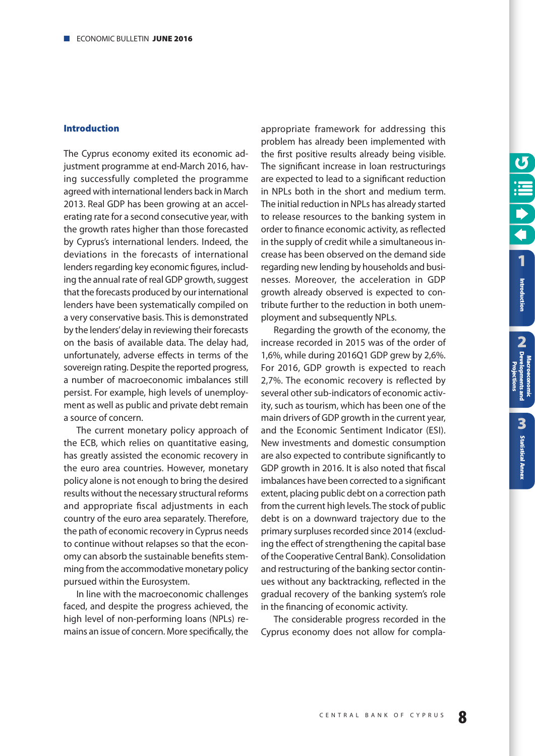#### <span id="page-7-0"></span>**Introduction**

The Cyprus economy exited its economic adjustment programme at end-March 2016, having successfully completed the programme agreed with international lenders back in March 2013. Real GDP has been growing at an accelerating rate for a second consecutive year, with the growth rates higher than those forecasted by Cyprus's international lenders. Indeed, the deviations in the forecasts of international lenders regarding key economic figures, including the annual rate of real GDP growth, suggest that the forecasts produced by our international lenders have been systematically compiled on a very conservative basis. This is demonstrated by the lenders' delay in reviewing their forecasts on the basis of available data. The delay had, unfortunately, adverse effects in terms of the sovereign rating. Despite the reported progress, a number of macroeconomic imbalances still persist. For example, high levels of unemployment as well as public and private debt remain a source of concern.

The current monetary policy approach of the ECB, which relies on quantitative easing, has greatly assisted the economic recovery in the euro area countries. However, monetary policy alone is not enough to bring the desired results without the necessary structural reforms and appropriate fiscal adjustments in each country of the euro area separately. Therefore, the path of economic recovery in Cyprus needs to continue without relapses so that the economy can absorb the sustainable benefits stemming from the accommodative monetary policy pursued within the Eurosystem.

In line with the macroeconomic challenges faced, and despite the progress achieved, the high level of non-performing loans (NPLs) remains an issue of concern. More specifically, the appropriate framework for addressing this problem has already been implemented with the first positive results already being visible. The significant increase in loan restructurings are expected to lead to a significant reduction in NPLs both in the short and medium term. The initial reduction in NPLs has already started to release resources to the banking system in order to finance economic activity, as reflected in the supply of credit while a simultaneous increase has been observed on the demand side regarding new lending by households and businesses. Moreover, the acceleration in GDP growth already observed is expected to contribute further to the reduction in both unemployment and subsequently NPLs.

Regarding the growth of the economy, the increase recorded in 2015 was of the order of 1,6%, while during 2016Q1 GDP grew by 2,6%. For 2016, GDP growth is expected to reach 2,7%. The economic recovery is reflected by several other sub-indicators of economic activity, such as tourism, which has been one of the main drivers of GDP growth in the current year, and the Economic Sentiment Indicator (ESI). New investments and domestic consumption are also expected to contribute significantly to GDP growth in 2016. It is also noted that fiscal imbalances have been corrected to a significant extent, placing public debt on a correction path from the current high levels. The stock of public debt is on a downward trajectory due to the primary surpluses recorded since 2014 (excluding the effect of strengthening the capital base of the Cooperative Central Bank). Consolidation and restructuring of the banking sector continues without any backtracking, reflected in the gradual recovery of the banking system's role in the financing of economic activity.

The considerable progress recorded in the Cyprus economy does not allow for compla**Projections**

**[1](#page-7-0)**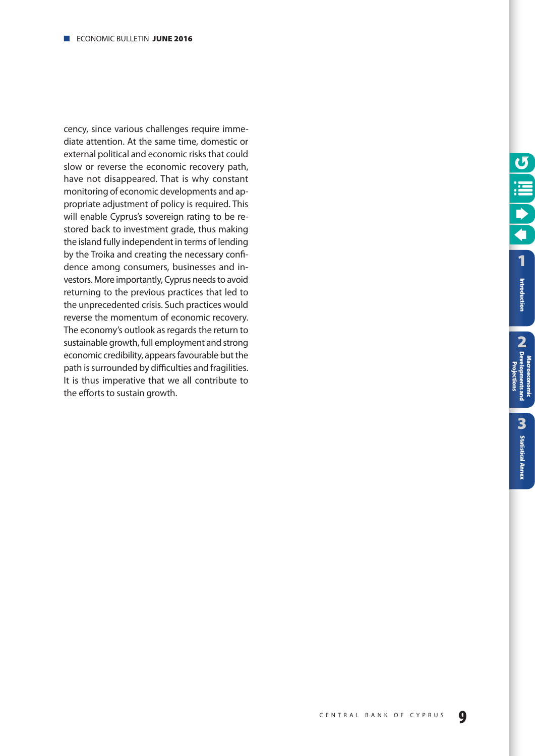cency, since various challenges require immediate attention. At the same time, domestic or external political and economic risks that could slow or reverse the economic recovery path, have not disappeared. That is why constant monitoring of economic developments and appropriate adjustment of policy is required. This will enable Cyprus's sovereign rating to be restored back to investment grade, thus making the island fully independent in terms of lending by the Troika and creating the necessary confidence among consumers, businesses and investors. More importantly, Cyprus needs to avoid returning to the previous practices that led to the unprecedented crisis. Such practices would reverse the momentum of economic recovery. The economy's outlook as regards the return to sustainable growth, full employment and strong economic credibility, appears favourable but the path is surrounded by difficulties and fragilities. It is thus imperative that we all contribute to the efforts to sustain growth.

**2**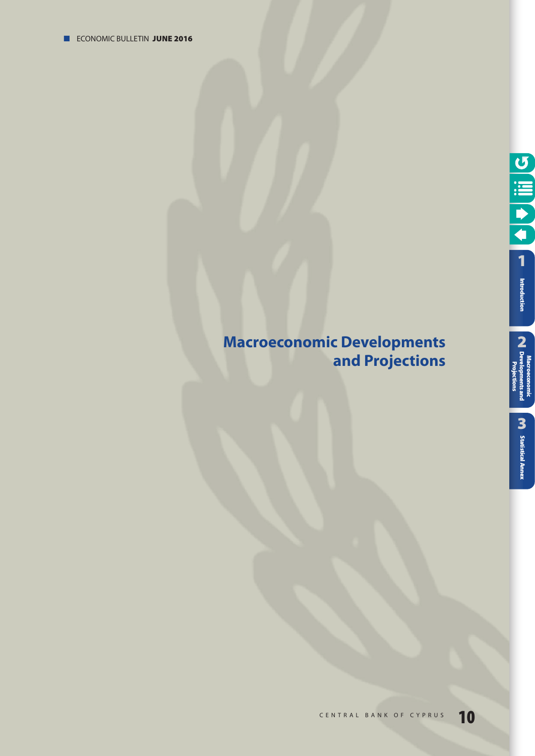# <span id="page-9-0"></span>**Macroeconomic Developments and Projections**

**[Statistical Annex](#page-52-0)**

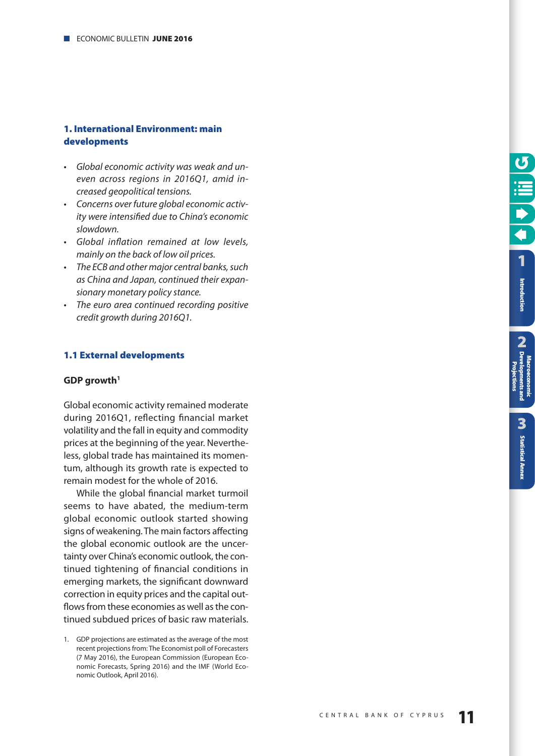#### <span id="page-10-0"></span>**1. International Environment: main developments**

- Global economic activity was weak and uneven across regions in 2016Q1, amid increased geopolitical tensions.
- Concerns over future global economic activity were intensified due to China's economic slowdown.
- Global inflation remained at low levels, mainly on the back of low oil prices.
- The ECB and other major central banks, such as China and Japan, continued their expansionary monetary policy stance.
- The euro area continued recording positive credit growth during 2016Q1.

#### **1.1 External developments**

#### **GDP growth1**

Global economic activity remained moderate during 2016Q1, reflecting financial market volatility and the fall in equity and commodity prices at the beginning of the year. Nevertheless, global trade has maintained its momentum, although its growth rate is expected to remain modest for the whole of 2016.

While the global financial market turmoil seems to have abated, the medium-term global economic outlook started showing signs of weakening. The main factors affecting the global economic outlook are the uncertainty over China's economic outlook, the continued tightening of financial conditions in emerging markets, the significant downward correction in equity prices and the capital outflows from these economies as well as the continued subdued prices of basic raw materials. **2**

<sup>1.</sup> GDP projections are estimated as the average of the most recent projections from: The Economist poll of Forecasters (7 May 2016), the European Commission (European Economic Forecasts, Spring 2016) and the IMF (World Economic Outlook, April 2016).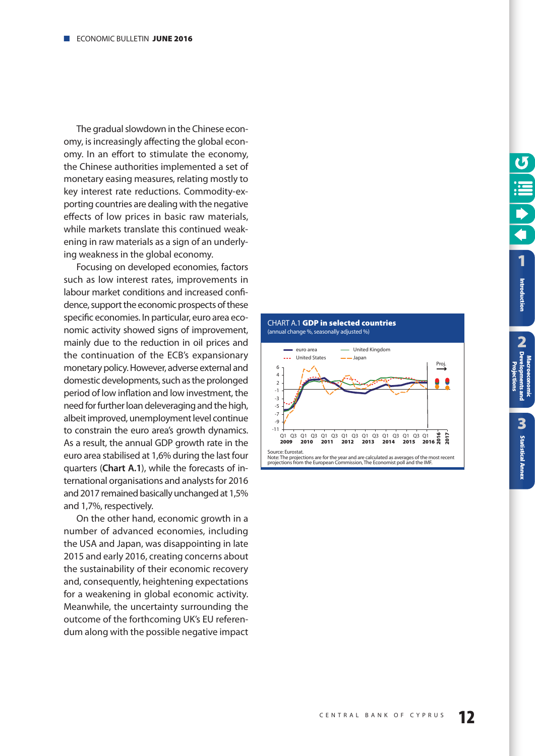<span id="page-11-0"></span>The gradual slowdown in the Chinese economy, is increasingly affecting the global economy. In an effort to stimulate the economy, the Chinese authorities implemented a set of monetary easing measures, relating mostly to key interest rate reductions. Commodity-exporting countries are dealing with the negative effects of low prices in basic raw materials, while markets translate this continued weakening in raw materials as a sign of an underlying weakness in the global economy.

Focusing on developed economies, factors such as low interest rates, improvements in labour market conditions and increased confidence, support the economic prospects of these specific economies. In particular, euro area economic activity showed signs of improvement, mainly due to the reduction in oil prices and the continuation of the ECB's expansionary monetary policy. However, adverse external and domestic developments, such as the prolonged period of low inflation and low investment, the need for further loan deleveraging and the high, albeit improved, unemployment level continue to constrain the euro area's growth dynamics. As a result, the annual GDP growth rate in the euro area stabilised at 1,6% during the last four quarters (**Chart A.1**), while the forecasts of international organisations and analysts for 2016 and 2017 remained basically unchanged at 1,5% and 1,7%, respectively.

On the other hand, economic growth in a number of advanced economies, including the USA and Japan, was disappointing in late 2015 and early 2016, creating concerns about the sustainability of their economic recovery and, consequently, heightening expectations for a weakening in global economic activity. Meanwhile, the uncertainty surrounding the outcome of the forthcoming UK's EU referendum along with the possible negative impact



**[Statistical Annex](#page-52-0)**

**Statistical Annex**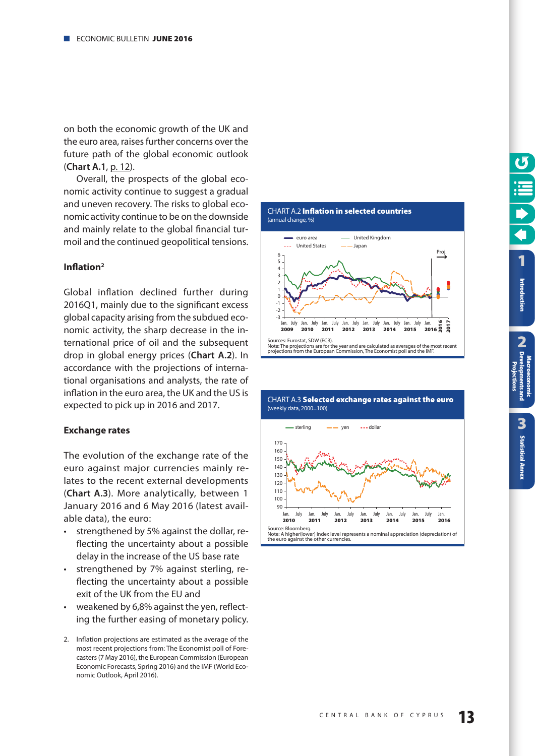<span id="page-12-0"></span>on both the economic growth of the UK and the euro area, raises further concerns over the future path of the global economic outlook (**Chart A.1**, [p. 12\)](#page-11-0).

Overall, the prospects of the global economic activity continue to suggest a gradual and uneven recovery. The risks to global economic activity continue to be on the downside and mainly relate to the global financial turmoil and the continued geopolitical tensions.

#### **Inflation2**

Global inflation declined further during 2016Q1, mainly due to the significant excess global capacity arising from the subdued economic activity, the sharp decrease in the international price of oil and the subsequent drop in global energy prices (**Chart A.2**). In accordance with the projections of international organisations and analysts, the rate of inflation in the euro area, the UK and the US is expected to pick up in 2016 and 2017.

#### **Exchange rates**

The evolution of the exchange rate of the euro against major currencies mainly relates to the recent external developments (**Chart A.3**). More analytically, between 1 January 2016 and 6 May 2016 (latest available data), the euro:

- strengthened by 5% against the dollar, reflecting the uncertainty about a possible delay in the increase of the US base rate
- strengthened by 7% against sterling, reflecting the uncertainty about a possible exit of the UK from the EU and
- weakened by 6,8% against the yen, reflecting the further easing of monetary policy.
- 2. Inflation projections are estimated as the average of the most recent projections from: The Economist poll of Forecasters (7 May 2016), the European Commission (European Economic Forecasts, Spring 2016) and the IMF (World Economic Outlook, April 2016).





# CHART Α.3 **Selected exchange rates against the euro**  (weekly data, 2000=100)

**[Statistical Annex](#page-52-0)**

**Statistical Annex**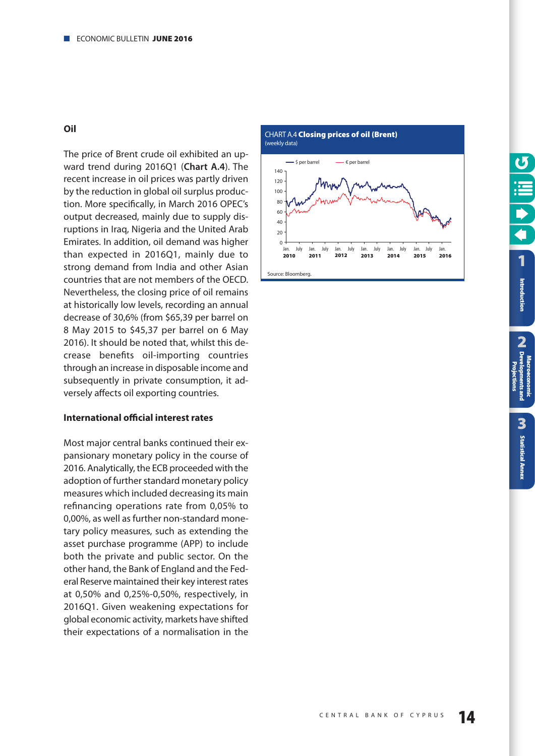#### <span id="page-13-0"></span>**Oil**

The price of Brent crude oil exhibited an upward trend during 2016Q1 (**Chart A.4**). The recent increase in oil prices was partly driven by the reduction in global oil surplus production. More specifically, in March 2016 OPEC's output decreased, mainly due to supply disruptions in Iraq, Nigeria and the United Arab Emirates. In addition, oil demand was higher than expected in 2016Q1, mainly due to strong demand from India and other Asian countries that are not members of the OECD. Nevertheless, the closing price of oil remains at historically low levels, recording an annual decrease of 30,6% (from \$65,39 per barrel on 8 May 2015 to \$45,37 per barrel on 6 May 2016). It should be noted that, whilst this decrease benefits oil-importing countries through an increase in disposable income and subsequently in private consumption, it adversely affects oil exporting countries.

#### **International official interest rates**

Most major central banks continued their expansionary monetary policy in the course of 2016. Analytically, the ECB proceeded with the adoption of further standard monetary policy measures which included decreasing its main refinancing operations rate from 0,05% to 0,00%, as well as further non-standard monetary policy measures, such as extending the asset purchase programme (APP) to include both the private and public sector. On the other hand, the Bank of England and the Federal Reserve maintained their key interest rates at 0,50% and 0,25%-0,50%, respectively, in 2016Q1. Given weakening expectations for global economic activity, markets have shifted their expectations of a normalisation in the

CHART Α.4 **Closing prices of oil (Brent)**  (weekly data)

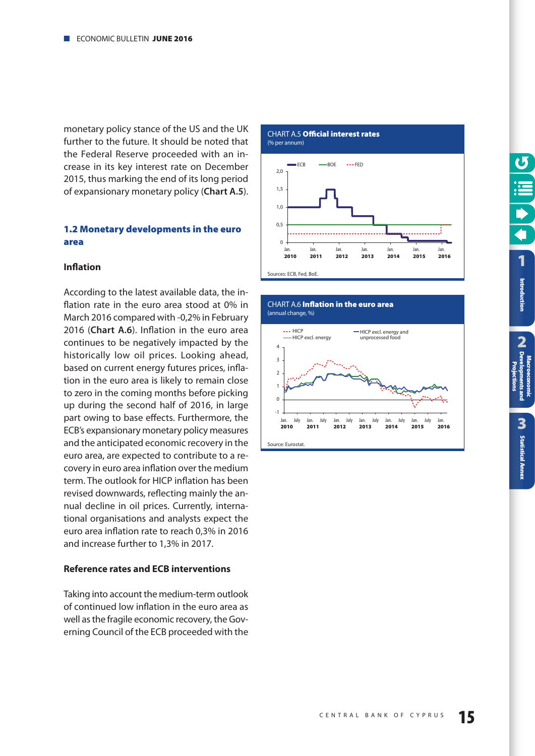<span id="page-14-0"></span>monetary policy stance of the US and the UK further to the future. It should be noted that the Federal Reserve proceeded with an increase in its key interest rate on December 2015, thus marking the end of its long period of expansionary monetary policy (**Chart A.5**).

#### **1.2 Monetary developments in the euro area**

#### **Inflation**

According to the latest available data, the inflation rate in the euro area stood at 0% in March 2016 compared with -0,2% in February 2016 (**Chart A.6**). Inflation in the euro area continues to be negatively impacted by the historically low oil prices. Looking ahead, based on current energy futures prices, inflation in the euro area is likely to remain close to zero in the coming months before picking up during the second half of 2016, in large part owing to base effects. Furthermore, the ECB's expansionary monetary policy measures and the anticipated economic recovery in the euro area, are expected to contribute to a recovery in euro area inflation over the medium term. The outlook for HICP inflation has been revised downwards, reflecting mainly the annual decline in oil prices. Currently, international organisations and analysts expect the euro area inflation rate to reach 0,3% in 2016 and increase further to 1,3% in 2017.

#### **Reference rates and ECB interventions**

Taking into account the medium-term outlook of continued low inflation in the euro area as well as the fragile economic recovery, the Governing Council of the ECB proceeded with the

CHART Α.5 **Official interest rates** (% per annum)





**2**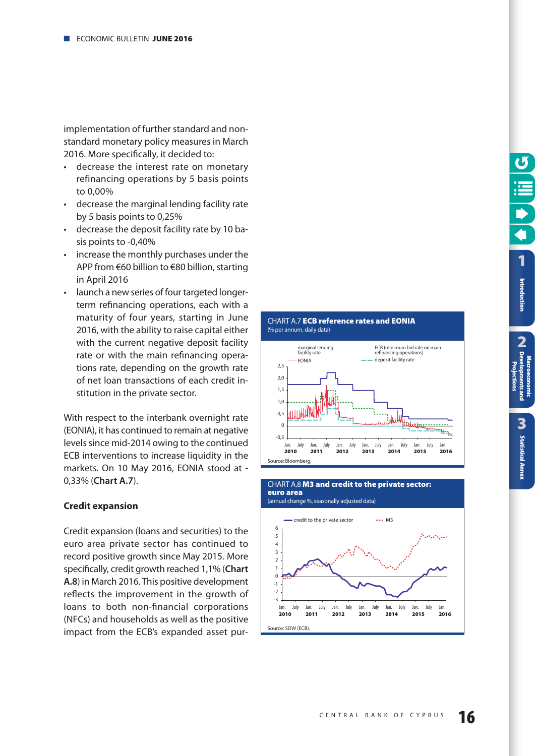<span id="page-15-0"></span>implementation of further standard and nonstandard monetary policy measures in March 2016. More specifically, it decided to:

- decrease the interest rate on monetary refinancing operations by 5 basis points to 0,00%
- decrease the marginal lending facility rate by 5 basis points to 0,25%
- decrease the deposit facility rate by 10 basis points to -0,40%
- increase the monthly purchases under the APP from €60 billion to €80 billion, starting in April 2016
- launch a new series of four targeted longerterm refinancing operations, each with a maturity of four years, starting in June 2016, with the ability to raise capital either with the current negative deposit facility rate or with the main refinancing operations rate, depending on the growth rate of net loan transactions of each credit institution in the private sector.

With respect to the interbank overnight rate (EONIA), it has continued to remain at negative levels since mid-2014 owing to the continued ECB interventions to increase liquidity in the markets. On 10 May 2016, EONIA stood at - 0,33% (**Chart A.7**).

#### **Credit expansion**

Credit expansion (loans and securities) to the euro area private sector has continued to record positive growth since May 2015. More specifically, credit growth reached 1,1% (**Chart A.8**) in March 2016. This positive development reflects the improvement in the growth of loans to both non-financial corporations (NFCs) and households as well as the positive impact from the ECB's expanded asset pur-





**[1](#page-7-0)** Introduction

**Introduction**<br> **CA** Developments and<br>
CA Developments and **2 [Developments and](#page-9-0) Macroeconomic Projections** 3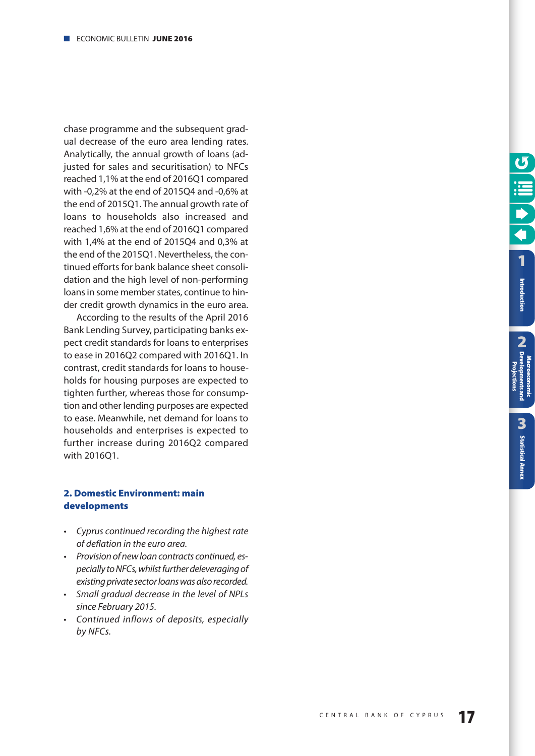<span id="page-16-0"></span>chase programme and the subsequent gradual decrease of the euro area lending rates. Analytically, the annual growth of loans (adjusted for sales and securitisation) to NFCs reached 1,1% at the end of 2016Q1 compared with -0,2% at the end of 2015Q4 and -0,6% at the end of 2015Q1. The annual growth rate of loans to households also increased and reached 1,6% at the end of 2016Q1 compared with 1,4% at the end of 2015Q4 and 0,3% at the end of the 2015Q1. Nevertheless, the continued efforts for bank balance sheet consolidation and the high level of non-performing loans in some member states, continue to hinder credit growth dynamics in the euro area.

According to the results of the April 2016 Bank Lending Survey, participating banks expect credit standards for loans to enterprises to ease in 2016Q2 compared with 2016Q1. In contrast, credit standards for loans to households for housing purposes are expected to tighten further, whereas those for consumption and other lending purposes are expected to ease. Meanwhile, net demand for loans to households and enterprises is expected to further increase during 2016Q2 compared with 2016Q1.

#### **2. Domestic Environment: main developments**

- Cyprus continued recording the highest rate of deflation in the euro area.
- Provision of new loan contracts continued, especially to NFCs, whilst further deleveraging of existing private sector loans was also recorded.
- Small gradual decrease in the level of NPLs since February 2015.
- Continued inflows of deposits, especially by NFCs.

**[1](#page-7-0)** Introduction

**Projections**

**2**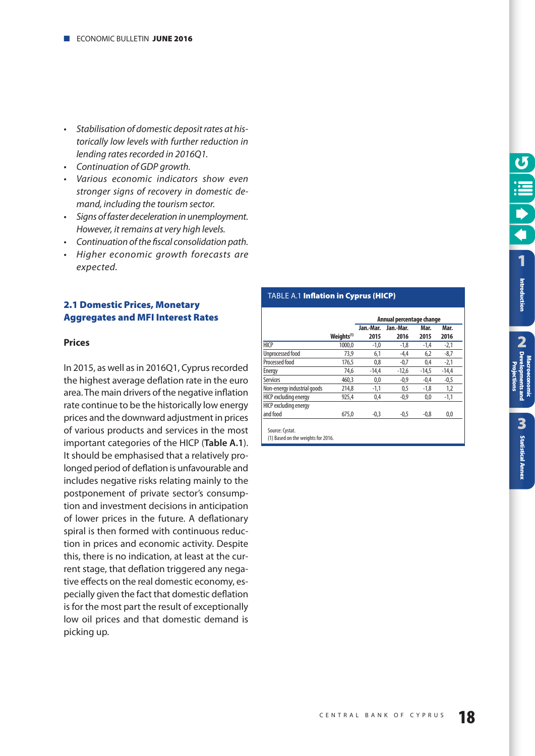- <span id="page-17-0"></span>• Stabilisation of domestic deposit rates at historically low levels with further reduction in lending rates recorded in 2016Q1.
- Continuation of GDP arowth.
- Various economic indicators show even stronger signs of recovery in domestic demand, including the tourism sector.
- Signs of faster deceleration in unemployment. However, it remains at very high levels.
- Continuation of the fiscal consolidation path.
- Higher economic growth forecasts are expected.

#### **2.1 Domestic Prices, Monetary Aggregates and MFI Interest Rates**

#### **Prices**

In 2015, as well as in 2016Q1, Cyprus recorded the highest average deflation rate in the euro area. The main drivers of the negative inflation rate continue to be the historically low energy prices and the downward adjustment in prices of various products and services in the most important categories of the HICP (**Table A.1**). It should be emphasised that a relatively prolonged period of deflation is unfavourable and includes negative risks relating mainly to the postponement of private sector's consumption and investment decisions in anticipation of lower prices in the future. A deflationary spiral is then formed with continuous reduction in prices and economic activity. Despite this, there is no indication, at least at the current stage, that deflation triggered any negative effects on the real domestic economy, especially given the fact that domestic deflation is for the most part the result of exceptionally low oil prices and that domestic demand is picking up.

#### TABLE Α.1 **Inflation in Cyprus (HICP)**

|                             |                        | Jan.-Mar. | Jan.-Mar. | Mar.    | Mar.    |
|-----------------------------|------------------------|-----------|-----------|---------|---------|
|                             | Weiahts <sup>(1)</sup> | 2015      | 2016      | 2015    | 2016    |
| <b>HICP</b>                 | 1000.0                 | $-1,0$    | $-1,8$    | $-1,4$  | $-2,1$  |
| Unprocessed food            | 73,9                   | 6,1       | $-4,4$    | 6,2     | $-8,7$  |
| Processed food              | 176.5                  | 0.8       | $-0.7$    | 0.4     | $-2,1$  |
| Energy                      | 74.6                   | $-14.4$   | $-12.6$   | $-14.5$ | $-14.4$ |
| <b>Services</b>             | 460.3                  | 0,0       | $-0,9$    | $-0.4$  | $-0,5$  |
| Non-energy industrial goods | 214.8                  | $-1,1$    | 0.5       | $-1.8$  | 1,2     |
| HICP excluding energy       | 925.4                  | 0,4       | $-0,9$    | 0,0     | $-1,1$  |
| HICP excluding energy       |                        |           |           |         |         |
| and food                    | 675.0                  | $-0,3$    | $-0,5$    | $-0.8$  | 0,0     |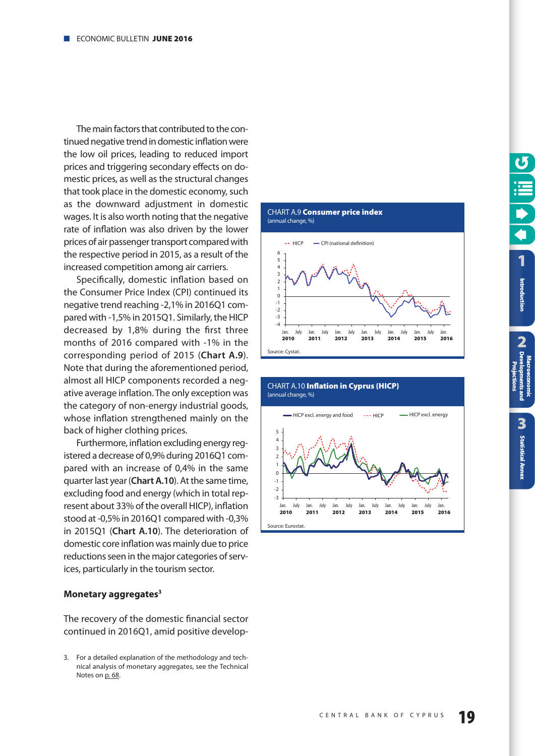<span id="page-18-0"></span>The main factors that contributed to the continued negative trend in domestic inflation were the low oil prices, leading to reduced import prices and triggering secondary effects on domestic prices, as well as the structural changes that took place in the domestic economy, such as the downward adjustment in domestic wages. It is also worth noting that the negative rate of inflation was also driven by the lower prices of air passenger transport compared with the respective period in 2015, as a result of the increased competition among air carriers.

Specifically, domestic inflation based on the Consumer Price Index (CPI) continued its negative trend reaching -2,1% in 2016Q1 compared with -1,5% in 2015Q1. Similarly, the HICP decreased by 1,8% during the first three months of 2016 compared with -1% in the corresponding period of 2015 (**Chart A.9**). Note that during the aforementioned period, almost all HICP components recorded a negative average inflation. The only exception was the category of non-energy industrial goods, whose inflation strengthened mainly on the back of higher clothing prices.

Furthermore, inflation excluding energy registered a decrease of 0,9% during 2016Q1 compared with an increase of 0,4% in the same quarter last year (**Chart A.10**). At the same time, excluding food and energy (which in total represent about 33% of the overall HICP), inflation stood at -0,5% in 2016Q1 compared with -0,3% in 2015Q1 (**Chart A.10**). The deterioration of domestic core inflation was mainly due to price reductions seen in the major categories of services, particularly in the tourism sector.

#### **Monetary aggregates3**

The recovery of the domestic financial sector continued in 2016Q1, amid positive develop-





<sup>3.</sup> For a detailed explanation of the methodology and technical analysis of monetary aggregates, see the Technical Notes on [p. 68.](#page-67-0)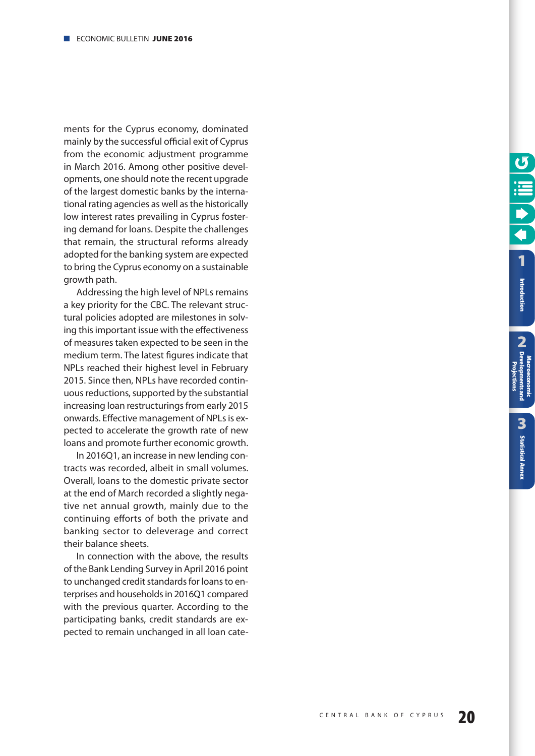ments for the Cyprus economy, dominated mainly by the successful official exit of Cyprus from the economic adjustment programme in March 2016. Among other positive developments, one should note the recent upgrade of the largest domestic banks by the international rating agencies as well as the historically low interest rates prevailing in Cyprus fostering demand for loans. Despite the challenges that remain, the structural reforms already adopted for the banking system are expected to bring the Cyprus economy on a sustainable growth path.

Addressing the high level of NPLs remains a key priority for the CBC. The relevant structural policies adopted are milestones in solving this important issue with the effectiveness of measures taken expected to be seen in the medium term. The latest figures indicate that NPLs reached their highest level in February 2015. Since then, NPLs have recorded continuous reductions, supported by the substantial increasing loan restructurings from early 2015 onwards. Effective management of NPLs is expected to accelerate the growth rate of new loans and promote further economic growth.

In 2016Q1, an increase in new lending contracts was recorded, albeit in small volumes. Overall, loans to the domestic private sector at the end of March recorded a slightly negative net annual growth, mainly due to the continuing efforts of both the private and banking sector to deleverage and correct their balance sheets.

In connection with the above, the results of the Bank Lending Survey in April 2016 point to unchanged credit standards for loans to enterprises and households in 2016Q1 compared with the previous quarter. According to the participating banks, credit standards are expected to remain unchanged in all loan cate**2**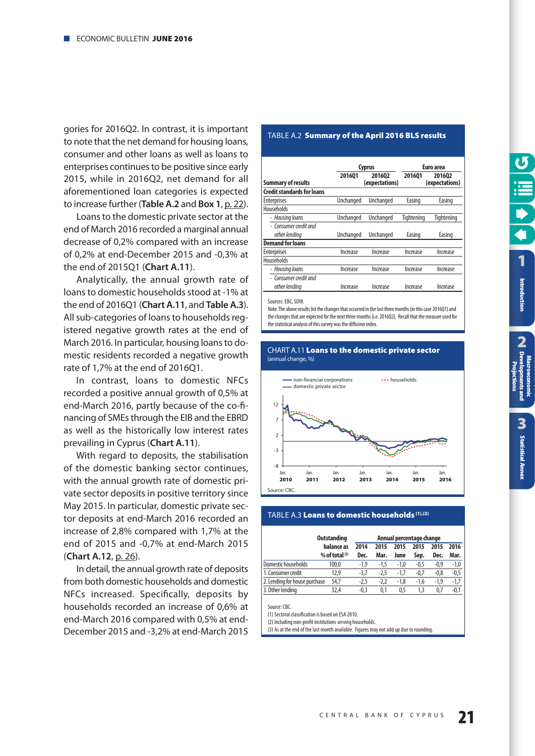<span id="page-20-0"></span>gories for 2016Q2. In contrast, it is important to note that the net demand for housing loans, consumer and other loans as well as loans to enterprises continues to be positive since early 2015, while in 2016Q2, net demand for all aforementioned loan categories is expected to increase further (**Table A.2** and **Box 1**, [p. 22\)](#page-21-0).

Loans to the domestic private sector at the end of March 2016 recorded a marginal annual decrease of 0,2% compared with an increase of 0,2% at end-December 2015 and -0,3% at the end of 2015Q1 (**Chart A.11**).

Analytically, the annual growth rate of loans to domestic households stood at -1% at the end of 2016Q1 (**Chart A.11**, and **Table A.3**). All sub-categories of loans to households registered negative growth rates at the end of March 2016. In particular, housing loans to domestic residents recorded a negative growth rate of 1,7% at the end of 2016Q1.

In contrast, loans to domestic NFCs recorded a positive annual growth of 0,5% at end-March 2016, partly because of the co-financing of SMEs through the EIB and the EBRD as well as the historically low interest rates prevailing in Cyprus (**Chart A.11**).

With regard to deposits, the stabilisation of the domestic banking sector continues, with the annual growth rate of domestic private sector deposits in positive territory since May 2015. In particular, domestic private sector deposits at end-March 2016 recorded an increase of 2,8% compared with 1,7% at the end of 2015 and -0,7% at end-March 2015 (**Chart A.12**, [p. 26\)](#page-25-0).

In detail, the annual growth rate of deposits from both domestic households and domestic NFCs increased. Specifically, deposits by households recorded an increase of 0,6% at end-March 2016 compared with 0,5% at end-December 2015 and -3,2% at end-March 2015

# **TABLE A.2 Summary of the April 2016 BLS results**

|                                   |           | <b>Cyprus</b>            |                                    | Euro area  |  |  |  |
|-----------------------------------|-----------|--------------------------|------------------------------------|------------|--|--|--|
| <b>Summary of results</b>         | 201601    | 201602<br>(expectations) | 201601<br>201602<br>(expectations) |            |  |  |  |
| <b>Credit standards for loans</b> |           |                          |                                    |            |  |  |  |
| <b>Enterprises</b>                | Unchanged | Unchanged                | Easing                             | Easing     |  |  |  |
| Households                        |           |                          |                                    |            |  |  |  |
| - Housing loans                   | Unchanged | Unchanged                | Tiahtenina                         | Tiahtenina |  |  |  |
| - Consumer credit and             |           |                          |                                    |            |  |  |  |
| other lending                     | Unchanged | Unchanged                | Easing                             | Easing     |  |  |  |
| <b>Demand for loans</b>           |           |                          |                                    |            |  |  |  |
| <b>Enterprises</b>                | Increase  | Increase                 | Increase                           | Increase   |  |  |  |
| <b>Households</b>                 |           |                          |                                    |            |  |  |  |
| - Housing loans                   | Increase  | Increase                 | Increase                           | Increase   |  |  |  |
| - Consumer credit and             |           |                          |                                    |            |  |  |  |
| other lending                     | Increase  | Increase                 | Increase                           | Increase   |  |  |  |

Sources: EBC, SDW.

Note: The above results list the changes that occurred in the last three months (in this case 2016Q1) and the changes that are expected for the next three months (i.e. 2016Q2). Recall that the measure used for the statistical analysis of this survey was the diffusion index.

#### CHART Α.11 **Loans to the domestic private sector** (annual change, %)



#### TABLE A.3 **Loans to domestic households (1),(2)**

|                               | <b>Outstanding</b> |        |        |        | Annual percentage change |        |        |
|-------------------------------|--------------------|--------|--------|--------|--------------------------|--------|--------|
|                               | balance as         | 2014   | 2015   | 2015   | 2015                     | 2015   | 2016   |
|                               | % of total $(3)$   | Dec.   | Mar.   | June   | Sep.                     | Dec.   | Mar.   |
| Domestic households           | 100,0              | -1.9   | $-1.5$ | $-1.0$ | $-0,5$                   | $-0.9$ | $-1,0$ |
| 1. Consumer credit            | 12.9               | $-3.7$ | -2.5   | $-1.7$ | -0.7                     | $-0.8$ | $-0,5$ |
| 2. Lending for house purchase | 54,7               | -2.5   | -2.2   | -1.8   | -1.6                     | -1.9   | $-1.7$ |
| 3. Other lending              | 32,4               | $-0.3$ | 0.1    | 0.5    | 1.3                      | 0.7    | -0.1   |

Source: CBC.

(1) Sectoral classification is based on ESA 2010.

(2) Including non-profit institutions serving households.

(3) As at the end of the last month available. Figures may not add up due to rounding.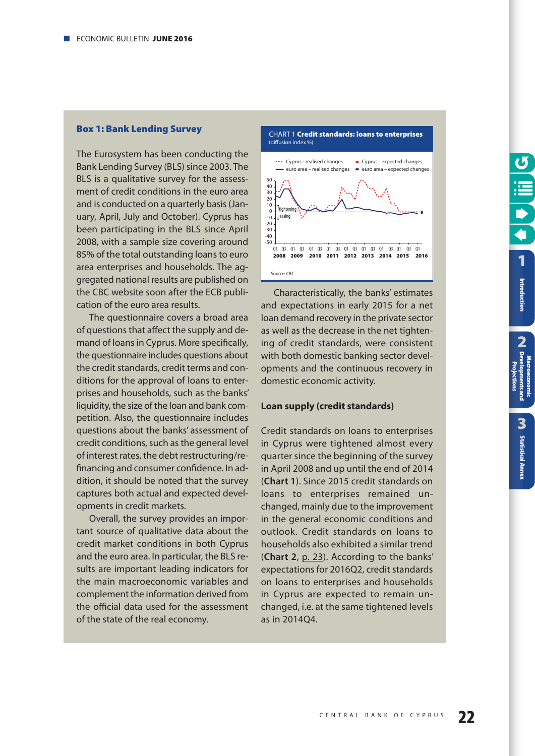#### <span id="page-21-0"></span>**Box 1: Bank Lending Survey**

The Eurosystem has been conducting the Bank Lending Survey (BLS) since 2003. The BLS is a qualitative survey for the assessment of credit conditions in the euro area and is conducted on a quarterly basis (January, April, July and October). Cyprus has been participating in the BLS since April 2008, with a sample size covering around 85% of the total outstanding loans to euro area enterprises and households. The aggregated national results are published on the CBC website soon after the ECB publication of the euro area results.

The questionnaire covers a broad area of questions that affect the supply and demand of loans in Cyprus. More specifically, the questionnaire includes questions about the credit standards, credit terms and conditions for the approval of loans to enterprises and households, such as the banks' liquidity, the size of the loan and bank competition. Also, the questionnaire includes questions about the banks' assessment of credit conditions, such as the general level of interest rates, the debt restructuring/refinancing and consumer confidence. In addition, it should be noted that the survey captures both actual and expected developments in credit markets.

Overall, the survey provides an important source of qualitative data about the credit market conditions in both Cyprus and the euro area. In particular, the BLS results are important leading indicators for the main macroeconomic variables and complement the information derived from the official data used for the assessment of the state of the real economy.



Characteristically, the banks' estimates and expectations in early 2015 for a net loan demand recovery in the private sector as well as the decrease in the net tightening of credit standards, were consistent with both domestic banking sector developments and the continuous recovery in domestic economic activity.

#### **Loan supply (credit standards)**

Credit standards on loans to enterprises in Cyprus were tightened almost every quarter since the beginning of the survey in April 2008 and up until the end of 2014 (**Chart 1**). Since 2015 credit standards on loans to enterprises remained unchanged, mainly due to the improvement in the general economic conditions and outlook. Credit standards on loans to households also exhibited a similar trend (**Chart 2**, [p. 23\)](#page-22-0). According to the banks' expectations for 2016Q2, credit standards on loans to enterprises and households in Cyprus are expected to remain unchanged, i.e. at the same tightened levels as in 2014Q4.

Introduction

j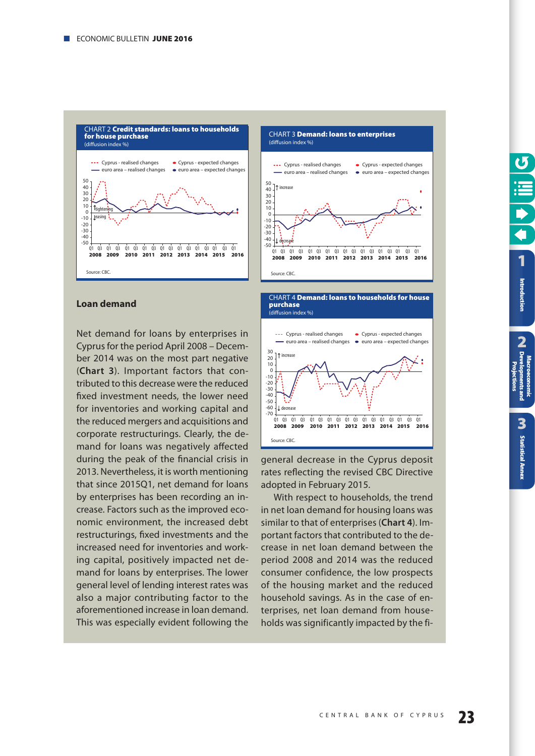<span id="page-22-0"></span>

#### **Loan demand**

Net demand for loans by enterprises in Cyprus for the period April 2008 – December 2014 was on the most part negative (**Chart 3**). Important factors that contributed to this decrease were the reduced fixed investment needs, the lower need for inventories and working capital and the reduced mergers and acquisitions and corporate restructurings. Clearly, the demand for loans was negatively affected during the peak of the financial crisis in 2013. Nevertheless, it is worth mentioning that since 2015Q1, net demand for loans by enterprises has been recording an increase. Factors such as the improved economic environment, the increased debt restructurings, fixed investments and the increased need for inventories and working capital, positively impacted net demand for loans by enterprises. The lower general level of lending interest rates was also a major contributing factor to the aforementioned increase in loan demand. This was especially evident following the





general decrease in the Cyprus deposit rates reflecting the revised CBC Directive adopted in February 2015.

With respect to households, the trend in net loan demand for housing loans was similar to that of enterprises (**Chart 4**). Important factors that contributed to the decrease in net loan demand between the period 2008 and 2014 was the reduced consumer confidence, the low prospects of the housing market and the reduced household savings. As in the case of enterprises, net loan demand from households was significantly impacted by the fi-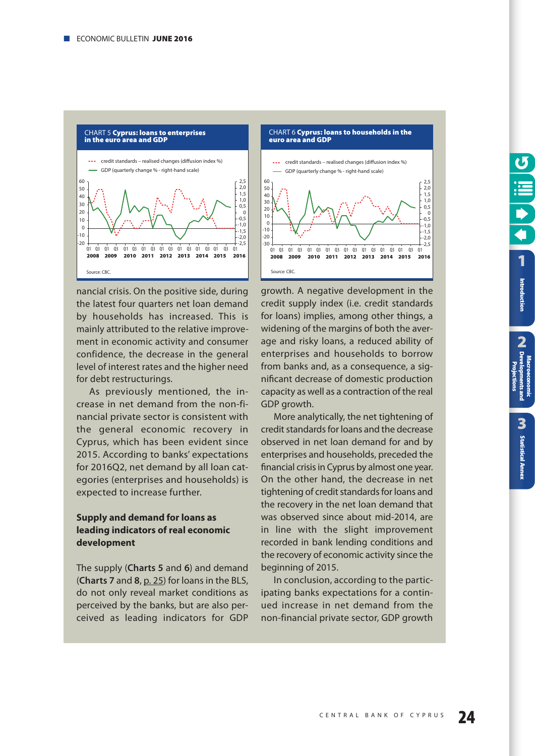

nancial crisis. On the positive side, during the latest four quarters net loan demand by households has increased. This is mainly attributed to the relative improvement in economic activity and consumer confidence, the decrease in the general level of interest rates and the higher need for debt restructurings.

As previously mentioned, the increase in net demand from the non-financial private sector is consistent with the general economic recovery in Cyprus, which has been evident since 2015. According to banks' expectations for 2016Q2, net demand by all loan categories (enterprises and households) is expected to increase further.

#### **Supply and demand for loans as leading indicators of real economic development**

The supply (**Charts 5** and **6**) and demand (**Charts 7** and **8**, [p. 25\)](#page-24-0) for loans in the BLS, do not only reveal market conditions as perceived by the banks, but are also perceived as leading indicators for GDP



growth. A negative development in the credit supply index (i.e. credit standards for loans) implies, among other things, a widening of the margins of both the average and risky loans, a reduced ability of enterprises and households to borrow from banks and, as a consequence, a significant decrease of domestic production capacity as well as a contraction of the real GDP growth.

More analytically, the net tightening of credit standards for loans and the decrease observed in net loan demand for and by enterprises and households, preceded the financial crisis in Cyprus by almost one year. On the other hand, the decrease in net tightening of credit standards for loans and the recovery in the net loan demand that was observed since about mid-2014, are in line with the slight improvement recorded in bank lending conditions and the recovery of economic activity since the beginning of 2015.

In conclusion, according to the participating banks expectations for a continued increase in net demand from the non-financial private sector, GDP growth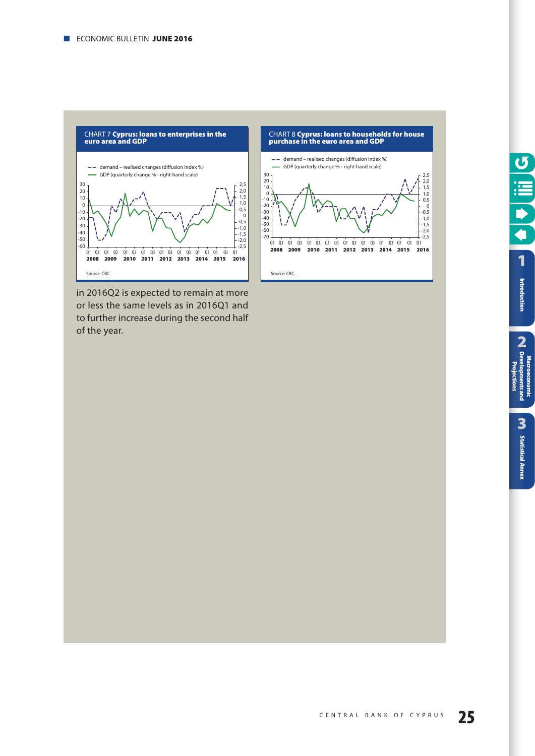<span id="page-24-0"></span>

in 2016Q2 is expected to remain at more or less the same levels as in 2016Q1 and to further increase during the second half of the year.



┑ **[1](#page-7-0)** Introduction

 $\sigma$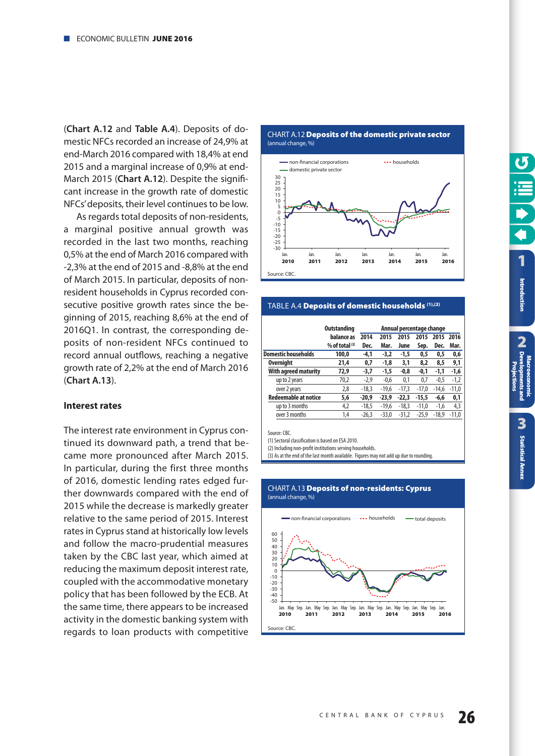<span id="page-25-0"></span>(**Chart A.12** and **Table A.4**). Deposits of domestic NFCs recorded an increase of 24,9% at end-March 2016 compared with 18,4% at end 2015 and a marginal increase of 0,9% at end-March 2015 (**Chart A.12**). Despite the significant increase in the growth rate of domestic NFCs' deposits, their level continues to be low.

As regards total deposits of non-residents, a marginal positive annual growth was recorded in the last two months, reaching 0,5% at the end of March 2016 compared with -2,3% at the end of 2015 and -8,8% at the end of March 2015. In particular, deposits of nonresident households in Cyprus recorded consecutive positive growth rates since the beginning of 2015, reaching 8,6% at the end of 2016Q1. In contrast, the corresponding deposits of non-resident NFCs continued to record annual outflows, reaching a negative growth rate of 2,2% at the end of March 2016 (**Chart A.13**).

#### **Interest rates**

The interest rate environment in Cyprus continued its downward path, a trend that became more pronounced after March 2015. In particular, during the first three months of 2016, domestic lending rates edged further downwards compared with the end of 2015 while the decrease is markedly greater relative to the same period of 2015. Interest rates in Cyprus stand at historically low levels and follow the macro-prudential measures taken by the CBC last year, which aimed at reducing the maximum deposit interest rate, coupled with the accommodative monetary policy that has been followed by the ECB. At the same time, there appears to be increased activity in the domestic banking system with regards to loan products with competitive

CHART Α.12 **Deposits of the domestic private sector** (annual change, %)



# TABLE A.4 **Deposits of domestic households (1),(2)**

|                             | <b>Outstanding</b> |         |         | Annual percentage change |         |         |         |
|-----------------------------|--------------------|---------|---------|--------------------------|---------|---------|---------|
|                             | balance as         | 2014    | 2015    | 2015                     | 2015    | 2015    | 2016    |
|                             | % of total $(3)$   | Dec.    | Mar.    | June                     | Sep.    | Dec.    | Mar.    |
| <b>Domestic households</b>  | 100.0              | -4,1    | $-3,2$  | $-1,5$                   | 0.5     | 0.5     | 0,6     |
| Overnight                   | 21,4               | 0,7     | $-1,8$  | 3,1                      | 8,2     | 8,5     | 9,1     |
| With agreed maturity        | 72,9               | -3,7    | $-1,5$  | $-0,8$                   | -0,1    | $-1,1$  | $-1,6$  |
| up to 2 years               | 70,2               | $-2,9$  | $-0,6$  | 0,1                      | 0.7     | $-0,5$  | $-1,2$  |
| over 2 years                | 2,8                | $-18,3$ | $-19.6$ | $-17,3$                  | $-17.0$ | $-14.6$ | $-11,0$ |
| <b>Redeemable at notice</b> | 5,6                | $-20,9$ | $-23.9$ | $-22,3$                  | $-15,5$ | $-6.6$  | 0,1     |
| up to 3 months              | 4,2                | $-18,5$ | $-19.6$ | $-18,3$                  | $-11.0$ | $-1,6$  | 4,3     |
| over 3 months               | 1,4                | $-26,3$ | $-33,0$ | $-31,2$                  | $-25,9$ | $-18.9$ | $-11,0$ |
|                             |                    |         |         |                          |         |         |         |

Source: CBC.

(1) Sectoral classification is based on ESA 2010.

(2) Including non-profit institutions serving households

(3) As at the end of the last month available. Figures may not add up due to rounding.

#### CHART Α.13 **Deposits of non-residents: Cyprus** (annual change, %)

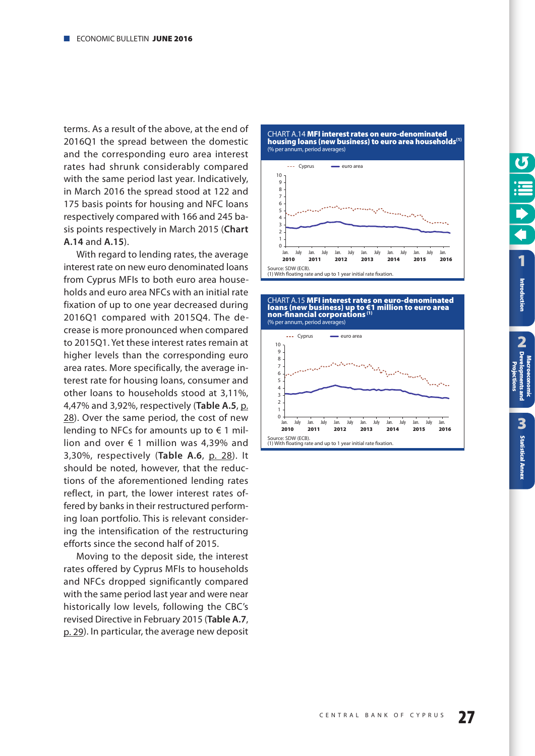<span id="page-26-0"></span>terms. As a result of the above, at the end of 2016Q1 the spread between the domestic and the corresponding euro area interest rates had shrunk considerably compared with the same period last year. Indicatively, in March 2016 the spread stood at 122 and 175 basis points for housing and NFC loans respectively compared with 166 and 245 basis points respectively in March 2015 (**Chart A.14** and **A.15**).

With regard to lending rates, the average interest rate on new euro denominated loans from Cyprus MFIs to both euro area households and euro area NFCs with an initial rate fixation of up to one year decreased during 2016Q1 compared with 2015Q4. The decrease is more pronounced when compared to 2015Q1. Yet these interest rates remain at higher levels than the corresponding euro area rates. More specifically, the average interest rate for housing loans, consumer and other loans to households stood at 3,11%, 4,47% and 3,92%, respectively (**Table A.5**, [p.](#page-27-0) [28\)](#page-27-0). Over the same period, the cost of new lending to NFCs for amounts up to  $\epsilon$  1 million and over  $\epsilon$  1 million was 4,39% and 3,30%, respectively (**Table A.6**, [p. 28\)](#page-27-0). It should be noted, however, that the reductions of the aforementioned lending rates reflect, in part, the lower interest rates offered by banks in their restructured performing loan portfolio. This is relevant considering the intensification of the restructuring efforts since the second half of 2015.

Moving to the deposit side, the interest rates offered by Cyprus MFIs to households and NFCs dropped significantly compared with the same period last year and were near historically low levels, following the CBC's revised Directive in February 2015 (**Table A.7**, [p. 29\)](#page-28-0). In particular, the average new deposit

CHART A.14 **MFI interest rates on euro-denominated housing loans (new business) to euro area households(1)** (% per annum, period averages)



CHART Α.15 **MFI interest rates on euro-denominated loans (new business) up to €1 million to euro area non-financial corporations (1)** (% per annum, period averages)

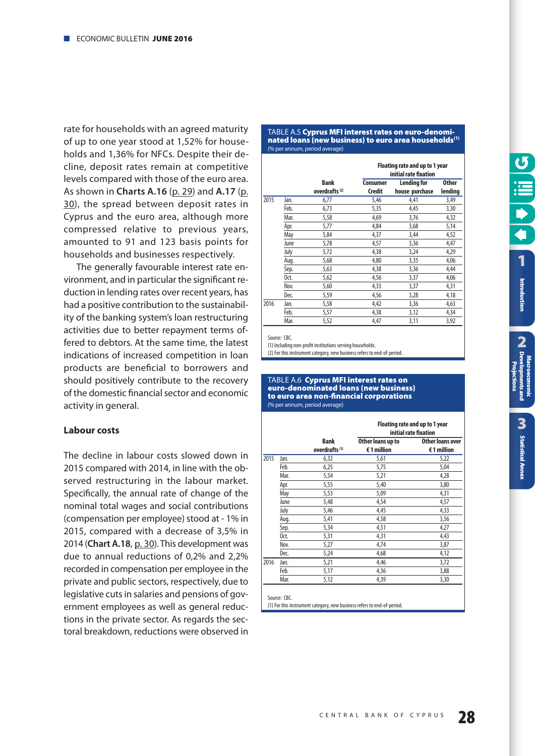<span id="page-27-0"></span>rate for households with an agreed maturity of up to one year stood at 1,52% for households and 1,36% for NFCs. Despite their decline, deposit rates remain at competitive levels compared with those of the euro area. As shown in **Charts A.16** [\(p. 29\)](#page-28-0) and **A.17** [\(p.](#page-29-0) [30\)](#page-29-0), the spread between deposit rates in Cyprus and the euro area, although more compressed relative to previous years, amounted to 91 and 123 basis points for households and businesses respectively.

The generally favourable interest rate environment, and in particular the significant reduction in lending rates over recent years, has had a positive contribution to the sustainability of the banking system's loan restructuring activities due to better repayment terms offered to debtors. At the same time, the latest indications of increased competition in loan products are beneficial to borrowers and should positively contribute to the recovery of the domestic financial sector and economic activity in general.

#### **Labour costs**

The decline in labour costs slowed down in 2015 compared with 2014, in line with the observed restructuring in the labour market. Specifically, the annual rate of change of the nominal total wages and social contributions (compensation per employee) stood at - 1% in 2015, compared with a decrease of 3,5% in 2014 (**Chart A.18**, [p. 30\)](#page-29-0). This development was due to annual reductions of 0,2% and 2,2% recorded in compensation per employee in the private and public sectors, respectively, due to legislative cuts in salaries and pensions of government employees as well as general reductions in the private sector. As regards the sectoral breakdown, reductions were observed in

#### TABLE A.5 **Cyprus MFI interest rates on euro-denominated loans (new business) to euro area households(1)** (% per annum, period average)

|      |      |                                          | Floating rate and up to 1 year<br>initial rate fixation |                                      |                         |  |
|------|------|------------------------------------------|---------------------------------------------------------|--------------------------------------|-------------------------|--|
|      |      | <b>Bank</b><br>overdrafts <sup>(2)</sup> | Consumer<br>Credit                                      | <b>Lending for</b><br>house purchase | <b>Other</b><br>lending |  |
| 2015 | Jan. | 6,77                                     | 5,46                                                    | 4,41                                 | 3,49                    |  |
|      | Feb. | 6,73                                     | 5,35                                                    | 4,45                                 | 3,30                    |  |
|      | Mar. | 5,58                                     | 4,69                                                    | 3,76                                 | 4,32                    |  |
|      | Apr. | 5,77                                     | 4,84                                                    | 3,68                                 | 5,14                    |  |
|      | May  | 5,84                                     | 4,37                                                    | 3,44                                 | 4,52                    |  |
|      | June | 5,78                                     | 4,57                                                    | 3,36                                 | 4,47                    |  |
|      | July | 5,72                                     | 4,38                                                    | 3,24                                 | 4,29                    |  |
|      | Aug. | 5,68                                     | 4,80                                                    | 3,35                                 | 4,06                    |  |
|      | Sep. | 5,63                                     | 4,38                                                    | 3,36                                 | 4,44                    |  |
|      | Oct. | 5,62                                     | 4,56                                                    | 3,37                                 | 4,06                    |  |
|      | Nov. | 5,60                                     | 4,33                                                    | 3,37                                 | 4,31                    |  |
|      | Dec. | 5,59                                     | 4,56                                                    | 3,28                                 | 4,18                    |  |
| 2016 | Jan. | 5,58                                     | 4,42                                                    | 3,36                                 | 4,63                    |  |
|      | Feb. | 5,57                                     | 4,38                                                    | 3,12                                 | 4,34                    |  |
|      | Mar. | 5,52                                     | 4,47                                                    | 3,11                                 | 3,92                    |  |

Source: CBC.

(1) Including non-profit institutions serving households.

(2) For this instrument category, new business refers to end-of-period.

#### TABLE A.6 **Cyprus MFI interest rates on euro-denominated loans (new business) to euro area non-financial corporations** (% per annum, period average)

|      |      |                           |                   | Floating rate and up to 1 year<br>initial rate fixation |
|------|------|---------------------------|-------------------|---------------------------------------------------------|
|      |      | <b>Bank</b>               | Other loans up to | Other loans over                                        |
|      |      | overdrafts <sup>(1)</sup> | €1 million        | €1 million                                              |
| 2015 | Jan. | 6,32                      | 5,61              | 5,22                                                    |
|      | Feb. | 6,25                      | 5,75              | 5,04                                                    |
|      | Mar. | 5,54                      | 5,21              | 4,28                                                    |
|      | Apr. | 5,55                      | 5,40              | 3,80                                                    |
|      | May  | 5,53                      | 5,09              | 4,31                                                    |
|      | June | 5,48                      | 4,54              | 4,57                                                    |
|      | July | 5,46                      | 4,45              | 4,33                                                    |
|      | Aug. | 5,41                      | 4,58              | 3,56                                                    |
|      | Sep. | 5,34                      | 4,51              | 4,27                                                    |
|      | Oct. | 5,31                      | 4,31              | 4,43                                                    |
|      | Nov. | 5,27                      | 4,74              | 3,87                                                    |
|      | Dec. | 5,24                      | 4,68              | 4,12                                                    |
| 2016 | Jan. | 5,21                      | 4,46              | 3,72                                                    |
|      | Feb. | 5,17                      | 4,36              | 3,88                                                    |
|      | Mar. | 5,12                      | 4,39              | 3,30                                                    |

Source: CBC.

(1) For this instrument category, new business refers to end-of-period.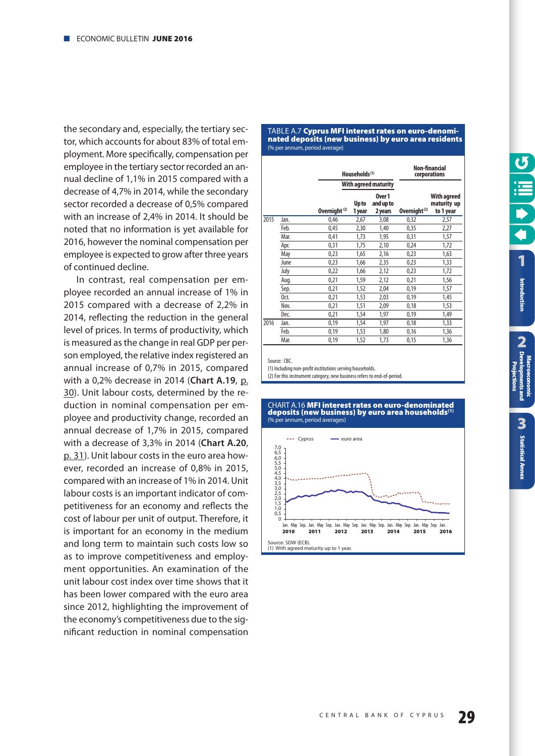<span id="page-28-0"></span>the secondary and, especially, the tertiary sector, which accounts for about 83% of total employment. More specifically, compensation per employee in the tertiary sector recorded an annual decline of 1,1% in 2015 compared with a decrease of 4,7% in 2014, while the secondary sector recorded a decrease of 0,5% compared with an increase of 2,4% in 2014. It should be noted that no information is yet available for 2016, however the nominal compensation per employee is expected to grow after three years of continued decline.

In contrast, real compensation per employee recorded an annual increase of 1% in 2015 compared with a decrease of 2,2% in 2014, reflecting the reduction in the general level of prices. In terms of productivity, which is measured as the change in real GDP per person employed, the relative index registered an annual increase of 0,7% in 2015, compared with a 0,2% decrease in 2014 (**Chart A.19**, [p.](#page-29-0) [30\)](#page-29-0). Unit labour costs, determined by the reduction in nominal compensation per employee and productivity change, recorded an annual decrease of 1,7% in 2015, compared with a decrease of 3,3% in 2014 (**Chart A.20**, [p. 31\)](#page-30-0). Unit labour costs in the euro area however, recorded an increase of 0,8% in 2015, compared with an increase of 1% in 2014. Unit labour costs is an important indicator of competitiveness for an economy and reflects the cost of labour per unit of output. Therefore, it is important for an economy in the medium and long term to maintain such costs low so as to improve competitiveness and employment opportunities. An examination of the unit labour cost index over time shows that it has been lower compared with the euro area since 2012, highlighting the improvement of the economy's competitiveness due to the significant reduction in nominal compensation

#### ΠΆΒΕΕ Α.7 **Cyprus MPT interest rates on euro-deno**r **nated deposits (new business) by euro area residents** (% per annum, period average) TABLE A.7 **Cyprus MFI interest rates on euro-denomi-**

|      |      |                          | Households <sup>(1)</sup> |                                |                          | Non-financial<br>corporations           |
|------|------|--------------------------|---------------------------|--------------------------------|--------------------------|-----------------------------------------|
|      |      |                          | With agreed maturity      |                                |                          |                                         |
|      |      | Overnight <sup>(2)</sup> | Up to<br>1 year           | Over 1<br>and up to<br>2 years | Overnight <sup>(2)</sup> | With agreed<br>maturity up<br>to 1 year |
| 2015 | Jan. | 0,46                     | 2,67                      | 3,08                           | 0,32                     | 2,57                                    |
|      | Feb. | 0,45                     | 2,30                      | 1,40                           | 0,35                     | 2,27                                    |
|      | Mar. | 0,41                     | 1,73                      | 1,95                           | 0,31                     | 1,57                                    |
|      | Apr. | 0,31                     | 1,75                      | 2,10                           | 0,24                     | 1,72                                    |
|      | May  | 0,23                     | 1,65                      | 2,16                           | 0,23                     | 1,63                                    |
|      | June | 0,23                     | 1,66                      | 2,35                           | 0,23                     | 1,33                                    |
|      | July | 0,22                     | 1,66                      | 2,12                           | 0,23                     | 1,72                                    |
|      | Aug. | 0,21                     | 1,59                      | 2,12                           | 0,21                     | 1,56                                    |
|      | Sep. | 0,21                     | 1,52                      | 2,04                           | 0,19                     | 1,57                                    |
|      | Oct. | 0,21                     | 1,53                      | 2,03                           | 0,19                     | 1,45                                    |
|      | Nov. | 0,21                     | 1,51                      | 2,09                           | 0,18                     | 1,53                                    |
|      | Dec. | 0,21                     | 1,54                      | 1,97                           | 0,19                     | 1,49                                    |
| 2016 | Jan. | 0,19                     | 1,54                      | 1,97                           | 0,18                     | 1,33                                    |
|      | Feb. | 0,19                     | 1,53                      | 1,80                           | 0,16                     | 1,36                                    |
|      | Mar. | 0,19                     | 1,52                      | 1,73                           | 0,15                     | 1,36                                    |

Source: CBC.

(1) Including non-profit institutions serving households.

(2) For this instrument category, new business refers to end-of-period.



## CHART Α.16 **MFI interest rates on euro-denominated deposits (new business) by euro area households(1)** (% per annum, period averages)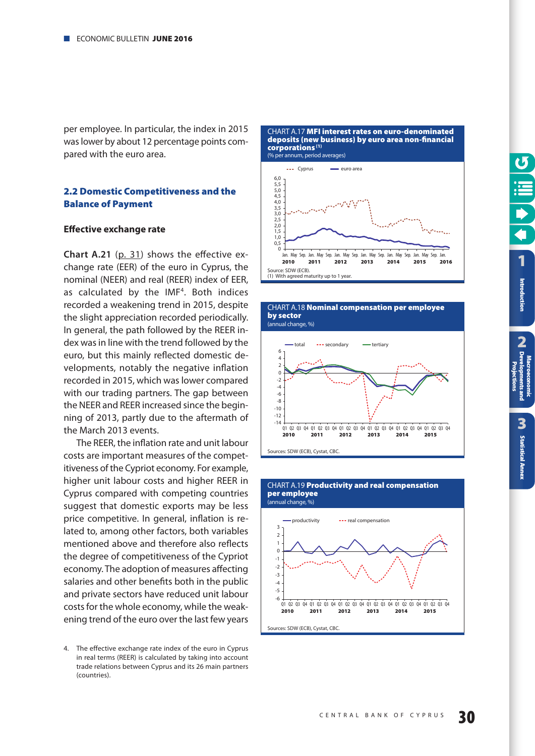<span id="page-29-0"></span>per employee. In particular, the index in 2015 was lower by about 12 percentage points compared with the euro area.

#### **2.2 Domestic Competitiveness and the Balance of Payment**

#### **Effective exchange rate**

**Chart A.21** [\(p. 31\)](#page-30-0) shows the effective exchange rate (EER) of the euro in Cyprus, the nominal (NEER) and real (REER) index of EER, as calculated by the IMF<sup>4</sup>. Both indices recorded a weakening trend in 2015, despite the slight appreciation recorded periodically. In general, the path followed by the REER index was in line with the trend followed by the euro, but this mainly reflected domestic developments, notably the negative inflation recorded in 2015, which was lower compared with our trading partners. The gap between the NEER and REER increased since the beginning of 2013, partly due to the aftermath of the March 2013 events.

The REER, the inflation rate and unit labour costs are important measures of the competitiveness of the Cypriot economy. For example, higher unit labour costs and higher REER in Cyprus compared with competing countries suggest that domestic exports may be less price competitive. In general, inflation is related to, among other factors, both variables mentioned above and therefore also reflects the degree of competitiveness of the Cypriot economy. The adoption of measures affecting salaries and other benefits both in the public and private sectors have reduced unit labour costs for the whole economy, while the weakening trend of the euro over the last few years

CHART Α.17 **MFI interest rates on euro-denominated deposits (new business) by euro area non-financial corporations (1)** (% per annum, period averages)





CHART A.18 **Nominal compensation per employee** 



CHART A.19 **Productivity and real compensation** 

**[1](#page-7-0)**

Introduction

**2**<br>Pevel **Introduction**<br> **CA** Developments and<br>
CA Developments and

**ntsand** 

3

**[Statistical Annex](#page-52-0)**

**Statistical Annex** 

**Macroeconomic [Developments and](#page-9-0) Projections**

<sup>4.</sup> The effective exchange rate index of the euro in Cyprus in real terms (REER) is calculated by taking into account trade relations between Cyprus and its 26 main partners (countries).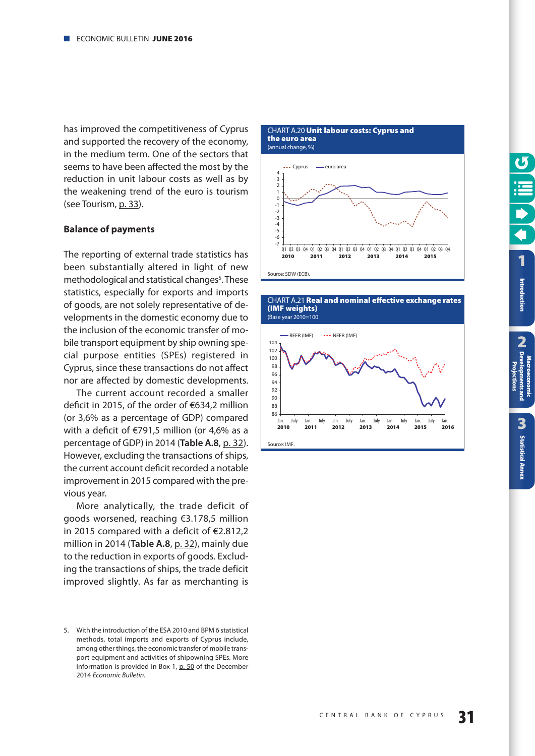<span id="page-30-0"></span>has improved the competitiveness of Cyprus and supported the recovery of the economy, in the medium term. One of the sectors that seems to have been affected the most by the reduction in unit labour costs as well as by the weakening trend of the euro is tourism (see Tourism, [p. 33\)](#page-32-0).

#### **Balance of payments**

The reporting of external trade statistics has been substantially altered in light of new methodological and statistical changes<sup>5</sup>. These statistics, especially for exports and imports of goods, are not solely representative of developments in the domestic economy due to the inclusion of the economic transfer of mobile transport equipment by ship owning special purpose entities (SPEs) registered in Cyprus, since these transactions do not affect nor are affected by domestic developments.

The current account recorded a smaller deficit in 2015, of the order of €634,2 million (or 3,6% as a percentage of GDP) compared with a deficit of €791,5 million (or 4,6% as a percentage of GDP) in 2014 (**Table A.8**, [p. 32\)](#page-31-0). However, excluding the transactions of ships, the current account deficit recorded a notable improvement in 2015 compared with the previous year.

More analytically, the trade deficit of goods worsened, reaching €3.178,5 million in 2015 compared with a deficit of €2.812,2 million in 2014 (**Table A.8**, [p. 32\)](#page-31-0), mainly due to the reduction in exports of goods. Excluding the transactions of ships, the trade deficit improved slightly. As far as merchanting is

CHART Α.20 **Unit labour costs: Cyprus and the euro area**  (annual change, %)



CHART Α.21 **Real and nominal effective exchange rates (IMF weights)**



<sup>5.</sup> With the introduction of the ESA 2010 and BPM 6 statistical methods, total imports and exports of Cyprus include, among other things, the economic transfer of mobile transport equipment and activities of shipowning SPEs. More information is provided in Box 1, [p. 50](#page-50-0) of the December 2014 Economic Bulletin.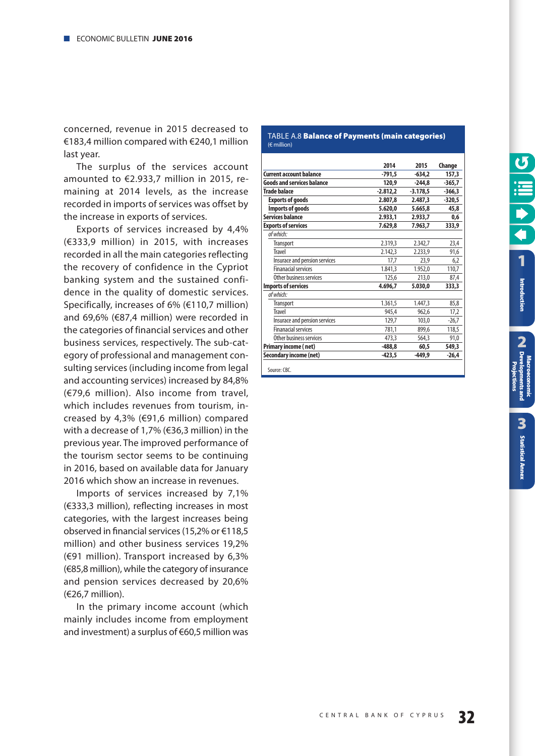<span id="page-31-0"></span>concerned, revenue in 2015 decreased to €183,4 million compared with €240,1 million last year.

The surplus of the services account amounted to €2.933,7 million in 2015, remaining at 2014 levels, as the increase recorded in imports of services was offset by the increase in exports of services.

Exports of services increased by 4,4% (€333,9 million) in 2015, with increases recorded in all the main categories reflecting the recovery of confidence in the Cypriot banking system and the sustained confidence in the quality of domestic services. Specifically, increases of 6% (€110,7 million) and 69,6% (€87,4 million) were recorded in the categories of financial services and other business services, respectively. The sub-category of professional and management consulting services (including income from legal and accounting services) increased by 84,8% (€79,6 million). Also income from travel, which includes revenues from tourism, increased by 4,3% (€91,6 million) compared with a decrease of 1,7% (€36,3 million) in the previous year. The improved performance of the tourism sector seems to be continuing in 2016, based on available data for January 2016 which show an increase in revenues.

Imports of services increased by 7,1% (€333,3 million), reflecting increases in most categories, with the largest increases being observed in financial services (15,2% or €118,5 million) and other business services 19,2% (€91 million). Transport increased by 6,3% (€85,8 million), while the category of insurance and pension services decreased by 20,6% (€26,7 million).

In the primary income account (which mainly includes income from employment and investment) a surplus of €60,5 million was

#### TABLE A.8 **Balance of Payments (main categories)** (€ million)

|                                   | 2014       | 2015       | Change   |
|-----------------------------------|------------|------------|----------|
| <b>Current account balance</b>    | -791,5     | $-634,2$   | 157,3    |
| <b>Goods and services balance</b> | 120,9      | $-244,8$   | $-365,7$ |
| Trade balace                      | $-2.812.2$ | $-3.178,5$ | $-366.3$ |
| <b>Exports of goods</b>           | 2.807.8    | 2.487.3    | $-320,5$ |
| Imports of goods                  | 5.620,0    | 5.665.8    | 45,8     |
| Services balance                  | 2.933,1    | 2.933,7    | 0,6      |
| <b>Exports of services</b>        | 7.629,8    | 7.963,7    | 333,9    |
| of which:                         |            |            |          |
| <b>Transport</b>                  | 2.319,3    | 2.342,7    | 23,4     |
| <b>Travel</b>                     | 2.142,3    | 2.233,9    | 91,6     |
| Insurace and pension services     | 17,7       | 23,9       | 6,2      |
| <b>Finanacial services</b>        | 1.841,3    | 1.952,0    | 110,7    |
| Other business services           | 125,6      | 213,0      | 87,4     |
| <b>Imports of services</b>        | 4.696,7    | 5.030,0    | 333,3    |
| of which:                         |            |            |          |
| <b>Transport</b>                  | 1.361,5    | 1.447.3    | 85,8     |
| Travel                            | 945,4      | 962,6      | 17,2     |
| Insurace and pension services     | 129.7      | 103,0      | $-26,7$  |
| <b>Finanacial services</b>        | 781,1      | 899,6      | 118,5    |
| Other business services           | 473,3      | 564,3      | 91,0     |
| Primary income (net)              | $-488,8$   | 60,5       | 549,3    |
| Secondary income (net)            | $-423,5$   | $-449,9$   | $-26,4$  |

Source: CBC.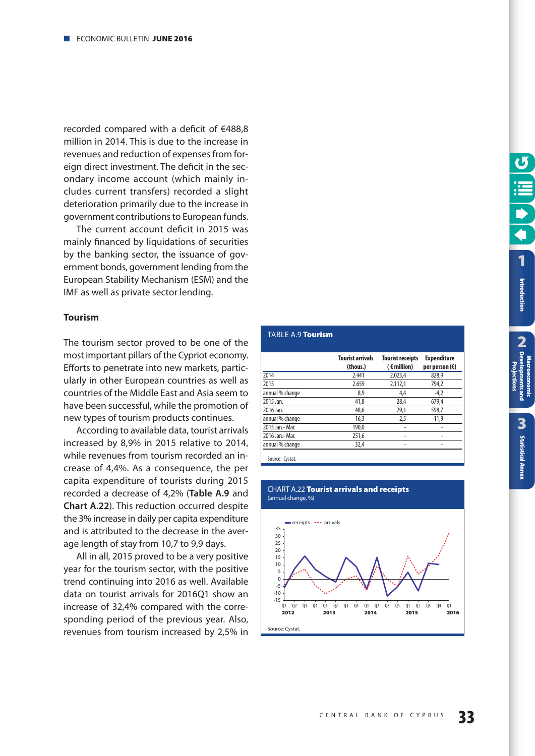<span id="page-32-0"></span>recorded compared with a deficit of €488,8 million in 2014. This is due to the increase in revenues and reduction of expenses from foreign direct investment. The deficit in the secondary income account (which mainly includes current transfers) recorded a slight deterioration primarily due to the increase in government contributions to European funds.

The current account deficit in 2015 was mainly financed by liquidations of securities by the banking sector, the issuance of government bonds, government lending from the European Stability Mechanism (ESM) and the IMF as well as private sector lending.

#### **Tourism**

The tourism sector proved to be one of the most important pillars of the Cypriot economy. Efforts to penetrate into new markets, particularly in other European countries as well as countries of the Middle East and Asia seem to have been successful, while the promotion of new types of tourism products continues.

According to available data, tourist arrivals increased by 8,9% in 2015 relative to 2014, while revenues from tourism recorded an increase of 4,4%. As a consequence, the per capita expenditure of tourists during 2015 recorded a decrease of 4,2% (**Table A.9** and **Chart A.22**). This reduction occurred despite the 3% increase in daily per capita expenditure and is attributed to the decrease in the average length of stay from 10,7 to 9,9 days.

All in all, 2015 proved to be a very positive year for the tourism sector, with the positive trend continuing into 2016 as well. Available data on tourist arrivals for 2016Q1 show an increase of 32,4% compared with the corresponding period of the previous year. Also, revenues from tourism increased by 2,5% in

#### TABLE A.9 **Tourism**

|                  | <b>Tourist arrivals</b><br>(thous.) | <b>Tourist receipts</b><br>$($ $\epsilon$ million) | <b>Expenditure</b><br>per person $(\epsilon)$ |
|------------------|-------------------------------------|----------------------------------------------------|-----------------------------------------------|
| 2014             | 2.441                               | 2.023.4                                            | 828,9                                         |
| 2015             | 2.659                               | 2.112,1                                            | 794,2                                         |
| annual % change  | 8,9                                 | 4,4                                                | $-4,2$                                        |
| 2015 Jan.        | 41,8                                | 28.4                                               | 679.4                                         |
| 2016 Jan.        | 48,6                                | 29,1                                               | 598.7                                         |
| annual % change  | 16,3                                | 2,5                                                | $-11,9$                                       |
| 2015 Jan.- Mar.  | 190.0                               |                                                    |                                               |
| 2016 Jan. - Mar. | 251,6                               |                                                    |                                               |
| annual % change  | 32,4                                |                                                    |                                               |

#### CHART A.22 **Tourist arrivals and receipts** (annual change, %)

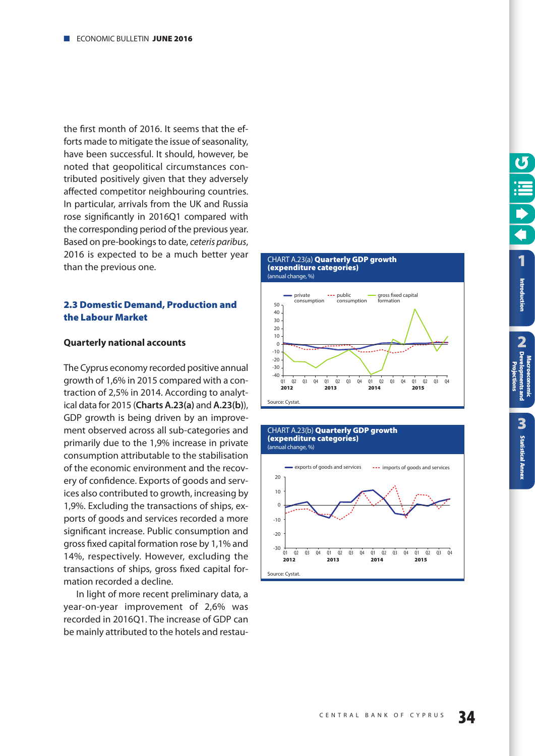<span id="page-33-0"></span>the first month of 2016. It seems that the efforts made to mitigate the issue of seasonality, have been successful. It should, however, be noted that geopolitical circumstances contributed positively given that they adversely affected competitor neighbouring countries. In particular, arrivals from the UK and Russia rose significantly in 2016Q1 compared with the corresponding period of the previous year. Based on pre-bookings to date, *ceteris paribus*, 2016 is expected to be a much better year than the previous one.

#### **2.3 Domestic Demand, Production and the Labour Market**

#### **Quarterly national accounts**

The Cyprus economy recorded positive annual growth of 1,6% in 2015 compared with a contraction of 2,5% in 2014. According to analytical data for 2015 (**Charts A.23(a)** and **A.23(b)**), GDP growth is being driven by an improvement observed across all sub-categories and primarily due to the 1,9% increase in private consumption attributable to the stabilisation of the economic environment and the recovery of confidence. Exports of goods and services also contributed to growth, increasing by 1,9%. Excluding the transactions of ships, exports of goods and services recorded a more significant increase. Public consumption and gross fixed capital formation rose by 1,1% and 14%, respectively. However, excluding the transactions of ships, gross fixed capital formation recorded a decline.

In light of more recent preliminary data, a year-on-year improvement of 2,6% was recorded in 2016Q1. The increase of GDP can be mainly attributed to the hotels and restau-







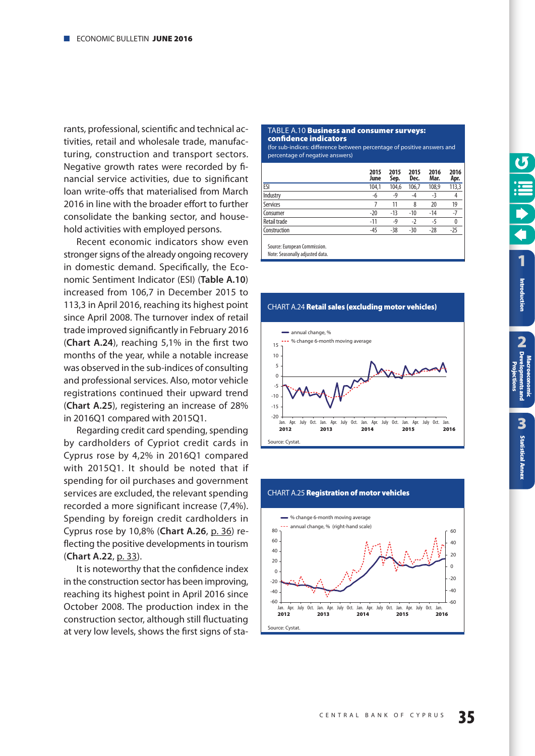<span id="page-34-0"></span>rants, professional, scientific and technical activities, retail and wholesale trade, manufacturing, construction and transport sectors. Negative growth rates were recorded by financial service activities, due to significant loan write-offs that materialised from March 2016 in line with the broader effort to further consolidate the banking sector, and household activities with employed persons.

Recent economic indicators show even stronger signs of the already ongoing recovery in domestic demand. Specifically, the Economic Sentiment Indicator (ESI) (**Table A.10**) increased from 106,7 in December 2015 to 113,3 in April 2016, reaching its highest point since April 2008. The turnover index of retail trade improved significantly in February 2016 (**Chart A.24**), reaching 5,1% in the first two months of the year, while a notable increase was observed in the sub-indices of consulting and professional services. Also, motor vehicle registrations continued their upward trend (**Chart A.25**), registering an increase of 28% in 2016Q1 compared with 2015Q1.

Regarding credit card spending, spending by cardholders of Cypriot credit cards in Cyprus rose by 4,2% in 2016Q1 compared with 2015Q1. It should be noted that if spending for oil purchases and government services are excluded, the relevant spending recorded a more significant increase (7,4%). Spending by foreign credit cardholders in Cyprus rose by 10,8% (**Chart A.26**, [p. 36\)](#page-35-0) reflecting the positive developments in tourism (**Chart A.22**, [p. 33\)](#page-32-0).

It is noteworthy that the confidence index in the construction sector has been improving, reaching its highest point in April 2016 since October 2008. The production index in the construction sector, although still fluctuating at very low levels, shows the first signs of sta-

#### TABLE A.10 **Business and consumer surveys: confidence indicators**

(for sub-indices: difference between percentage of positive answers and percentage of negative answers)

|              | 2015<br>June | 2015<br>Sep. | 2015<br>Dec. | 2016<br>Mar. | 2016<br>Apr. |
|--------------|--------------|--------------|--------------|--------------|--------------|
| <b>ESI</b>   | 104,1        | 104,6        | 106,7        | 108,9        | 113,3        |
| Industry     | -6           | -9           | -4           | -3           | 4            |
| Services     |              | 11           | 8            | 20           | 19           |
| Consumer     | $-20$        | $-13$        | $-10$        | $-14$        | $-7$         |
| Retail trade | $-11$        | $-9$         | $-2$         | $-5$         | 0            |
| Construction | $-45$        | $-38$        | $-30$        | $-28$        | $-25$        |
|              |              |              |              |              |              |

Source: European Commission.

Note: Seasonally adjusted data.





## CHART Α.25 **Registration of motor vehicles**

**[Statistical Annex](#page-52-0)**

**Statistical Annex**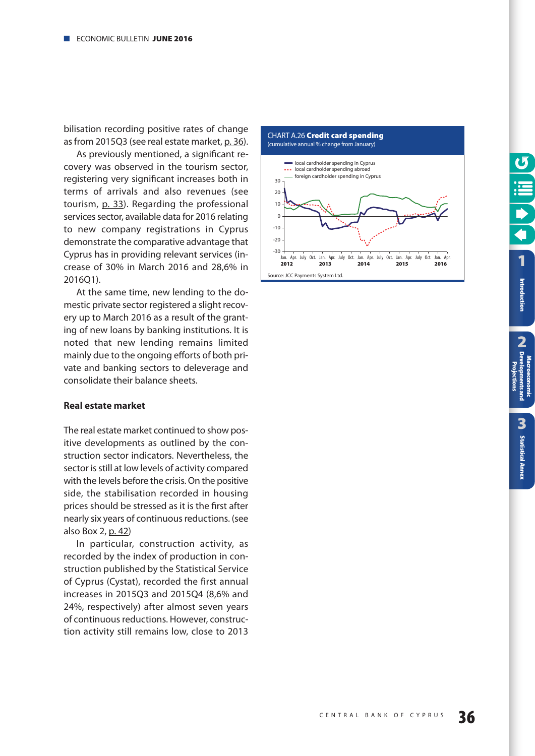<span id="page-35-0"></span>bilisation recording positive rates of change as from 2015Q3 (see real estate market, [p. 36\)](#page-35-0).

As previously mentioned, a significant recovery was observed in the tourism sector, registering very significant increases both in terms of arrivals and also revenues (see tourism, [p. 33\)](#page-32-0). Regarding the professional services sector, available data for 2016 relating to new company registrations in Cyprus demonstrate the comparative advantage that Cyprus has in providing relevant services (increase of 30% in March 2016 and 28,6% in 2016Q1).

At the same time, new lending to the domestic private sector registered a slight recovery up to March 2016 as a result of the granting of new loans by banking institutions. It is noted that new lending remains limited mainly due to the ongoing efforts of both private and banking sectors to deleverage and consolidate their balance sheets.

#### **Real estate market**

The real estate market continued to show positive developments as outlined by the construction sector indicators. Nevertheless, the sector is still at low levels of activity compared with the levels before the crisis. On the positive side, the stabilisation recorded in housing prices should be stressed as it is the first after nearly six years of continuous reductions. (see also Box 2, [p. 42\)](#page-41-0)

In particular, construction activity, as recorded by the index of production in construction published by the Statistical Service of Cyprus (Cystat), recorded the first annual increases in 2015Q3 and 2015Q4 (8,6% and 24%, respectively) after almost seven years of continuous reductions. However, construction activity still remains low, close to 2013



**2**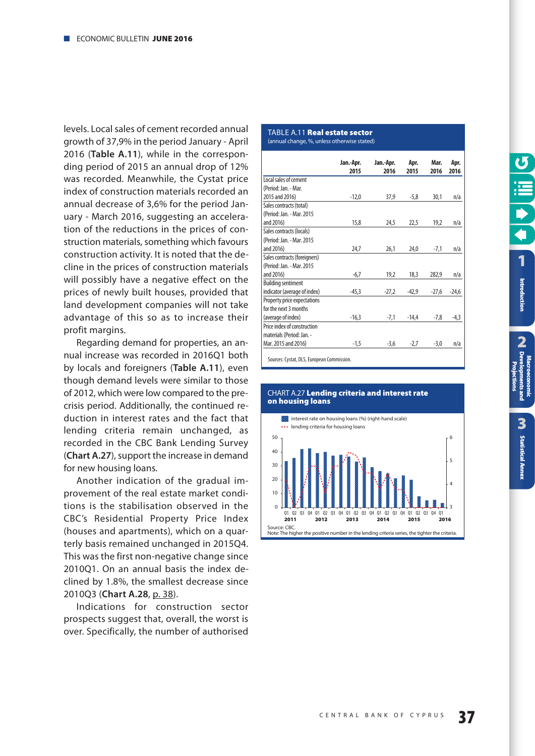<span id="page-36-0"></span>levels. Local sales of cement recorded annual growth of 37,9% in the period January - April 2016 (**Table A.11**), while in the corresponding period of 2015 an annual drop of 12% was recorded. Meanwhile, the Cystat price index of construction materials recorded an annual decrease of 3,6% for the period January - March 2016, suggesting an acceleration of the reductions in the prices of construction materials, something which favours construction activity. It is noted that the decline in the prices of construction materials will possibly have a negative effect on the prices of newly built houses, provided that land development companies will not take advantage of this so as to increase their profit margins.

Regarding demand for properties, an annual increase was recorded in 2016Q1 both by locals and foreigners (**Table A.11**), even though demand levels were similar to those of 2012, which were low compared to the precrisis period. Additionally, the continued reduction in interest rates and the fact that lending criteria remain unchanged, as recorded in the CBC Bank Lending Survey (**Chart A.27**), support the increase in demand for new housing loans.

Another indication of the gradual improvement of the real estate market conditions is the stabilisation observed in the CBC's Residential Property Price Index (houses and apartments), which on a quarterly basis remained unchanged in 2015Q4. This was the first non-negative change since 2010Q1. On an annual basis the index declined by 1.8%, the smallest decrease since 2010Q3 (**Chart A.28**, [p. 38\)](#page-37-0).

Indications for construction sector prospects suggest that, overall, the worst is over. Specifically, the number of authorised

#### TABLE A.11 **Real estate sector**

(annual change, %, unless otherwise stated)

| $-12,0$<br>37,9<br>15,8<br>24,5<br>24,7<br>26,1 | $-5,8$<br>22,5<br>24,0       | 30,1<br>19,2<br>$-7,1$ | n/a<br>n/a<br>n/a |
|-------------------------------------------------|------------------------------|------------------------|-------------------|
|                                                 |                              |                        |                   |
|                                                 |                              |                        |                   |
|                                                 |                              |                        |                   |
|                                                 |                              |                        |                   |
|                                                 |                              |                        |                   |
|                                                 |                              |                        |                   |
|                                                 |                              |                        |                   |
|                                                 |                              |                        |                   |
|                                                 |                              |                        |                   |
|                                                 |                              |                        |                   |
|                                                 |                              |                        |                   |
| 19,2<br>$-6,7$                                  | 18,3                         | 282,9                  | n/a               |
|                                                 |                              |                        |                   |
| $-27,2$                                         | $-42,9$                      | $-27,6$                | $-24,6$           |
|                                                 |                              |                        |                   |
|                                                 |                              |                        |                   |
| $-7,1$                                          |                              | $-7,8$                 | $-4,3$            |
|                                                 |                              |                        |                   |
|                                                 |                              |                        |                   |
|                                                 | $-2,7$                       | $-3,0$                 | n/a               |
|                                                 | $-45,3$<br>$-16,3$<br>$-1,5$ | $-3,6$                 | $-14,4$           |

Sources: Cystat, DLS, European Commission.



#### CHART Α.27 **Lending criteria and interest rate on housing loans**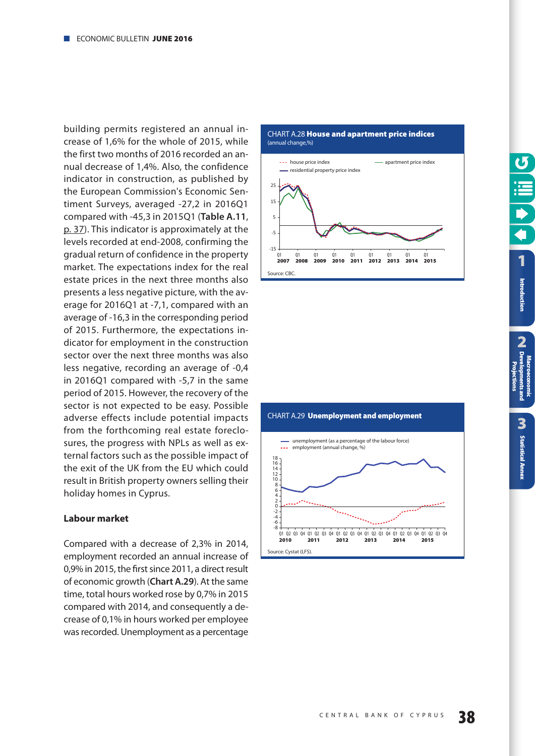<span id="page-37-0"></span>building permits registered an annual increase of 1,6% for the whole of 2015, while the first two months of 2016 recorded an annual decrease of 1,4%. Also, the confidence indicator in construction, as published by the European Commission's Economic Sentiment Surveys, averaged -27,2 in 2016Q1 compared with -45,3 in 2015Q1 (**Table A.11**, [p. 37\)](#page-36-0). This indicator is approximately at the levels recorded at end-2008, confirming the gradual return of confidence in the property market. The expectations index for the real estate prices in the next three months also presents a less negative picture, with the average for 2016Q1 at -7,1, compared with an average of -16,3 in the corresponding period of 2015. Furthermore, the expectations indicator for employment in the construction sector over the next three months was also less negative, recording an average of -0,4 in 2016Q1 compared with -5,7 in the same period of 2015. However, the recovery of the sector is not expected to be easy. Possible adverse effects include potential impacts from the forthcoming real estate foreclosures, the progress with NPLs as well as external factors such as the possible impact of the exit of the UK from the EU which could result in British property owners selling their holiday homes in Cyprus.

#### **Labour market**

Compared with a decrease of 2,3% in 2014, employment recorded an annual increase of 0,9% in 2015, the first since 2011, a direct result of economic growth (**Chart A.29**). At the same time, total hours worked rose by 0,7% in 2015 compared with 2014, and consequently a decrease of 0,1% in hours worked per employee was recorded. Unemployment as a percentage





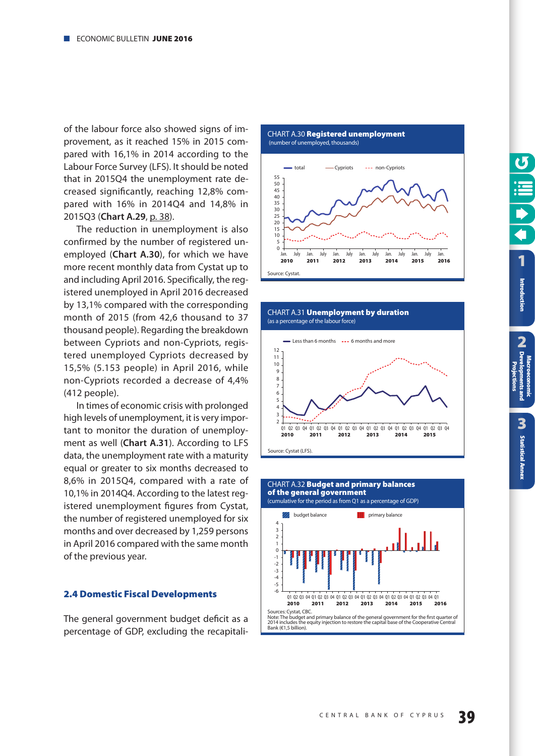<span id="page-38-0"></span>of the labour force also showed signs of improvement, as it reached 15% in 2015 compared with 16,1% in 2014 according to the Labour Force Survey (LFS). It should be noted that in 2015Q4 the unemployment rate decreased significantly, reaching 12,8% compared with 16% in 2014Q4 and 14,8% in 2015Q3 (**Chart A.29**, [p. 38\)](#page-37-0).

The reduction in unemployment is also confirmed by the number of registered unemployed (**Chart A.30**), for which we have more recent monthly data from Cystat up to and including April 2016. Specifically, the registered unemployed in April 2016 decreased by 13,1% compared with the corresponding month of 2015 (from 42,6 thousand to 37 thousand people). Regarding the breakdown between Cypriots and non-Cypriots, registered unemployed Cypriots decreased by 15,5% (5.153 people) in April 2016, while non-Cypriots recorded a decrease of 4,4% (412 people).

In times of economic crisis with prolonged high levels of unemployment, it is very important to monitor the duration of unemployment as well (**Chart A.31**). According to LFS data, the unemployment rate with a maturity equal or greater to six months decreased to 8,6% in 2015Q4, compared with a rate of 10,1% in 2014Q4. According to the latest registered unemployment figures from Cystat, the number of registered unemployed for six months and over decreased by 1,259 persons in April 2016 compared with the same month of the previous year.

#### **2.4 Domestic Fiscal Developments**

The general government budget deficit as a percentage of GDP, excluding the recapitali-

CHART Α.30 **Registered unemployment** 







CHART Α.31 **Unemployment by duration**



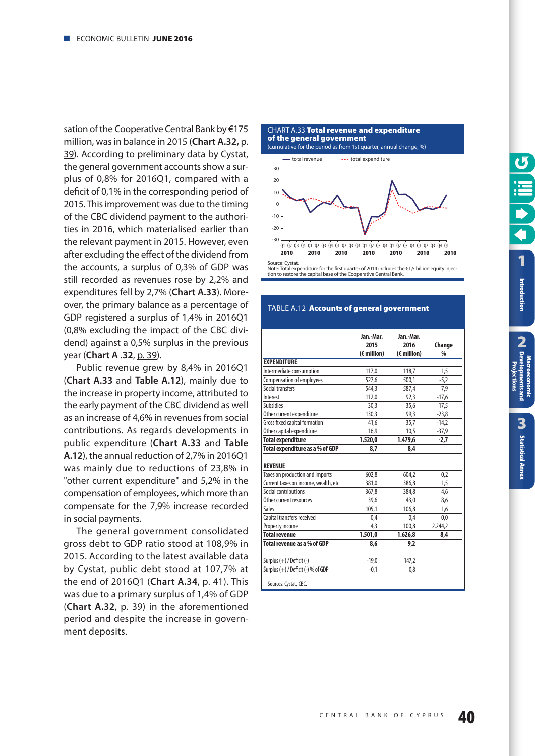<span id="page-39-0"></span>sation of the Cooperative Central Bank by €175 million, was in balance in 2015 (**Chart A.32,** p. 39). According to preliminary data by Cystat, the general government accounts show a surplus of 0,8% for 2016Q1, compared with a deficit of 0,1% in the corresponding period of 2015. This improvement was due to the timing of the CBC dividend payment to the authorities in 2016, which materialised earlier than the relevant payment in 2015. However, even after excluding the effect of the dividend from the accounts, a surplus of 0,3% of GDP was still recorded as revenues rose by 2,2% and expenditures fell by 2,7% (**Chart A.33**). Moreover, the primary balance as a percentage of GDP registered a surplus of 1,4% in 2016Q1 (0,8% excluding the impact of the CBC dividend) against a 0,5% surplus in the previous year (**Chart [A .32](#page-38-0)**, p. 39).

Public revenue grew by 8,4% in 2016Q1 (**Chart A.33** and **Table A.12**), mainly due to the increase in property income, attributed to the early payment of the CBC dividend as well as an increase of 4,6% in revenues from social contributions. As regards developments in public expenditure (**Chart A.33** and **Table A.12**), the annual reduction of 2,7% in 2016Q1 was mainly due to reductions of 23,8% in "other current expenditure" and 5,2% in the compensation of employees, which more than compensate for the 7,9% increase recorded in social payments.

The general government consolidated gross debt to GDP ratio stood at 108,9% in 2015. According to the latest available data by Cystat, public debt stood at 107,7% at the end of 2016Q1 (**Chart A.34**, [p. 41\)](#page-40-0). This was due to a primary surplus of 1,4% of GDP (**Chart A.32**, [p. 39\)](#page-38-0) in the aforementioned period and despite the increase in government deposits.





#### TABLE A.12 **Accounts of general government**

|                                        | Jan.-Mar.<br>2015<br>$(\epsilon$ million) | Jan.-Mar.<br>2016<br>$(\epsilon$ million) | Change<br>$\frac{0}{0}$ |
|----------------------------------------|-------------------------------------------|-------------------------------------------|-------------------------|
| <b>EXPENDITURE</b>                     |                                           |                                           |                         |
| Intermediate consumption               | 117,0                                     | 118,7                                     | 1,5                     |
| <b>Compensation of employees</b>       | 527,6                                     | 500.1                                     | $-5,2$                  |
| Social transfers                       | 544,3                                     | 587,4                                     | 7,9                     |
| Interest                               | 112,0                                     | 92.3                                      | $-17,6$                 |
| <b>Subsidies</b>                       | 30,3                                      | 35,6                                      | 17,5                    |
| Other current expenditure              | 130.3                                     | 99.3                                      | $-23,8$                 |
| Gross fixed capital formation          | 41,6                                      | 35,7                                      | $-14,2$                 |
| Other capital expenditure              | 16,9                                      | 10.5                                      | $-37,9$                 |
| <b>Total expenditure</b>               | 1.520.0                                   | 1.479,6                                   | -2,7                    |
| Total expenditure as a % of GDP        | 8,7                                       | 8,4                                       |                         |
| <b>REVENUE</b>                         |                                           |                                           |                         |
| Taxes on production and imports        | 602,8                                     | 604.2                                     | 0,2                     |
| Current taxes on income, wealth, etc   | 381,0                                     | 386,8                                     | 1,5                     |
| Social contributions                   | 367.8                                     | 384.8                                     | 4,6                     |
| Other current resources                | 39.6                                      | 43.0                                      | 8,6                     |
| Sales                                  | 105,1                                     | 106,8                                     | 1,6                     |
| Capital transfers received             | 0,4                                       | 0,4                                       | 0,0                     |
| Property income                        | 4,3                                       | 100,8                                     | 2.244,2                 |
| <b>Total revenue</b>                   | 1.501,0                                   | 1.626,8                                   | 8,4                     |
| Total revenue as a % of GDP            | 8,6                                       | 9,2                                       |                         |
| Surplus $(+)$ / Deficit $(-)$          | $-19.0$                                   | 147.2                                     |                         |
| Surplus $(+)$ / Deficit $(-)$ % of GDP | $-0,1$                                    | 0,8                                       |                         |
| Sources: Cystat, CBC.                  |                                           |                                           |                         |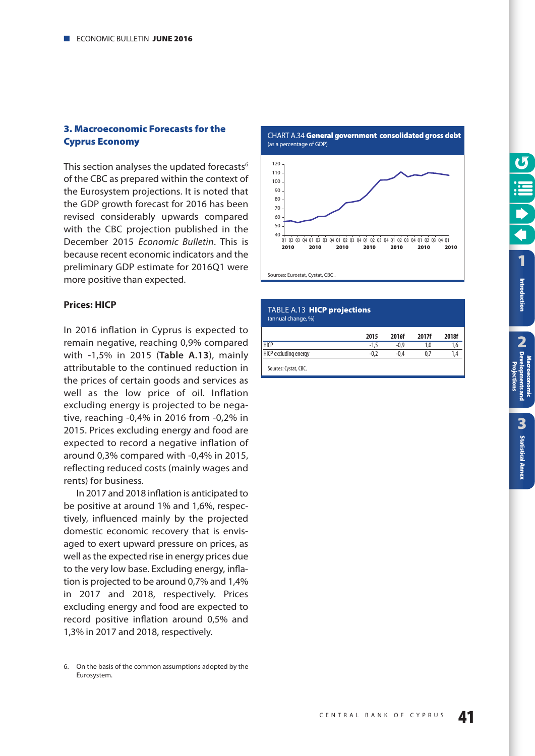#### <span id="page-40-0"></span>**3. Macroeconomic Forecasts for the Cyprus Economy**

This section analyses the updated forecasts<sup>6</sup> of the CBC as prepared within the context of the Eurosystem projections. It is noted that the GDP growth forecast for 2016 has been revised considerably upwards compared with the CBC projection published in the December 2015 Economic Bulletin. This is because recent economic indicators and the preliminary GDP estimate for 2016Q1 were more positive than expected.

#### **Prices: HICP**

In 2016 inflation in Cyprus is expected to remain negative, reaching 0,9% compared with -1,5% in 2015 (**Table A.13**), mainly attributable to the continued reduction in the prices of certain goods and services as well as the low price of oil. Inflation excluding energy is projected to be negative, reaching -0,4% in 2016 from -0,2% in 2015. Prices excluding energy and food are expected to record a negative inflation of around 0,3% compared with -0,4% in 2015, reflecting reduced costs (mainly wages and rents) for business.

In 2017 and 2018 inflation is anticipated to be positive at around 1% and 1,6%, respectively, influenced mainly by the projected domestic economic recovery that is envisaged to exert upward pressure on prices, as well as the expected rise in energy prices due to the very low base. Excluding energy, inflation is projected to be around 0,7% and 1,4% in 2017 and 2018, respectively. Prices excluding energy and food are expected to record positive inflation around 0,5% and 1,3% in 2017 and 2018, respectively.

CHART Α.34 **General government consolidated gross debt** (as a percentage of GDP)



#### TABLE A.13 **HICP projections** (annual change, %)

|                       | 2015 | 2016f  | 2017f | 2018f |
|-----------------------|------|--------|-------|-------|
| <b>HICP</b>           | - 1  | $-0.9$ | 1.0   | ٥, ١  |
| HICP excluding energy |      | -0.4   | 0.7   | 1.4   |

Sources: Cystat, CBC.

**Macroeconomic**

<sup>6.</sup> On the basis of the common assumptions adopted by the Eurosystem.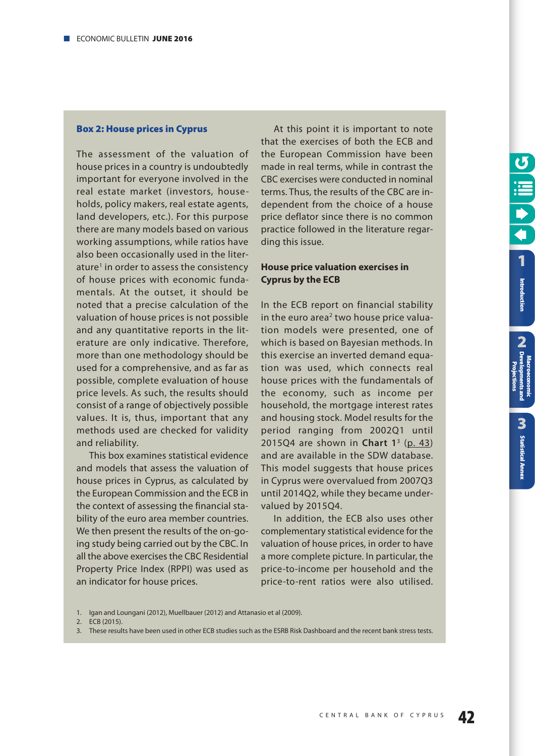#### <span id="page-41-0"></span>**Box 2: House prices in Cyprus**

The assessment of the valuation of house prices in a country is undoubtedly important for everyone involved in the real estate market (investors, households, policy makers, real estate agents, land developers, etc.). For this purpose there are many models based on various working assumptions, while ratios have also been occasionally used in the literature<sup>1</sup> in order to assess the consistency of house prices with economic fundamentals. At the outset, it should be noted that a precise calculation of the valuation of house prices is not possible and any quantitative reports in the literature are only indicative. Therefore, more than one methodology should be used for a comprehensive, and as far as possible, complete evaluation of house price levels. As such, the results should consist of a range of objectively possible values. It is, thus, important that any methods used are checked for validity and reliability.

This box examines statistical evidence and models that assess the valuation of house prices in Cyprus, as calculated by the European Commission and the ECB in the context of assessing the financial stability of the euro area member countries. We then present the results of the on-going study being carried out by the CBC. In all the above exercises the CBC Residential Property Price Index (RPPI) was used as an indicator for house prices.

At this point it is important to note that the exercises of both the ECB and the European Commission have been made in real terms, while in contrast the CBC exercises were conducted in nominal terms. Thus, the results of the CBC are independent from the choice of a house price deflator since there is no common practice followed in the literature regarding this issue.

**[1](#page-7-0)**

Introduction

**2 Introduction**<br> **CA** Developments and<br>
CA Developments and

**[Statistical Annex](#page-52-0)**

**Statistical Annex** 

3

**Macroeconomic [Developments and](#page-9-0) Projections**

#### **House price valuation exercises in Cyprus by the ECB**

In the ECB report on financial stability in the euro area<sup>2</sup> two house price valuation models were presented, one of which is based on Bayesian methods. In this exercise an inverted demand equation was used, which connects real house prices with the fundamentals of the economy, such as income per household, the mortgage interest rates and housing stock. Model results for the period ranging from 2002Q1 until 2015Q4 are shown in **Chart 1**<sup>3</sup> ([p. 43\)](#page-42-0) and are available in the SDW database. This model suggests that house prices in Cyprus were overvalued from 2007Q3 until 2014Q2, while they became undervalued by 2015Q4.

In addition, the ECB also uses other complementary statistical evidence for the valuation of house prices, in order to have a more complete picture. In particular, the price-to-income per household and the price-to-rent ratios were also utilised.

- 1. Igan and Loungani (2012), Muellbauer (2012) and Attanasio et al (2009).
- 2. ECB (2015).
- 3. These results have been used in other ECB studies such as the ESRB Risk Dashboard and the recent bank stress tests.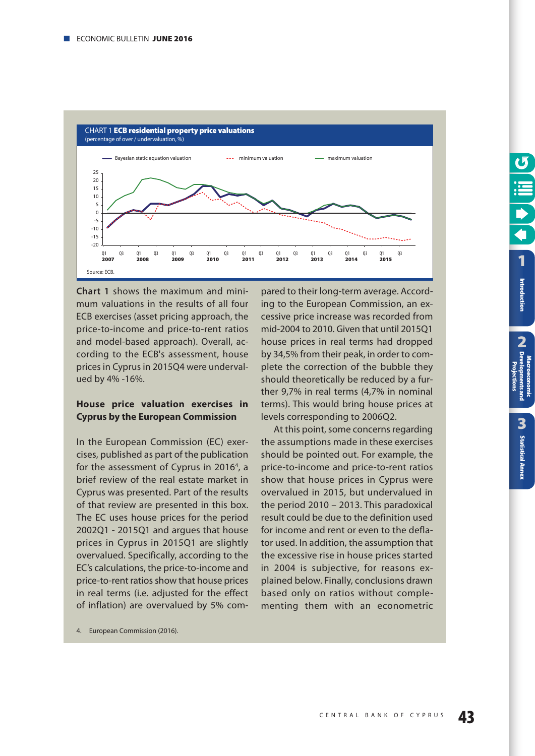<span id="page-42-0"></span>

**Chart 1** shows the maximum and minimum valuations in the results of all four ECB exercises (asset pricing approach, the price-to-income and price-to-rent ratios and model-based approach). Overall, according to the ECB's assessment, house prices in Cyprus in 2015Q4 were undervalued by 4% -16%.

#### **House price valuation exercises in Cyprus by the European Commission**

In the European Commission (EC) exercises, published as part of the publication for the assessment of Cyprus in 2016<sup>4</sup>, a brief review of the real estate market in Cyprus was presented. Part of the results of that review are presented in this box. The EC uses house prices for the period 2002Q1 - 2015Q1 and argues that house prices in Cyprus in 2015Q1 are slightly overvalued. Specifically, according to the EC's calculations, the price-to-income and price-to-rent ratios show that house prices in real terms (i.e. adjusted for the effect of inflation) are overvalued by 5% com-

pared to their long-term average. According to the European Commission, an excessive price increase was recorded from mid-2004 to 2010. Given that until 2015Q1 house prices in real terms had dropped by 34,5% from their peak, in order to complete the correction of the bubble they should theoretically be reduced by a further 9,7% in real terms (4,7% in nominal terms). This would bring house prices at levels corresponding to 2006Q2.

At this point, some concerns regarding the assumptions made in these exercises should be pointed out. For example, the price-to-income and price-to-rent ratios show that house prices in Cyprus were overvalued in 2015, but undervalued in the period 2010 – 2013. This paradoxical result could be due to the definition used for income and rent or even to the deflator used. In addition, the assumption that the excessive rise in house prices started in 2004 is subjective, for reasons explained below. Finally, conclusions drawn based only on ratios without complementing them with an econometric

4. European Commission (2016).

**2**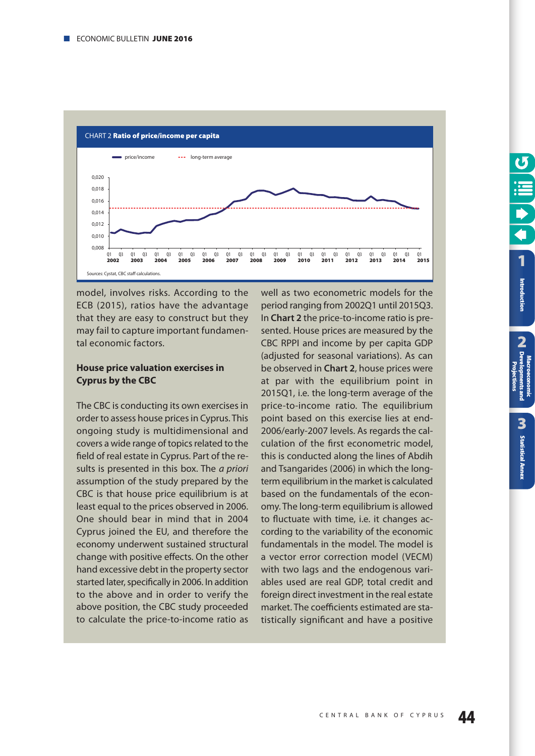

model, involves risks. According to the ECB (2015), ratios have the advantage that they are easy to construct but they may fail to capture important fundamental economic factors.

#### **House price valuation exercises in Cyprus by the CBC**

The CBC is conducting its own exercises in order to assess house prices in Cyprus. This ongoing study is multidimensional and covers a wide range of topics related to the field of real estate in Cyprus. Part of the results is presented in this box. The *a priori* assumption of the study prepared by the CBC is that house price equilibrium is at least equal to the prices observed in 2006. One should bear in mind that in 2004 Cyprus joined the EU, and therefore the economy underwent sustained structural change with positive effects. On the other hand excessive debt in the property sector started later, specifically in 2006. In addition to the above and in order to verify the above position, the CBC study proceeded to calculate the price-to-income ratio as

well as two econometric models for the period ranging from 2002Q1 until 2015Q3. In **Chart 2** the price-to-income ratio is presented. House prices are measured by the CBC RPPI and income by per capita GDP (adjusted for seasonal variations). As can be observed in **Chart 2**, house prices were at par with the equilibrium point in 2015Q1, i.e. the long-term average of the price-to-income ratio. The equilibrium point based on this exercise lies at end-2006/early-2007 levels. As regards the calculation of the first econometric model, this is conducted along the lines of Abdih and Tsangarides (2006) in which the longterm equilibrium in the market is calculated based on the fundamentals of the economy. The long-term equilibrium is allowed to fluctuate with time, i.e. it changes according to the variability of the economic fundamentals in the model. The model is a vector error correction model (VECM) with two lags and the endogenous variables used are real GDP, total credit and foreign direct investment in the real estate market. The coefficients estimated are statistically significant and have a positive

**Macroeconomic**

**2**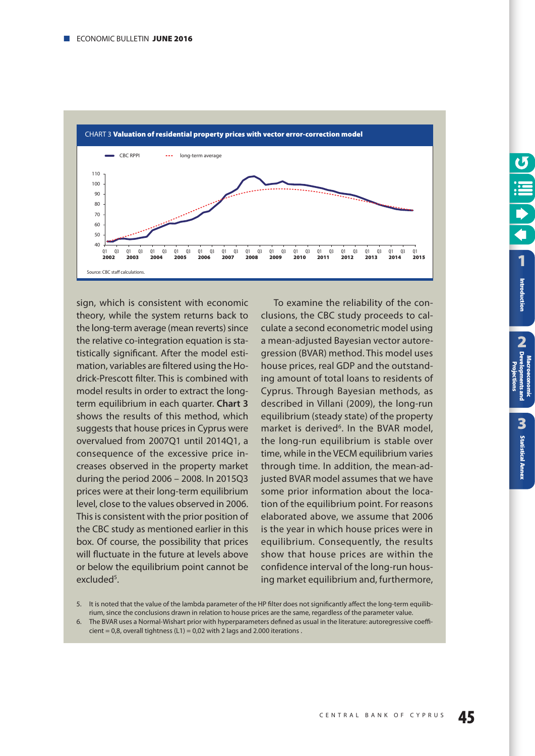

sign, which is consistent with economic theory, while the system returns back to the long-term average (mean reverts) since the relative co-integration equation is statistically significant. After the model estimation, variables are filtered using the Hodrick-Prescott filter. This is combined with model results in order to extract the longterm equilibrium in each quarter. **Chart 3** shows the results of this method, which suggests that house prices in Cyprus were overvalued from 2007Q1 until 2014Q1, a consequence of the excessive price increases observed in the property market during the period 2006 – 2008. In 2015Q3 prices were at their long-term equilibrium level, close to the values observed in 2006. This is consistent with the prior position of the CBC study as mentioned earlier in this box. Of course, the possibility that prices will fluctuate in the future at levels above or below the equilibrium point cannot be excluded<sup>5</sup>.

To examine the reliability of the conclusions, the CBC study proceeds to calculate a second econometric model using a mean-adjusted Bayesian vector autoregression (BVAR) method. This model uses house prices, real GDP and the outstanding amount of total loans to residents of Cyprus. Through Bayesian methods, as described in Villani (2009), the long-run equilibrium (steady state) of the property market is derived<sup>6</sup>. In the BVAR model, the long-run equilibrium is stable over time, while in the VECM equilibrium varies through time. In addition, the mean-adjusted BVAR model assumes that we have some prior information about the location of the equilibrium point. For reasons elaborated above, we assume that 2006 is the year in which house prices were in equilibrium. Consequently, the results show that house prices are within the confidence interval of the long-run housing market equilibrium and, furthermore,

6. The BVAR uses a Normal-Wishart prior with hyperparameters defined as usual in the literature: autoregressive coeffi $cient = 0.8$ , overall tightness (L1) = 0.02 with 2 lags and 2.000 iterations.

**Macroeconomic**

<sup>5.</sup> It is noted that the value of the lambda parameter of the HP filter does not significantly affect the long-term equilibrium, since the conclusions drawn in relation to house prices are the same, regardless of the parameter value.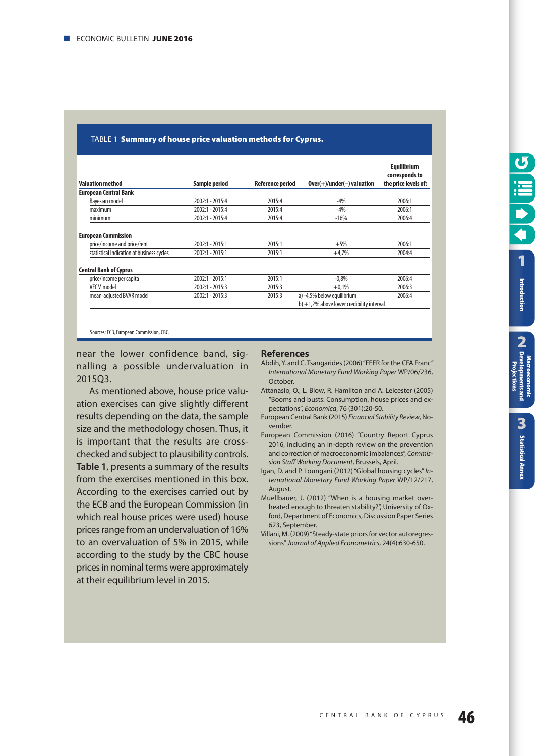| <b>Valuation method</b>                   | Sample period     | <b>Reference period</b> | $Over(+)/under(-)$ valuation                 | <b>Equilibrium</b><br>corresponds to<br>the price levels of: |
|-------------------------------------------|-------------------|-------------------------|----------------------------------------------|--------------------------------------------------------------|
| <b>European Central Bank</b>              |                   |                         |                                              |                                                              |
| Bayesian model                            | 2002:1 - 2015:4   | 2015:4                  | $-4%$                                        | 2006:1                                                       |
| maximum                                   | 2002:1 - 2015:4   | 2015:4                  | $-4%$                                        | 2006:1                                                       |
| minimum                                   | 2002:1 - 2015:4   | 2015:4                  | $-16%$                                       | 2006:4                                                       |
| <b>European Commission</b>                |                   |                         |                                              |                                                              |
| price/income and price/rent               | 2002:1 - 2015:1   | 2015:1                  | $+5%$                                        | 2006:1                                                       |
| statistical indication of business cycles | 2002:1 - 2015:1   | 2015:1                  | $+4,7%$                                      | 2004:4                                                       |
| <b>Central Bank of Cyprus</b>             |                   |                         |                                              |                                                              |
| price/income per capita                   | $2002:1 - 2015:1$ | 2015:1                  | $-0.8\%$                                     | 2006:4                                                       |
| <b>VECM</b> model                         | 2002:1 - 2015:3   | 2015:3                  | $+0.1%$                                      | 2006:3                                                       |
| mean-adjusted BVAR model                  | $2002:1 - 2015:3$ | 2015:3                  | a) -4,5% below equilibrium                   | 2006:4                                                       |
|                                           |                   |                         | $b$ ) +1.2% above lower credibility interval |                                                              |

#### TABLE 1 **Summary of house price valuation methods for Cyprus.**

Sources: ECB, European Commission, CBC.

near the lower confidence band, signalling a possible undervaluation in 2015Q3.

As mentioned above, house price valuation exercises can give slightly different results depending on the data, the sample size and the methodology chosen. Thus, it is important that the results are crosschecked and subject to plausibility controls. **Table 1**, presents a summary of the results from the exercises mentioned in this box. According to the exercises carried out by the ECB and the European Commission (in which real house prices were used) house prices range from an undervaluation of 16% to an overvaluation of 5% in 2015, while according to the study by the CBC house prices in nominal terms were approximately at their equilibrium level in 2015.

#### **References**

- Abdih, Y. and C. Tsangarides (2006) "FEER for the CFA Franc" International Monetary Fund Working Paper WP/06/236, **October**
- Attanasio, O., L. Blow, R. Hamilton and A. Leicester (2005) "Booms and busts: Consumption, house prices and expectations", Economica, 76 (301):20-50.
- European Central Bank (2015) Financial Stability Review, November.
- European Commission (2016) "Country Report Cyprus 2016, including an in-depth review on the prevention and correction of macroeconomic imbalances", Commission Staff Working Document, Brussels, April.
- Igan, D. and P. Loungani (2012) "Global housing cycles" International Monetary Fund Working Paper WP/12/217, August.
- Muellbauer, J. (2012) "When is a housing market overheated enough to threaten stability?", University of Oxford, Department of Economics, Discussion Paper Series 623, September.
- Villani, M. (2009) "Steady-state priors for vector autoregressions" Journal of Applied Econometrics, 24(4):630-650.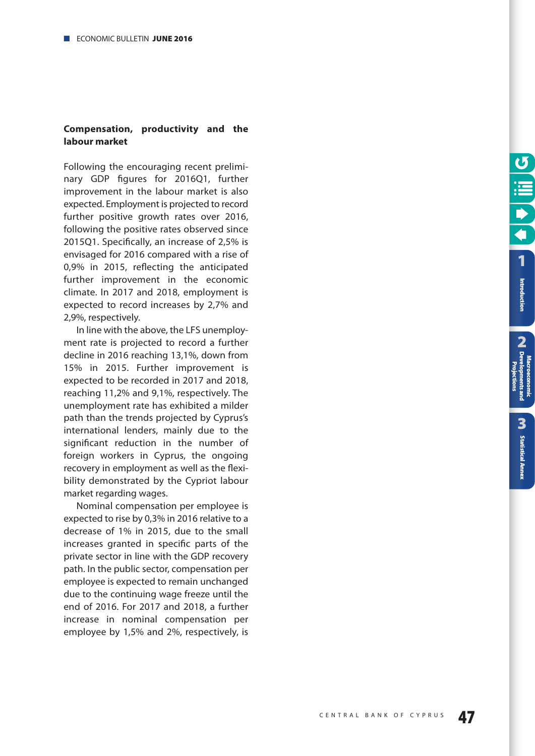#### **Compensation, productivity and the labour market**

Following the encouraging recent preliminary GDP figures for 2016Q1, further improvement in the labour market is also expected. Employment is projected to record further positive growth rates over 2016, following the positive rates observed since 2015Q1. Specifically, an increase of 2,5% is envisaged for 2016 compared with a rise of 0,9% in 2015, reflecting the anticipated further improvement in the economic climate. In 2017 and 2018, employment is expected to record increases by 2,7% and 2,9%, respectively.

In line with the above, the LFS unemployment rate is projected to record a further decline in 2016 reaching 13,1%, down from 15% in 2015. Further improvement is expected to be recorded in 2017 and 2018, reaching 11,2% and 9,1%, respectively. The unemployment rate has exhibited a milder path than the trends projected by Cyprus's international lenders, mainly due to the significant reduction in the number of foreign workers in Cyprus, the ongoing recovery in employment as well as the flexibility demonstrated by the Cypriot labour market regarding wages.

Nominal compensation per employee is expected to rise by 0,3% in 2016 relative to a decrease of 1% in 2015, due to the small increases granted in specific parts of the private sector in line with the GDP recovery path. In the public sector, compensation per employee is expected to remain unchanged due to the continuing wage freeze until the end of 2016. For 2017 and 2018, a further increase in nominal compensation per employee by 1,5% and 2%, respectively, is **2**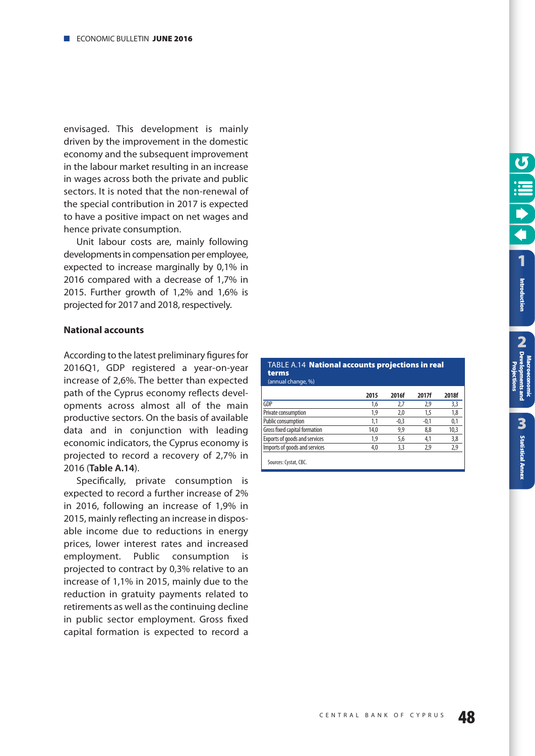<span id="page-47-0"></span>envisaged. This development is mainly driven by the improvement in the domestic economy and the subsequent improvement in the labour market resulting in an increase in wages across both the private and public sectors. It is noted that the non-renewal of the special contribution in 2017 is expected to have a positive impact on net wages and hence private consumption.

Unit labour costs are, mainly following developments in compensation per employee, expected to increase marginally by 0,1% in 2016 compared with a decrease of 1,7% in 2015. Further growth of 1,2% and 1,6% is projected for 2017 and 2018, respectively.

#### **National accounts**

According to the latest preliminary figures for 2016Q1, GDP registered a year-on-year increase of 2,6%. The better than expected path of the Cyprus economy reflects developments across almost all of the main productive sectors. On the basis of available data and in conjunction with leading economic indicators, the Cyprus economy is projected to record a recovery of 2,7% in 2016 (**Table A.14**).

Specifically, private consumption is expected to record a further increase of 2% in 2016, following an increase of 1,9% in 2015, mainly reflecting an increase in disposable income due to reductions in energy prices, lower interest rates and increased employment. Public consumption is projected to contract by 0,3% relative to an increase of 1,1% in 2015, mainly due to the reduction in gratuity payments related to retirements as well as the continuing decline in public sector employment. Gross fixed capital formation is expected to record a

|       | TABLE A.14 <b>National accounts projections in real</b> |
|-------|---------------------------------------------------------|
| terms |                                                         |

| (annual change, %)            |      |        |        |       |
|-------------------------------|------|--------|--------|-------|
|                               | 2015 | 2016f  | 2017f  | 2018f |
| <b>GDP</b>                    | 1,6  | 2.7    | 2,9    | 3,3   |
| Private consumption           | 1.9  | 2.0    | 15     | 1.8   |
| Public consumption            | 1.1  | $-0.3$ | $-0.1$ | 0.1   |
| Gross fixed capital formation | 14,0 | 9.9    | 8.8    | 10,3  |
| Exports of goods and services | 1.9  | 5.6    | 4.1    | 3,8   |
| Imports of goods and services | 4.0  | 3.3    | 2.9    | 2,9   |
|                               |      |        |        |       |

Sources: Cystat, CBC.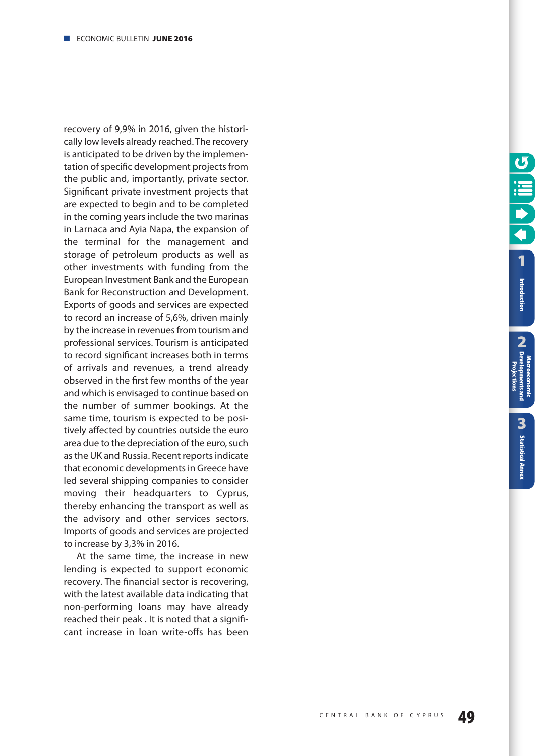recovery of 9,9% in 2016, given the historically low levels already reached. The recovery is anticipated to be driven by the implementation of specific development projects from the public and, importantly, private sector. Significant private investment projects that are expected to begin and to be completed in the coming years include the two marinas in Larnaca and Ayia Napa, the expansion of the terminal for the management and storage of petroleum products as well as other investments with funding from the European Investment Bank and the European Bank for Reconstruction and Development. Exports of goods and services are expected to record an increase of 5,6%, driven mainly by the increase in revenues from tourism and professional services. Tourism is anticipated to record significant increases both in terms of arrivals and revenues, a trend already observed in the first few months of the year and which is envisaged to continue based on the number of summer bookings. At the same time, tourism is expected to be positively affected by countries outside the euro area due to the depreciation of the euro, such as the UK and Russia. Recent reports indicate that economic developments in Greece have led several shipping companies to consider moving their headquarters to Cyprus, thereby enhancing the transport as well as the advisory and other services sectors. Imports of goods and services are projected to increase by 3,3% in 2016.

At the same time, the increase in new lending is expected to support economic recovery. The financial sector is recovering, with the latest available data indicating that non-performing loans may have already reached their peak . It is noted that a significant increase in loan write-offs has been **2**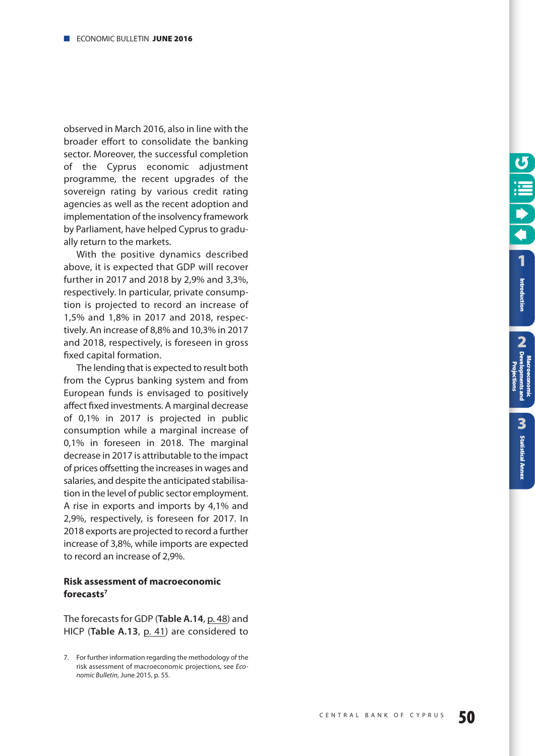observed in March 2016, also in line with the broader effort to consolidate the banking sector. Moreover, the successful completion of the Cyprus economic adjustment programme, the recent upgrades of the sovereign rating by various credit rating agencies as well as the recent adoption and implementation of the insolvency framework by Parliament, have helped Cyprus to gradually return to the markets.

With the positive dynamics described above, it is expected that GDP will recover further in 2017 and 2018 by 2,9% and 3,3%, respectively. In particular, private consumption is projected to record an increase of 1,5% and 1,8% in 2017 and 2018, respectively. An increase of 8,8% and 10,3% in 2017 and 2018, respectively, is foreseen in gross fixed capital formation.

The lending that is expected to result both from the Cyprus banking system and from European funds is envisaged to positively affect fixed investments. A marginal decrease of 0,1% in 2017 is projected in public consumption while a marginal increase of 0,1% in foreseen in 2018. The marginal decrease in 2017 is attributable to the impact of prices offsetting the increases in wages and salaries, and despite the anticipated stabilisation in the level of public sector employment. A rise in exports and imports by 4,1% and 2,9%, respectively, is foreseen for 2017. In 2018 exports are projected to record a further increase of 3,8%, while imports are expected to record an increase of 2,9%.

#### **Risk assessment of macroeconomic forecasts7**

The forecasts for GDP (**Table A.14**, [p. 48\)](#page-47-0) and HICP (**Table A.13**, [p. 41\)](#page-40-0) are considered to **[1](#page-7-0)** Introduction

**[Statistical Annex](#page-52-0)**

**Statistical Annex** 

**2**



<sup>7.</sup> For further information regarding the methodology of the risk assessment of macroeconomic projections, see Economic Bulletin, June 2015, [p. 55.](#page-66-0)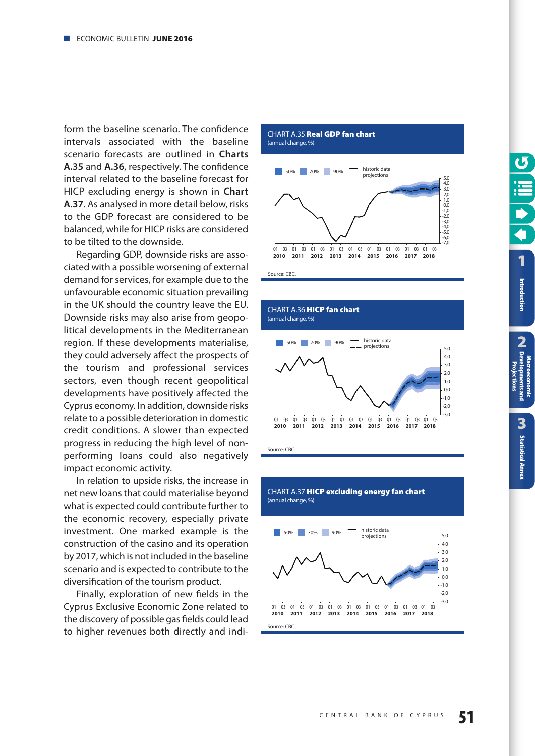<span id="page-50-0"></span>form the baseline scenario. The confidence intervals associated with the baseline scenario forecasts are outlined in **Charts A.35** and **A.36**, respectively. The confidence interval related to the baseline forecast for HICP excluding energy is shown in **Chart A.37**. As analysed in more detail below, risks to the GDP forecast are considered to be balanced, while for HICP risks are considered to be tilted to the downside.

Regarding GDP, downside risks are associated with a possible worsening of external demand for services, for example due to the unfavourable economic situation prevailing in the UK should the country leave the EU. Downside risks may also arise from geopolitical developments in the Mediterranean region. If these developments materialise, they could adversely affect the prospects of the tourism and professional services sectors, even though recent geopolitical developments have positively affected the Cyprus economy. In addition, downside risks relate to a possible deterioration in domestic credit conditions. A slower than expected progress in reducing the high level of nonperforming loans could also negatively impact economic activity.

In relation to upside risks, the increase in net new loans that could materialise beyond what is expected could contribute further to the economic recovery, especially private investment. One marked example is the construction of the casino and its operation by 2017, which is not included in the baseline scenario and is expected to contribute to the diversification of the tourism product.

Finally, exploration of new fields in the Cyprus Exclusive Economic Zone related to the discovery of possible gas fields could lead to higher revenues both directly and indi-

CHART A.35 **Real GDP fan chart** (annual change, %)







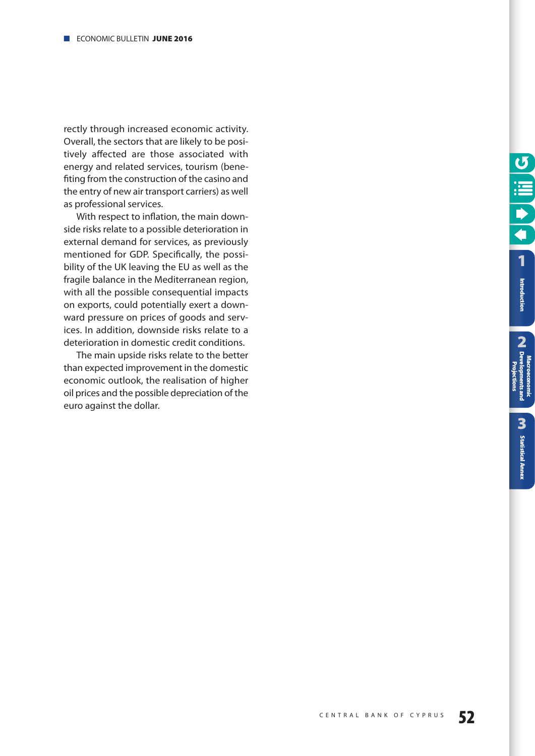rectly through increased economic activity. Overall, the sectors that are likely to be positively affected are those associated with energy and related services, tourism (benefiting from the construction of the casino and the entry of new air transport carriers) as well as professional services.

With respect to inflation, the main downside risks relate to a possible deterioration in external demand for services, as previously mentioned for GDP. Specifically, the possibility of the UK leaving the EU as well as the fragile balance in the Mediterranean region, with all the possible consequential impacts on exports, could potentially exert a downward pressure on prices of goods and services. In addition, downside risks relate to a deterioration in domestic credit conditions.

The main upside risks relate to the better than expected improvement in the domestic economic outlook, the realisation of higher oil prices and the possible depreciation of the euro against the dollar.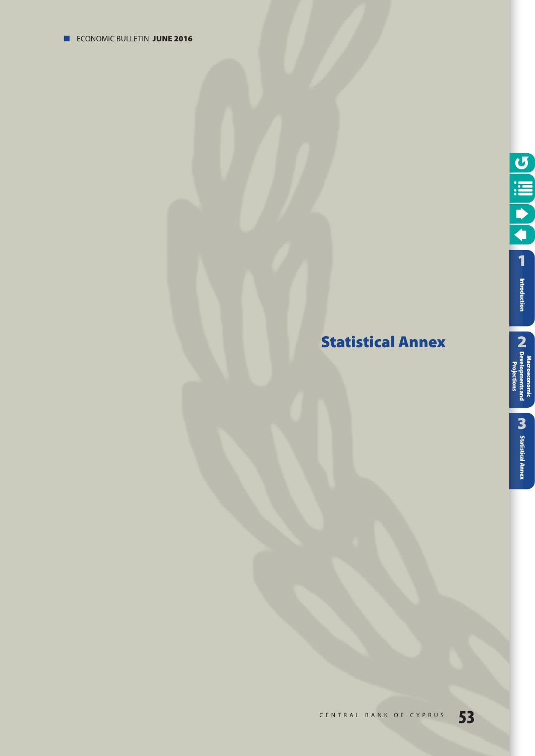# <span id="page-52-0"></span>**Statistical Annex**

**Projections**

Projections

**[1](#page-7-0)** 

O III O

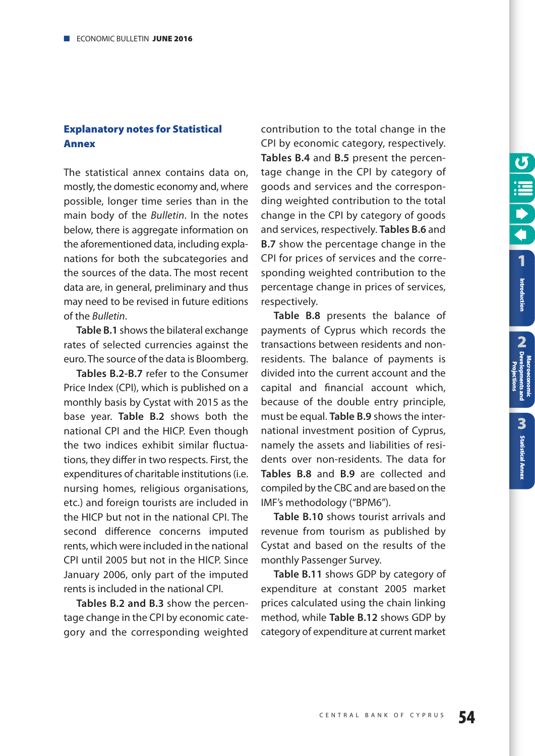**2 Introduction**<br> **CA** Developments and<br>
CA Developments and

Introduction

**[Statistical Annex](#page-52-0)**

**Statistical Annex** 

3

**Macroeconomic [Developments and](#page-9-0) Projections**

#### <span id="page-53-0"></span>**Explanatory notes for Statistical Annex**

The statistical annex contains data on, mostly, the domestic economy and, where possible, longer time series than in the main body of the Bulletin. In the notes below, there is aggregate information on the aforementioned data, including explanations for both the subcategories and the sources of the data. The most recent data are, in general, preliminary and thus may need to be revised in future editions of the Bulletin.

**Table B.1** shows the bilateral exchange rates of selected currencies against the euro. The source of the data is Bloomberg.

**Tables B.2-B.7** refer to the Consumer Price Index (CPI), which is published on a monthly basis by Cystat with 2015 as the base year. **Table B.2** shows both the national CPI and the HICP. Even though the two indices exhibit similar fluctuations, they differ in two respects. First, the expenditures of charitable institutions (i.e. nursing homes, religious organisations, etc.) and foreign tourists are included in the HICP but not in the national CPI. The second difference concerns imputed rents, which were included in the national CPI until 2005 but not in the HICP. Since January 2006, only part of the imputed rents is included in the national CPI.

**Tables B.2 and B.3** show the percentage change in the CPI by economic category and the corresponding weighted contribution to the total change in the CPI by economic category, respectively. **Tables B.4** and **B.5** present the percentage change in the CPI by category of goods and services and the corresponding weighted contribution to the total change in the CPI by category of goods and services, respectively. **Tables B.6** and **B.7** show the percentage change in the CPI for prices of services and the corresponding weighted contribution to the percentage change in prices of services, respectively.

**Table B.8** presents the balance of payments of Cyprus which records the transactions between residents and nonresidents. The balance of payments is divided into the current account and the capital and financial account which, because of the double entry principle, must be equal. **Table B.9** shows the international investment position of Cyprus, namely the assets and liabilities of residents over non-residents. The data for **Tables B.8** and **B.9** are collected and compiled by the CBC and are based on the IMF's methodology ("BPM6").

**Table B.10** shows tourist arrivals and revenue from tourism as published by Cystat and based on the results of the monthly Passenger Survey.

**Table B.11** shows GDP by category of expenditure at constant 2005 market prices calculated using the chain linking method, while **Table B.12** shows GDP by category of expenditure at current market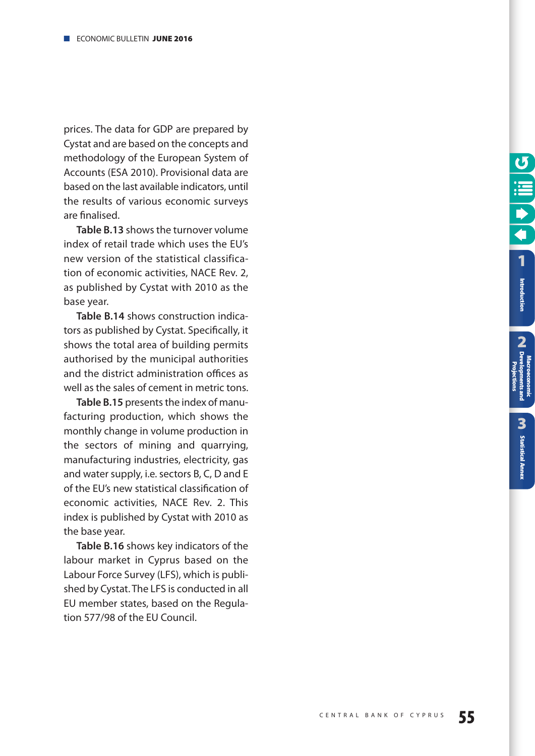prices. The data for GDP are prepared by Cystat and are based on the concepts and methodology of the European System of Accounts (ESA 2010). Provisional data are based on the last available indicators, until the results of various economic surveys are finalised.

**Table B.13** shows the turnover volume index of retail trade which uses the EU's new version of the statistical classification of economic activities, NACE Rev. 2, as published by Cystat with 2010 as the base year.

**Table B.14** shows construction indicators as published by Cystat. Specifically, it shows the total area of building permits authorised by the municipal authorities and the district administration offices as well as the sales of cement in metric tons.

**Table B.15** presents the index of manufacturing production, which shows the monthly change in volume production in the sectors of mining and quarrying, manufacturing industries, electricity, gas and water supply, i.e. sectors B, C, D and E of the EU's new statistical classification of economic activities, NACE Rev. 2. This index is published by Cystat with 2010 as the base year.

**Table B.16** shows key indicators of the labour market in Cyprus based on the Labour Force Survey (LFS), which is published by Cystat. The LFS is conducted in all EU member states, based on the Regulation 577/98 of the EU Council.

**2**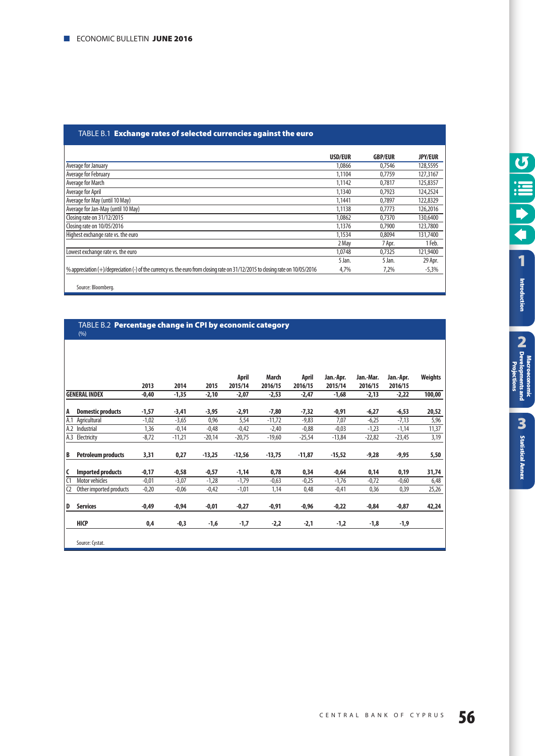#### TABLE Β.1 **Exchange rates of selected currencies against the euro**

|                                                                                                                                | USD/EUR | <b>GBP/EUR</b> | <b>JPY/EUR</b> |
|--------------------------------------------------------------------------------------------------------------------------------|---------|----------------|----------------|
| Average for January                                                                                                            | 1.0866  | 0.7546         | 128,5595       |
| Average for February                                                                                                           | 1,1104  | 0.7759         | 127,3167       |
| Average for March                                                                                                              | 1.1142  | 0.7817         | 125,8357       |
| Average for April                                                                                                              | 1.1340  | 0,7923         | 124,2524       |
| Average for May (until 10 May)                                                                                                 | 1.1441  | 0.7897         | 122,8329       |
| Average for Jan-May (until 10 May)                                                                                             | 1,1138  | 0.7773         | 126,2016       |
| Closing rate on 31/12/2015                                                                                                     | 1,0862  | 0,7370         | 130,6400       |
| Closing rate on 10/05/2016                                                                                                     | 1,1376  | 0.7900         | 123,7800       |
| Highest exchange rate vs. the euro                                                                                             | 1,1534  | 0.8094         | 131,7400       |
|                                                                                                                                | 2 May   | 7 Apr.         | 1 Feb.         |
| Lowest exchange rate vs. the euro                                                                                              | 1.0748  | 0,7325         | 121,9400       |
|                                                                                                                                | 5 Jan.  | 5 Jan.         | 29 Apr.        |
| % appreciation (+)/depreciation (-) of the currency vs. the euro from closing rate on 31/12/2015 to closing rate on 10/05/2016 | 4,7%    | 7,2%           | $-5,3%$        |
| Source: Bloombera.                                                                                                             |         |                |                |

#### TABLE Β.2 **Percentage change in CPI by economic category**  $(% )$

|                |                           | 2013    | 2014     | 2015     | April<br>2015/14 | March<br>2016/15 | April<br>2016/15 | Jan.-Apr.<br>2015/14 | Jan.-Mar.<br>2016/15 | Jan.-Apr.<br>2016/15 | <b>Weights</b> |
|----------------|---------------------------|---------|----------|----------|------------------|------------------|------------------|----------------------|----------------------|----------------------|----------------|
|                | <b>GENERAL INDEX</b>      | $-0,40$ | $-1,35$  | $-2,10$  | $-2,07$          | $-2,53$          | $-2,47$          | $-1,68$              | $-2,13$              | $-2,22$              | 100,00         |
| A              | <b>Domestic products</b>  | $-1,57$ | $-3,41$  | $-3,95$  | $-2,91$          | $-7,80$          | $-7,32$          | $-0,91$              | $-6,27$              | $-6,53$              | 20,52          |
| A.1            | Agricultural              | $-1,02$ | $-3,65$  | 0,96     | 5,54             | $-11,72$         | $-9,83$          | 7,07                 | $-6,25$              | $-7,13$              | 5,96           |
|                | A.2 Industrial            | 1,36    | $-0,14$  | $-0,48$  | $-0,42$          | $-2,40$          | $-0,88$          | $-0,03$              | $-1,23$              | $-1,14$              | 11,37          |
|                | A.3 Electricity           | $-8,72$ | $-11,21$ | $-20,14$ | $-20,75$         | $-19,60$         | $-25,54$         | $-13,84$             | $-22,82$             | $-23,45$             | 3,19           |
| B              | <b>Petroleum products</b> | 3,31    | 0,27     | $-13,25$ | $-12,56$         | $-13,75$         | $-11,87$         | $-15,52$             | $-9,28$              | $-9,95$              | 5,50           |
| C              | <b>Imported products</b>  | $-0,17$ | $-0,58$  | $-0,57$  | $-1,14$          | 0,78             | 0,34             | $-0,64$              | 0,14                 | 0,19                 | 31,74          |
| C <sub>1</sub> | <b>Motor vehicles</b>     | $-0,01$ | $-3,07$  | $-1,28$  | $-1,79$          | $-0,63$          | $-0,25$          | $-1,76$              | $-0,72$              | $-0,60$              | 6,48           |
| C <sub>2</sub> | Other imported products   | $-0,20$ | $-0,06$  | $-0,42$  | $-1,01$          | 1,14             | 0,48             | $-0,41$              | 0,36                 | 0,39                 | 25,26          |
| D              | <b>Services</b>           | $-0,49$ | $-0,94$  | $-0,01$  | $-0,27$          | $-0,91$          | $-0,96$          | $-0,22$              | $-0,84$              | $-0,87$              | 42,24          |
|                | <b>HICP</b>               | 0,4     | $-0,3$   | -1,6     | $-1,7$           | $-2,2$           | $-2,1$           | -1,2                 | -1,8                 | $-1,9$               |                |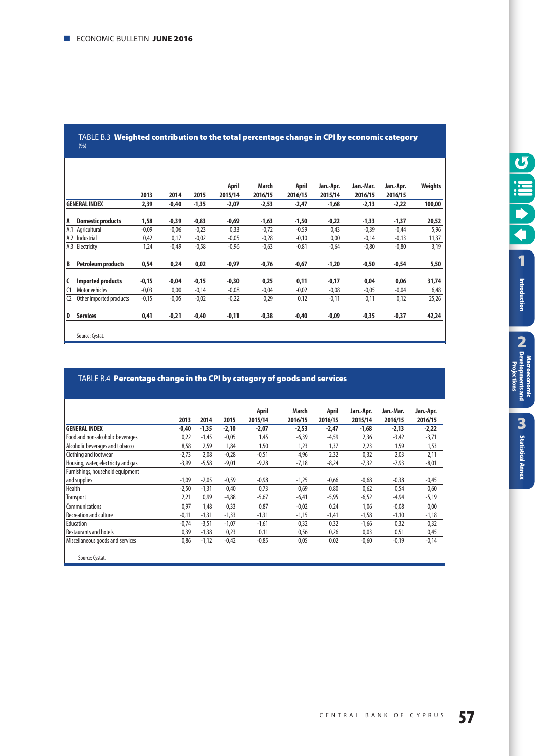|                |                           | 2013    | 2014    | 2015    | April<br>2015/14 | March<br>2016/15 | April<br>2016/15 | Jan.-Apr.<br>2015/14 | Jan.-Mar.<br>2016/15 | Jan.-Apr.<br>2016/15 | <b>Weights</b> |
|----------------|---------------------------|---------|---------|---------|------------------|------------------|------------------|----------------------|----------------------|----------------------|----------------|
|                | <b>GENERAL INDEX</b>      | 2,39    | $-0,40$ | $-1,35$ | $-2,07$          | -2,53            | $-2,47$          | $-1,68$              | $-2,13$              | $-2,22$              | 100,00         |
| A              | <b>Domestic products</b>  | 1,58    | $-0,39$ | $-0,83$ | $-0,69$          | $-1,63$          | $-1,50$          | $-0,22$              | $-1,33$              | $-1,37$              | 20,52          |
| A.1            | Agricultural              | $-0,09$ | $-0,06$ | $-0,23$ | 0,33             | $-0,72$          | $-0,59$          | 0,43                 | $-0,39$              | $-0,44$              | 5,96           |
| A.2            | Industrial                | 0,42    | 0,17    | $-0,02$ | $-0.05$          | $-0,28$          | $-0,10$          | 0,00                 | $-0,14$              | $-0,13$              | 11,37          |
| A.3            | Electricity               | 1,24    | $-0,49$ | $-0,58$ | $-0,96$          | $-0,63$          | $-0,81$          | $-0,64$              | $-0,80$              | $-0,80$              | 3,19           |
| B              | <b>Petroleum products</b> | 0,54    | 0,24    | 0,02    | -0,97            | -0,76            | $-0,67$          | $-1,20$              | $-0,50$              | $-0,54$              | 5,50           |
| C              | <b>Imported products</b>  | $-0,15$ | $-0,04$ | $-0,15$ | $-0,30$          | 0,25             | 0,11             | $-0,17$              | 0,04                 | 0,06                 | 31,74          |
| C <sub>1</sub> | Motor vehicles            | $-0,03$ | 0,00    | $-0,14$ | $-0.08$          | $-0,04$          | $-0,02$          | $-0,08$              | $-0,05$              | $-0,04$              | 6,48           |
| C <sub>2</sub> | Other imported products   | $-0,15$ | $-0.05$ | $-0,02$ | $-0,22$          | 0,29             | 0,12             | $-0,11$              | 0,11                 | 0,12                 | 25,26          |
| D              | <b>Services</b>           | 0,41    | $-0,21$ | $-0,40$ | $-0,11$          | $-0,38$          | $-0,40$          | -0,09                | $-0,35$              | $-0,37$              | 42,24          |
|                | Source: Cystat.           |         |         |         |                  |                  |                  |                      |                      |                      |                |

#### TABLE Β.3 **Weighted contribution to the total percentage change in CPI by economic category**  $(% )$

#### TABLE Β.4 **Percentage change in the CPI by category of goods and services**

|                                     |         |         |         | April   | March   | April   | Jan.-Apr. | Jan.-Mar. | Jan.-Apr. |
|-------------------------------------|---------|---------|---------|---------|---------|---------|-----------|-----------|-----------|
|                                     | 2013    | 2014    | 2015    | 2015/14 | 2016/15 | 2016/15 | 2015/14   | 2016/15   | 2016/15   |
| <b>GENERAL INDEX</b>                | $-0,40$ | $-1,35$ | $-2,10$ | -2,07   | $-2,53$ | $-2,47$ | $-1,68$   | $-2,13$   | $-2,22$   |
| Food and non-alcoholic beverages    | 0,22    | $-1.45$ | $-0,05$ | 1,45    | $-6,39$ | $-4,59$ | 2,36      | $-3,42$   | $-3,71$   |
| Alcoholic beverages and tobacco     | 8,58    | 2,59    | 1,84    | 1,50    | 1,23    | 1,37    | 2,23      | 1,59      | 1,53      |
| Clothing and footwear               | $-2,73$ | 2,08    | $-0,28$ | $-0,51$ | 4,96    | 2,32    | 0,32      | 2,03      | 2,11      |
| Housing, water, electricity and gas | $-3,99$ | $-5,58$ | $-9,01$ | $-9,28$ | $-7,18$ | $-8,24$ | $-7,32$   | $-7,93$   | $-8,01$   |
| Furnishings, household equipment    |         |         |         |         |         |         |           |           |           |
| and supplies                        | $-1,09$ | $-2,05$ | $-0,59$ | $-0,98$ | $-1,25$ | $-0,66$ | $-0,68$   | $-0,38$   | $-0,45$   |
| Health                              | $-2,50$ | $-1,31$ | 0,40    | 0,73    | 0,69    | 0,80    | 0,62      | 0,54      | 0,60      |
| <b>Transport</b>                    | 2,21    | 0,99    | $-4,88$ | $-5,67$ | $-6,41$ | $-5,95$ | $-6,52$   | $-4,94$   | $-5,19$   |
| Communications                      | 0,97    | 1.48    | 0,33    | 0,87    | $-0,02$ | 0,24    | 1,06      | $-0.08$   | 0,00      |
| <b>Recreation and culture</b>       | $-0,11$ | $-1,31$ | $-1,33$ | $-1,31$ | $-1,15$ | $-1,41$ | $-1,58$   | $-1,10$   | $-1,18$   |
| Education                           | $-0,74$ | $-3,51$ | $-1,07$ | $-1,61$ | 0,32    | 0,32    | $-1,66$   | 0,32      | 0,32      |
| <b>Restaurants and hotels</b>       | 0.39    | $-1,38$ | 0,23    | 0.11    | 0,56    | 0,26    | 0,03      | 0,51      | 0,45      |
| Miscellaneous goods and services    | 0,86    | $-1,12$ | $-0,42$ | $-0,85$ | 0,05    | 0,02    | $-0,60$   | $-0,19$   | $-0,14$   |
|                                     |         |         |         |         |         |         |           |           |           |
| Source: Cystat.                     |         |         |         |         |         |         |           |           |           |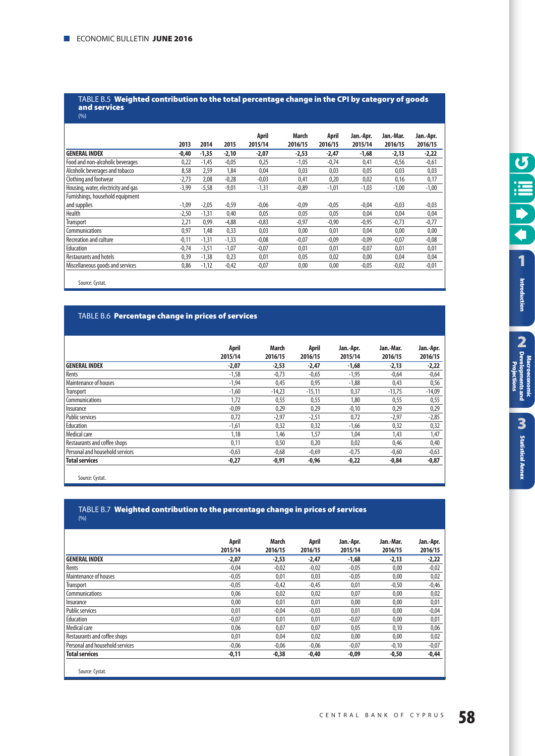#### TABLE Β.5 **Weighted contribution to the total percentage change in the CPI by category of goods and services**

|                                     |         |         |         | April   | <b>March</b> | April   | Jan.-Apr. | Jan.-Mar. | Jan.-Apr. |
|-------------------------------------|---------|---------|---------|---------|--------------|---------|-----------|-----------|-----------|
|                                     | 2013    | 2014    | 2015    | 2015/14 | 2016/15      | 2016/15 | 2015/14   | 2016/15   | 2016/15   |
| <b>GENERAL INDEX</b>                | $-0,40$ | $-1,35$ | $-2,10$ | $-2,07$ | $-2,53$      | $-2,47$ | $-1,68$   | $-2,13$   | $-2,22$   |
| Food and non-alcoholic beverages    | 0,22    | $-1,45$ | $-0,05$ | 0,25    | $-1,05$      | $-0,74$ | 0,41      | $-0,56$   | $-0,61$   |
| Alcoholic beverages and tobacco     | 8,58    | 2,59    | 1,84    | 0,04    | 0,03         | 0,03    | 0,05      | 0,03      | 0,03      |
| Clothing and footwear               | $-2,73$ | 2.08    | $-0,28$ | $-0,03$ | 0,41         | 0,20    | 0,02      | 0,16      | 0,17      |
| Housing, water, electricity and gas | $-3,99$ | $-5,58$ | $-9,01$ | $-1,31$ | $-0,89$      | $-1,01$ | $-1,03$   | $-1,00$   | $-1,00$   |
| Furnishings, household equipment    |         |         |         |         |              |         |           |           |           |
| and supplies                        | $-1,09$ | $-2,05$ | $-0,59$ | $-0,06$ | $-0,09$      | $-0,05$ | $-0,04$   | $-0,03$   | $-0,03$   |
| <b>Health</b>                       | $-2,50$ | $-1,31$ | 0,40    | 0,05    | 0,05         | 0,05    | 0,04      | 0,04      | 0,04      |
| Transport                           | 2,21    | 0,99    | $-4,88$ | $-0,83$ | $-0,97$      | $-0,90$ | $-0,95$   | $-0,73$   | $-0,77$   |
| Communications                      | 0.97    | 1.48    | 0,33    | 0.03    | 0.00         | 0,01    | 0.04      | 0.00      | 0,00      |
| <b>Recreation and culture</b>       | $-0,11$ | $-1,31$ | $-1,33$ | $-0,08$ | $-0,07$      | $-0.09$ | $-0,09$   | $-0,07$   | $-0,08$   |
| Education                           | $-0,74$ | $-3,51$ | $-1,07$ | $-0,07$ | 0,01         | 0,01    | $-0,07$   | 0,01      | 0,01      |
| <b>Restaurants and hotels</b>       | 0,39    | $-1,38$ | 0,23    | 0,01    | 0,05         | 0,02    | 0,00      | 0,04      | 0,04      |
| Miscellaneous goods and services    | 0,86    | $-1,12$ | $-0,42$ | $-0,07$ | 0,00         | 0,00    | $-0,05$   | $-0,02$   | $-0,01$   |

Source: Cystat.

#### TABLE Β.6 **Percentage change in prices of services**

|                                 | April   | March    | April    | Jan.-Apr. | Jan.-Mar. | Jan.-Apr. |
|---------------------------------|---------|----------|----------|-----------|-----------|-----------|
|                                 | 2015/14 | 2016/15  | 2016/15  | 2015/14   | 2016/15   | 2016/15   |
| GENERAL INDEX                   | $-2,07$ | $-2.53$  | $-2,47$  | $-1.68$   | $-2,13$   | $-2,22$   |
| Rents                           | $-1,58$ | $-0,73$  | $-0,65$  | $-1,95$   | $-0,64$   | $-0,64$   |
| Maintenance of houses           | $-1,94$ | 0,45     | 0,95     | $-1,88$   | 0,43      | 0,56      |
| Transport                       | $-1,60$ | $-14,23$ | $-15,11$ | 0,37      | $-13,75$  | $-14,09$  |
| Communications                  | 1,72    | 0,55     | 0,55     | 1,80      | 0,55      | 0,55      |
| Insurance                       | $-0,09$ | 0,29     | 0,29     | $-0,10$   | 0,29      | 0,29      |
| <b>Public services</b>          | 0,72    | $-2,97$  | $-2,51$  | 0,72      | $-2,97$   | $-2,85$   |
| Education                       | $-1,61$ | 0,32     | 0,32     | $-1,66$   | 0,32      | 0,32      |
| Medical care                    | 1,18    | 1,46     | 1,57     | 1,04      | 1,43      | 1,47      |
| Restaurants and coffee shops    | 0,11    | 0,50     | 0,20     | 0,02      | 0,46      | 0,40      |
| Personal and household services | $-0,63$ | $-0,68$  | $-0,69$  | $-0,75$   | $-0,60$   | $-0,63$   |
| <b>Total services</b>           | $-0,27$ | $-0,91$  | $-0,96$  | $-0,22$   | $-0,84$   | $-0,87$   |

Source: Cystat.

#### TABLE Β.7 **Weighted contribution to the percentage change in prices of services**  $(% )$

|                                 | April<br>2015/14 | March<br>2016/15 | April<br>2016/15 | Jan.-Apr.<br>2015/14 | Jan.-Mar.<br>2016/15 | Jan.-Apr.<br>2016/15 |
|---------------------------------|------------------|------------------|------------------|----------------------|----------------------|----------------------|
| <b>GENERAL INDEX</b>            | $-2,07$          | $-2,53$          | $-2,47$          | $-1,68$              | $-2,13$              | $-2,22$              |
| Rents                           | $-0,04$          | $-0,02$          | $-0.02$          | $-0,05$              | 0,00                 | $-0,02$              |
| Maintenance of houses           | $-0,05$          | 0,01             | 0,03             | $-0,05$              | 0,00                 | 0,02                 |
| Transport                       | $-0,05$          | $-0.42$          | $-0,45$          | 0,01                 | $-0,50$              | $-0,46$              |
| Communications                  | 0,06             | 0,02             | 0,02             | 0,07                 | 0,00                 | 0,02                 |
| Insurance                       | 0,00             | 0,01             | 0,01             | 0,00                 | 0,00                 | 0,01                 |
| Public services                 | 0,01             | $-0,04$          | $-0.03$          | 0,01                 | 0,00                 | $-0,04$              |
| Education                       | $-0,07$          | 0,01             | 0,01             | $-0,07$              | 0,00                 | 0,01                 |
| Medical care                    | 0,06             | 0,07             | 0,07             | 0,05                 | 0,10                 | 0,06                 |
| Restaurants and coffee shops    | 0,01             | 0,04             | 0,02             | 0,00                 | 0,00                 | 0,02                 |
| Personal and household services | $-0,06$          | $-0,06$          | $-0,06$          | $-0,07$              | $-0,10$              | $-0,07$              |
| <b>Total services</b>           | $-0,11$          | $-0,38$          | $-0,40$          | $-0,09$              | $-0,50$              | $-0,44$              |
|                                 |                  |                  |                  |                      |                      |                      |
| Source: Cystat.                 |                  |                  |                  |                      |                      |                      |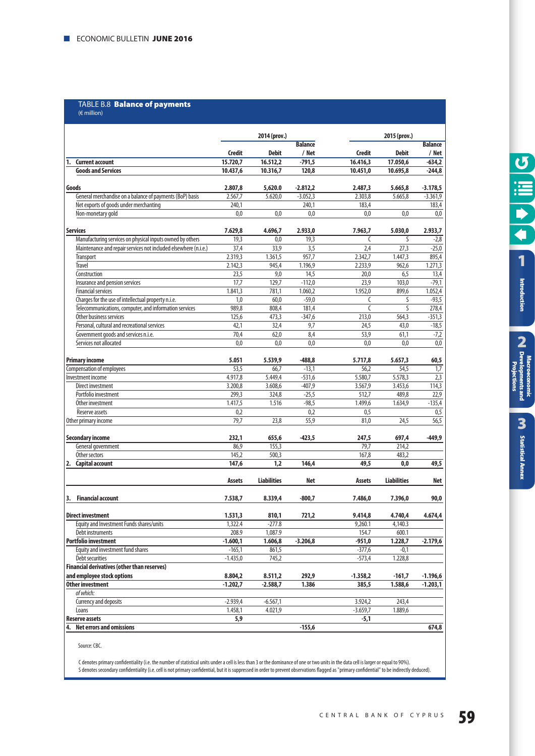#### TABLE B.8 **Balance of payments** (€ million)

|                                                                 |                   | 2014 (prov.)       |                  |                             | 2015 (prov.)       |                 |
|-----------------------------------------------------------------|-------------------|--------------------|------------------|-----------------------------|--------------------|-----------------|
|                                                                 |                   |                    | <b>Balance</b>   |                             |                    | <b>Balance</b>  |
|                                                                 | <b>Credit</b>     | <b>Debit</b>       | / Net            | <b>Credit</b>               | <b>Debit</b>       | / Net           |
| <b>Current account</b><br>1.                                    | 15.720,7          | 16.512,2           | $-791,5$         | 16.416,3                    | 17.050,6           | $-634,2$        |
| <b>Goods and Services</b>                                       | 10.437,6          | 10.316,7           | 120,8            | 10.451,0                    | 10.695,8           | $-244,8$        |
| Goods                                                           | 2.807,8           | 5,620.0            | $-2.812,2$       | 2.487,3                     | 5.665,8            | $-3.178,5$      |
| General merchandise on a balance of payments (BoP) basis        | 2.567,7           | 5.620,0            | $-3.052,3$       | 2.303,8                     | 5.665,8            | $-3.361,9$      |
| Net exports of goods under merchanting                          | 240,1             |                    | 240,1            | 183,4                       |                    | 183,4           |
| Non-monetary gold                                               | 0,0               | 0,0                | 0,0              | 0,0                         | 0,0                | 0,0             |
|                                                                 |                   |                    |                  |                             |                    |                 |
| <b>Services</b>                                                 | 7.629.8           | 4.696,7            | 2.933,0          | 7.963,7                     | 5.030.0            | 2.933,7         |
| Manufacturing services on physical inputs owned by others       | 19,3              | 0,0                | 19,3             | $\mathcal{L}_{\mathcal{L}}$ | S                  | $-2,8$          |
| Maintenance and repair services not included elsewhere (n.i.e.) | $\overline{37,4}$ | 33,9               | 3,5              | 2,4                         | 27,3               | $-25,0$         |
| <b>Transport</b>                                                | 2.319,3           | 1.361,5            | 957,7            | 2.342,7                     | 1.447,3            | 895,4           |
| <b>Travel</b>                                                   | 2.142,3           | 945,4              | 1.196,9          | 2.233,9                     | 962,6              | 1.271,3         |
| Construction                                                    | 23,5<br>17,7      | 9,0<br>129,7       | 14,5<br>$-112,0$ | 20,0<br>23,9                | 6,5<br>103,0       | 13,4<br>$-79,1$ |
| Insurance and pension services<br><b>Financial services</b>     | 1.841,3           | 781,1              | 1.060,2          | 1.952,0                     | 899,6              | 1.052,4         |
| Charges for the use of intellectual property n.i.e.             | 1,0               | 60,0               | $-59,0$          | C                           | S                  | -93,5           |
| Telecommunications, computer, and information services          | 989,8             | 808,4              | 181,4            | $\mathsf{C}$                | S                  | 278,4           |
| Other business services                                         | 125,6             | 473,3              | $-347,6$         | 213,0                       | 564,3              | $-351,3$        |
| Personal, cultural and recreational services                    | 42,1              | 32,4               | 9,7              | 24,5                        | 43,0               | $-18,5$         |
| Government goods and services n.i.e.                            | 70,4              | 62,0               | 8,4              | 53,9                        | 61,1               | $-7,2$          |
| Services not allocated                                          | 0,0               | 0,0                | 0,0              | 0,0                         | 0,0                | 0,0             |
|                                                                 |                   |                    |                  |                             |                    |                 |
| <b>Primary income</b>                                           | 5.051             | 5.539,9            | $-488,8$         | 5.717,8                     | 5.657,3            | 60,5            |
| Compensation of employees                                       | 53,5              | 66.7               | $-13,1$          | 56.2                        | 54,5               | 1,7             |
| Investment income                                               | 4.917.8           | 5.449,4            | $-531,6$         | 5.580,7                     | 5.578,3            | 2,3             |
| Direct investment                                               | 3.200,8           | 3.608,6            | $-407,9$         | 3.567,9                     | 3.453,6            | 114,3           |
| Portfolio investment                                            | 299,3             | 324,8              | $-25,5$          | 512,7                       | 489,8              | 22,9            |
| Other investment                                                | 1.417,5           | 1.516              | $-98,5$          | 1.499,6                     | 1.634,9            | $-135,4$        |
| Reserve assets                                                  | 0,2               |                    | 0,2              | 0,5                         |                    | 0,5             |
| Other primary income                                            | 79,7              | 23,8               | 55,9             | 81,0                        | 24,5               | 56,5            |
| <b>Secondary income</b>                                         | 232,1             | 655,6              | $-423,5$         | 247,5                       | 697,4              | $-449,9$        |
| General government                                              | 86,9              | 155,3              |                  | 79,7                        | 214,2              |                 |
| Other sectors                                                   | 145,2             | 500,3              |                  | 167,8                       | 483,2              |                 |
| 2. Capital account                                              | 147,6             | 1,2                | 146,4            | 49,5                        | 0,0                | 49,5            |
|                                                                 |                   |                    |                  |                             |                    |                 |
|                                                                 | Assets            | <b>Liabilities</b> | Net              | Assets                      | <b>Liabilities</b> | <b>Net</b>      |
|                                                                 |                   |                    |                  |                             |                    |                 |
| <b>Financial account</b><br>3.                                  | 7.538,7           | 8.339,4            | $-800,7$         | 7.486,0                     | 7.396,0            | 90,0            |
| <b>Direct investment</b>                                        | 1.531,3           | 810,1              | 721,2            | 9.414,8                     | 4.740,4            | 4.674,4         |
| Equity and Investment Funds shares/units                        | 1,322.4           | $-277.8$           |                  | 9,260.1                     | 4,140.3            |                 |
| Debt instruments                                                | 208.9             | 1,087.9            |                  | 154.7                       | 600.1              |                 |
| <b>Portfolio investment</b>                                     | $-1.600,1$        | 1.606,8            | $-3.206,8$       | $-951,0$                    | 1.228,7            | $-2.179,6$      |
| Equity and investment fund shares                               | $-165,1$          | 861,5              |                  | $-377,6$                    | $-0,1$             |                 |
| <b>Debt securities</b>                                          | $-1.435,0$        | 745,2              |                  | $-573,4$                    | 1.228,8            |                 |
| <b>Financial derivatives (other than reserves)</b>              |                   |                    |                  |                             |                    |                 |
| and employee stock options                                      | 8.804,2           | 8.511,2            | 292,9            | $-1.358,2$                  | $-161,7$           | $-1.196,6$      |
| Other investment                                                | $-1.202,7$        | $-2.588,7$         | 1.386            | 385,5                       | 1.588,6            | $-1.203,1$      |
| of which:                                                       |                   |                    |                  |                             |                    |                 |
| <b>Currency and deposits</b>                                    | $-2.939,4$        | $-6.567,1$         |                  | 3.924,2                     | 243,4              |                 |
| Loans                                                           | 1.458,1           | 4.021,9            |                  | $-3.659,7$                  | 1.889,6            |                 |
| <b>Reserve assets</b>                                           | 5,9               |                    |                  | -5,1                        |                    |                 |
| 4. Net errors and omissions                                     |                   |                    | $-155,6$         |                             |                    | 674,8           |

Source: CBC.

C denotes primary confidentiality (i.e. the number of statistical units under a cell is less than 3 or the dominance of one or two units in the data cell is larger or equal to 90%). S denotes secondary confidentiality (i.e. cell is not primary confidential, but it is suppressed in order to prevent observations flagged as "primary confidential" to be indirectly deduced).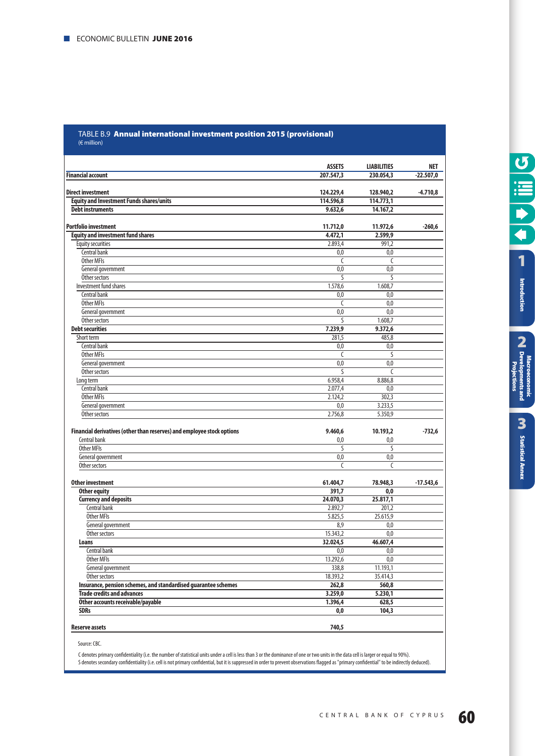#### TABLE B.9 **Annual international investment position 2015 (provisional)**  (€ million)

|                                                                        | <b>ASSETS</b>        | <b>LIABILITIES</b> | <b>NET</b>  |
|------------------------------------------------------------------------|----------------------|--------------------|-------------|
| <b>Financial account</b>                                               | 207.547.3            | 230.054.3          | $-22.507.0$ |
| <b>Direct investment</b>                                               | 124.229,4            | 128.940,2          | $-4.710,8$  |
| <b>Equity and Investment Funds shares/units</b>                        | 114.596,8            | 114.773,1          |             |
| <b>Debt instruments</b>                                                | 9.632,6              | 14.167,2           |             |
|                                                                        |                      |                    |             |
| <b>Portfolio investment</b>                                            | 11.712,0             | 11.972,6           | $-260,6$    |
| <b>Equity and investment fund shares</b>                               | 4.472,1              | 2.599,9            |             |
| <b>Equity securities</b>                                               | 2.893,4              | 991,2              |             |
| Central bank                                                           | 0,0                  | 0,0                |             |
| Other MFIs                                                             | C                    | C                  |             |
| General government                                                     | 0,0                  | 0,0                |             |
| Other sectors                                                          | S                    | S                  |             |
| Investment fund shares                                                 | 1.578,6              | 1.608,7            |             |
| Central bank                                                           | 0.0                  | 0.0                |             |
| <b>Other MFIs</b>                                                      | C                    | 0,0                |             |
| General government                                                     | 0,0                  | 0,0                |             |
| Other sectors                                                          | S                    | 1.608,7            |             |
| <b>Debt securities</b>                                                 | 7.239,9              | 9.372,6            |             |
| Short term                                                             | 281,5                | 485,8              |             |
| Central bank                                                           | 0,0                  | 0.0                |             |
| <b>Other MFIs</b>                                                      | C                    | S                  |             |
| General government                                                     | 0,0                  | 0,0                |             |
| Other sectors                                                          | S                    | C                  |             |
| Long term                                                              | 6.958,4              | 8.886,8            |             |
| Central bank                                                           | 2.077,4              | 0,0                |             |
| <b>Other MFIs</b>                                                      | 2.124.2              | 302.3              |             |
| General government                                                     | 0,0                  | 3.233,5            |             |
| Other sectors                                                          | 2.756,8              | 5.350,9            |             |
|                                                                        |                      |                    |             |
| Financial derivatives (other than reserves) and employee stock options | 9.460,6              | 10.193,2           | $-732,6$    |
| Central bank<br><b>Other MFIs</b>                                      | 0,0<br>S             | 0,0                |             |
|                                                                        |                      | S                  |             |
| General government<br>Other sectors                                    | 0,0<br>$\mathcal{C}$ | 0,0<br>C           |             |
|                                                                        |                      |                    |             |
| <b>Other investment</b>                                                | 61.404,7             | 78.948,3           | $-17.543,6$ |
| <b>Other equity</b>                                                    | 391,7                | 0,0                |             |
| <b>Currency and deposits</b>                                           | 24.070,3             | 25.817,1           |             |
| Central bank                                                           | 2.892,7              | 201,2              |             |
| <b>Other MFIs</b>                                                      | 5.825,5              | 25.615,9           |             |
| General government                                                     | 8,9                  | 0,0                |             |
| Other sectors                                                          | 15.343,2             | 0,0                |             |
| Loans                                                                  | 32.024,5             | 46.607.4           |             |
| Central bank                                                           | 0.0                  | 0.0                |             |
| Other MFIs                                                             | 13.292,6             | 0,0                |             |
| General government                                                     | 338,8                | 11.193,1           |             |
| Other sectors                                                          | 18.393,2             | 35.414,3           |             |
| Insurance, pension schemes, and standardised guarantee schemes         | 262,8                | 560,8              |             |
| <b>Trade credits and advances</b>                                      | 3.259,0              | 5.230,1            |             |
| Other accounts receivable/payable                                      | 1.396,4              | 628,5              |             |
| <b>SDRs</b>                                                            | 0,0                  | 104,3              |             |
|                                                                        |                      |                    |             |
| <b>Reserve assets</b>                                                  | 740,5                |                    |             |

Source: CBC.

C denotes primary confidentiality (i.e. the number of statistical units under a cell is less than 3 or the dominance of one or two units in the data cell is larger or equal to 90%). S denotes secondary confidentiality (i.e. cell is not primary confidential, but it is suppressed in order to prevent observations flagged as "primary confidential" to be indirectly deduced). **[Statistical Annex](#page-52-0)**

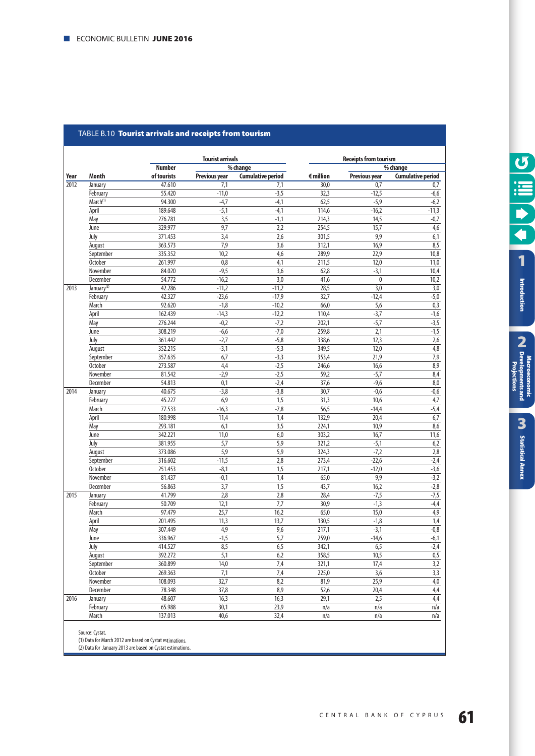#### TABLE B.10 **Tourist arrivals and receipts from tourism**

|      |                        |               | <b>Tourist arrivals</b> |                          |                    | <b>Receipts from tourism</b><br>% change |                          |  |  |  |
|------|------------------------|---------------|-------------------------|--------------------------|--------------------|------------------------------------------|--------------------------|--|--|--|
|      |                        | <b>Number</b> |                         | % change                 |                    |                                          |                          |  |  |  |
| Year | Month                  | of tourists   | <b>Previous year</b>    | <b>Cumulative period</b> | $\epsilon$ million | <b>Previous year</b>                     | <b>Cumulative period</b> |  |  |  |
| 2012 | January                | 47.610        | 7,1                     | 7,1                      | 30,0               | 0.7                                      | 0,7                      |  |  |  |
|      | February               | 55.420        | $-11,0$                 | $-3,5$                   | 32,3               | $-12,5$                                  | $-6,6$                   |  |  |  |
|      | March <sup>(1)</sup>   | 94.300        | $-4,7$                  | $-4,1$                   | 62,5               | $-5,9$                                   | $-6,2$                   |  |  |  |
|      | April                  | 189.648       | $-5,1$                  | $-4,1$                   | 114,6              | $-16,2$                                  | $-11,3$                  |  |  |  |
|      | May                    | 276.781       | 3,5                     | $-1,1$                   | 214,3              | 14,5                                     | $-0,7$                   |  |  |  |
|      | June                   | 329.977       | 9,7                     | 2,2                      | 254,5              | 15,7                                     | 4,6                      |  |  |  |
|      | July                   | 371.453       | 3,4                     | 2,6                      | 301,5              | 9,9                                      | 6,1                      |  |  |  |
|      | August                 | 363.573       | 7,9                     | 3,6                      | 312,1              | 16,9                                     | 8,5                      |  |  |  |
|      | September              | 335.352       | 10,2                    | 4,6                      | 289,9              | 22,9                                     | 10,8                     |  |  |  |
|      | <b>October</b>         | 261.997       | 0,8                     | 4,1                      | 211,5              | 12,0                                     | 11,0                     |  |  |  |
|      | November               | 84.020        | $-9,5$                  | 3,6                      | 62,8               | $-3,1$                                   | 10,4                     |  |  |  |
|      | December               | 54.772        | $-16,2$                 | 3,0                      | 41,6               | 0                                        | 10,2                     |  |  |  |
| 2013 | January <sup>(2)</sup> | 42.286        | $-11,2$                 | $-11,2$                  | 28,5               | 3,0                                      | 3,0                      |  |  |  |
|      | February               | 42.327        | $-23,6$                 | $-17,9$                  | 32,7               | $-12,4$                                  | $-5,0$                   |  |  |  |
|      | March                  | 92.620        | $-1,8$                  | $-10,2$                  | 66,0               | 5,6                                      | 0,3                      |  |  |  |
|      | April                  | 162.439       | $-14,3$                 | $-12,2$                  | 110,4              | $-3,7$                                   | $-1,6$                   |  |  |  |
|      | May                    | 276.244       | $-0,2$                  | $-7,2$                   | 202,1              | $-5,7$                                   | $-3,5$                   |  |  |  |
|      | June                   | 308.219       | $-6,6$                  | $-7,0$                   | 259,8              | 2,1                                      | $-1,5$                   |  |  |  |
|      | July                   | 361.442       | $-2,7$                  | $-5,8$                   | 338,6              | 12,3                                     | $\overline{2,6}$         |  |  |  |
|      | August                 | 352.215       | $-3,1$                  | $-5,3$                   | 349,5              | 12,0                                     | 4,8                      |  |  |  |
|      | September              | 357.635       | 6,7                     | $-3,3$                   | 353,4              | 21,9                                     | 7,9                      |  |  |  |
|      | <b>October</b>         | 273.587       | 4,4                     | $-2,5$                   | 246,6              | 16,6                                     | $\overline{8,9}$         |  |  |  |
|      | November               | 81.542        | $-2,9$                  | $-2,5$                   | 59,2               | $-5,7$                                   | 8,4                      |  |  |  |
|      | December               | 54.813        | 0,1                     | $-2,4$                   | 37,6               | $-9,6$                                   | 8,0                      |  |  |  |
| 2014 | January                | 40.675        | $-3,8$                  | $-3,8$                   | 30.7               | $-0,6$                                   | $-0,6$                   |  |  |  |
|      | February               | 45.227        | 6,9                     | 1,5                      | 31,3               | 10,6                                     | 4,7                      |  |  |  |
|      | March                  | 77.533        | $-16,3$                 | $-7,8$                   | 56,5               | $-14,4$                                  | $-5,4$                   |  |  |  |
|      | April                  | 180.998       | 11,4                    | 1,4                      | 132,9              | 20,4                                     | 6,7                      |  |  |  |
|      | May                    | 293.181       | 6,1                     | 3,5                      | 224,1              | 10,9                                     | 8,6                      |  |  |  |
|      | June                   | 342.221       | 11,0                    | 6,0                      | 303,2              | 16,7                                     | 11,6                     |  |  |  |
|      | July                   | 381.955       | 5,7                     | 5,9                      | 321,2              | $-5,1$                                   | 6,2                      |  |  |  |
|      | August                 | 373.086       | 5,9                     | $\overline{5,9}$         | 324,3              | $-7,2$                                   | 2,8                      |  |  |  |
|      | September              | 316.602       | $-11,5$                 | 2,8                      | 273,4              | $-22,6$                                  | $-2,4$                   |  |  |  |
|      | <b>October</b>         | 251.453       | $-8,1$                  | 1,5                      | 217,1              | $-12,0$                                  | $-3,6$                   |  |  |  |
|      | November               | 81.437        | $-0,1$                  | 1,4                      | 65,0               | 9,9                                      | $-3,2$                   |  |  |  |
|      | December               | 56.863        | 3,7                     | 1,5                      | 43,7               | 16,2                                     | $-2,8$                   |  |  |  |
| 2015 | January                | 41.799        | $\overline{2,8}$        | $\overline{2,8}$         | 28,4               | $-7,5$                                   | $-7,5$                   |  |  |  |
|      | Februarv               | 50.709        | 12,1                    | 7,7                      | 30,9               | $-1,3$                                   | $-4,4$                   |  |  |  |
|      | March                  | 97.479        | 25,7                    | 16,2                     | 65,0               | 15,0                                     | 4,9                      |  |  |  |
|      | April                  | 201.495       | 11,3                    | 13,7                     | 130,5              | $-1,8$                                   | $\overline{1,4}$         |  |  |  |
|      | May                    | 307.449       | 4,9                     | 9,6                      | 217,1              | $-3,1$                                   | $-0,8$                   |  |  |  |
|      | June                   | 336.967       | $-1,5$                  | 5,7                      | 259,0              | $-14,6$                                  | $-6,1$                   |  |  |  |
|      | July                   | 414.527       | 8,5                     | 6,5                      | 342,1              | 6,5                                      | $-2,4$                   |  |  |  |
|      | August                 | 392.272       | 5,1                     | 6,2                      | 358,5              | 10,5                                     | 0,5                      |  |  |  |
|      | September              | 360.899       | 14,0                    | 7,4                      | 321,1              | 17,4                                     | 3,2                      |  |  |  |
|      | <b>October</b>         | 269.363       | 7,1                     | $7,4$                    | 225,0              | 3,6                                      | 3,3                      |  |  |  |
|      | November               | 108.093       | 32,7                    | 8,2                      | 81,9               | 25,9                                     | $\overline{4,0}$         |  |  |  |
|      | December               | 78.348        | 37,8                    | 8,9                      | 52,6               | 20,4                                     | 4,4                      |  |  |  |
| 2016 | January                | 48.607        | 16,3                    | 16,3                     | 29,1               | 2,5                                      | $\overline{4,4}$         |  |  |  |
|      | February               | 65.988        | 30,1                    | 23,9                     | n/a                | n/a                                      | n/a                      |  |  |  |
|      |                        |               |                         |                          |                    |                                          |                          |  |  |  |

Source: Cystat.

(1) Data for March 2012 are based on Cystat estimations.

(2) Data for January 2013 are based on Cystat estimations.

**U**<br>III C  $\blacktriangleright$  $\overline{\blacktriangleleft}$ **[1](#page-7-0)** Introduction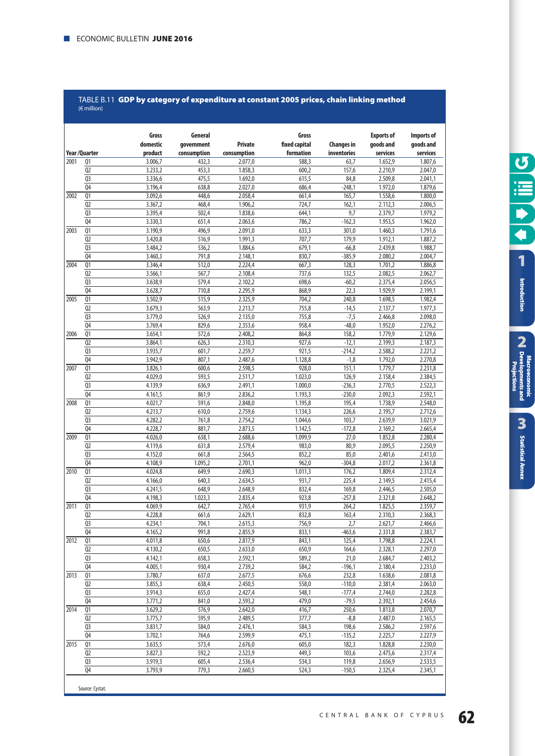#### TABLE B.11 **GDP by category of expenditure at constant 2005 prices, chain linking method** (€ million)

|      |                                  | Gross              | General        |                    | Gross              |                   | <b>Exports of</b>  | Imports of         |
|------|----------------------------------|--------------------|----------------|--------------------|--------------------|-------------------|--------------------|--------------------|
|      |                                  | domestic           | qovernment     | <b>Private</b>     | fixed capital      | <b>Changes in</b> | goods and          | goods and          |
|      | Year/Quarter                     | product            | consumption    | consumption        | formation          | inventories       | services           | services           |
| 2001 | Q1                               | 3.006,7            | 432,3          | 2.077,0            | 588,3              | 63,7              | 1.652,9            | 1.807,6            |
|      | Q <sub>2</sub>                   | 3.233,2            | 453,3          | 1.858,3            | 600,2              | 157,6             | 2.210,9            | 2.047,0            |
|      | Q <sub>3</sub>                   | 3.336,6            | 475,5          | 1.692,0            | 615,5              | 84,8              | 2.509,8            | 2.041,1            |
|      | Q4                               | 3.196,4            | 638,8          | 2.027,0            | 686,4              | $-248,1$          | 1.972,0            | 1.879,6            |
| 2002 | Q1<br>Q <sub>2</sub>             | 3.092,6            | 448,6          | 2.058,4            | 661,4              | 165,7             | 1.558,6<br>2.112,3 | 1.800,0            |
|      | Q <sub>3</sub>                   | 3.367,2<br>3.395,4 | 468,4<br>502,4 | 1.906,2<br>1.838,6 | 724,7<br>644,1     | 162,1<br>9,7      | 2.379,7            | 2.006,5<br>1.979,2 |
|      | Q <sub>4</sub>                   | 3.330,3            | 651,4          | 2.063,6            | 786,2              | $-162,3$          | 1.953,5            | 1.962,0            |
| 2003 | $\overline{Q1}$                  | 3.190,9            | 496,9          | 2.091,0            | 633,3              | 301,0             | 1.460,3            | 1.791,6            |
|      | Q <sub>2</sub>                   | 3.420,8            | 516,9          | 1.991,3            | 707,7              | 179,9             | 1.912,1            | 1.887,2            |
|      | Q <sub>3</sub>                   | 3.484,2            | 536,2          | 1.884,6            | 679,1              | $-66,8$           | 2.439.8            | 1.988,7            |
|      | Q <sub>4</sub>                   | 3.460,3            | 791,8          | 2.148,1            | 830,7              | $-385,9$          | 2.080,2            | 2.004,7            |
| 2004 | $\overline{Q1}$                  | 3.346,4            | 512,0          | 2.224,4            | 667,3              | 128,3             | 1.701,2            | 1.886,8            |
|      | Q <sub>2</sub>                   | 3.566,1            | 567,7          | 2.108,4            | 737,6              | 132,5             | 2.082,5            | 2.062,7            |
|      | Q <sub>3</sub>                   | 3.638,9            | 579,4          | 2.102,2            | 698,6              | $-60,2$           | 2.375,4            | 2.056,5            |
|      | Q <sub>4</sub>                   | 3.628,7            | 710,8          | 2.295,9            | 868,9              | 22,3              | 1.929,9            | 2.199,1            |
| 2005 | Q <sub>1</sub>                   | 3.502,9            | 515,9          | 2.325,9            | 704,2              | 240,8             | 1.698,5            | 1.982,4            |
|      | Q <sub>2</sub>                   | 3.679,3            | 563,9          | 2.213,7            | 755,8              | $-14,5$           | 2.137,7            | 1.977,3            |
|      | Q <sub>3</sub>                   | 3.779,0            | 526,9          | 2.135,0            | 755,8              | $-7,5$            | 2.466,8            | 2.098,0            |
|      | Q <sub>4</sub>                   | 3.769,4            | 829,6          | 2.353,6            | 958,4              | $-48,0$           | 1.952,0            | 2.276,2            |
| 2006 | Q1                               | 3.654,1            | 572,6          | 2.408,2            | 864,8              | 158,2             | 1.779,9            | 2.129,6            |
|      | Q <sub>2</sub>                   | 3.864,1            | 626,3          | 2.310,3            | 927,6              | $-12,1$           | 2.199,3            | 2.187,3            |
|      | Q <sub>3</sub>                   | 3.935,7            | 601,7          | 2.259,7            | 921,5              | $-214,2$          | 2.588,2            | 2.221,2            |
|      | Q <sub>4</sub>                   | 3.942,9            | 807,1          | 2.487,6            | 1.128,8            | $-1,8$            | 1.792,0            | 2.270,8            |
| 2007 | Q1                               | 3.826,1            | 600,6          | 2.598,5            | 928,0              | 151,1             | 1.779,7            | 2.231,8            |
|      | Q <sub>2</sub>                   | 4.029,0            | 593,5          | 2.511.7            | 1.023,0            | 126,9             | 2.158,4            | 2.384,5            |
|      | Q <sub>3</sub>                   | 4.139,9            | 636,9          | 2.491,1            | 1.000,0            | $-236,3$          | 2.770,5            | 2.522,3            |
|      | Q <sub>4</sub>                   | 4.161,5            | 861,9          | 2.836,2            | 1.193,3            | $-230,0$          | 2.092,3            | 2.592,1            |
| 2008 | $\overline{Q1}$                  | 4.021,7            | 591,6<br>610,0 | 2.848,0            | 1.195,8            | 195,4             | 1.738,9            | 2.548,0            |
|      | Q <sub>2</sub><br>Q <sub>3</sub> | 4.213,7<br>4.282,2 | 761,8          | 2.759,6<br>2.754,2 | 1.134,3<br>1.044,6 | 226,6<br>103,7    | 2.195,7<br>2.639,9 | 2.712,6<br>3.021,9 |
|      | Q <sub>4</sub>                   | 4.228,7            | 881,7          | 2.873,5            | 1.142,5            | $-172,8$          | 2.169,2            | 2.665,4            |
| 2009 | Q1                               | 4.026,0            | 638,1          | 2.688,6            | 1.099,9            | 27,0              | 1.852,8            | 2.280,4            |
|      | Q <sub>2</sub>                   | 4.119,6            | 631,8          | 2.579,4            | 983,0              | 80,9              | 2.095,5            | 2.250,9            |
|      | Q <sub>3</sub>                   | 4.152,0            | 661,8          | 2.564,5            | 852,2              | 85,0              | 2.401,6            | 2.413,0            |
|      | 04                               | 4.108,9            | 1.095,2        | 2.701,1            | 962,0              | $-304,8$          | 2.017,2            | 2.361,8            |
| 2010 | Q1                               | 4.024,8            | 649,9          | 2.690,3            | 1.011,3            | 176,2             | 1.809,4            | 2.312,4            |
|      | Q <sub>2</sub>                   | 4.166,0            | 640,3          | 2.634,5            | 931,7              | 225,4             | 2.149,5            | 2.415,4            |
|      | Q <sub>3</sub>                   | 4.241,5            | 648,9          | 2.648,9            | 832,4              | 169,8             | 2.446,5            | 2.505,0            |
|      | Q <sub>4</sub>                   | 4.198,3            | 1.023,3        | 2.835,4            | 923,8              | $-257,8$          | 2.321,8            | 2.648,2            |
| 2011 | Q1                               | 4.069,9            | 642,7          | 2.765,4            | 931,9              | 264,2             | 1.825,5            | 2.359,7            |
|      | Q <sub>2</sub>                   | 4.228,8            | 661,6          | 2.629,1            | 832,8              | 163,4             | 2.310,3            | 2.368,3            |
|      | $\overline{Q}$                   | 4.234,1            | 704,1          | 2.615,3            | 756,9              | 2,7               | 2.621,7            | 2.466,6            |
|      | Q4                               | 4.165,2            | 991,8          | 2.855,9            | 833,1              | $-463,6$          | 2.331,8            | 2.383,7            |
| 2012 | Q1                               | 4.011,8            | 650,6          | 2.817,9            | 843,1              | 125,4             | 1.798,8            | 2.224,1            |
|      | Q <sub>2</sub>                   | 4.130,2            | 650,5          | 2.633,0            | 650,9              | 164,6             | 2.328,1            | 2.297,0            |
|      | Q3                               | 4.142,1            | 658,3          | 2.592,1            | 589,2              | 21,0              | 2.684,7            | 2.403,2            |
|      | Q <sub>4</sub>                   | 4.005,1            | 930,4          | 2.739,2            | 584,2              | $-196,1$          | 2.180,4            | 2.233,0            |
| 2013 | Q1                               | 3.780,7            | 637,0          | 2.677,5            | 676,6              | 232,8             | 1.638,6            | 2.081,8            |
|      | Q2                               | 3.855,3            | 638,4          | 2.450,5            | 558,0              | $-110,0$          | 2.381,4            | 2.063,0            |
|      | Q <sub>3</sub>                   | 3.914,3            | 655,0          | 2.427,4            | 548,1              | $-177,4$          | 2.744,0            | 2.282,8            |
|      | Q <sub>4</sub>                   | 3.771,2            | 841,0          | 2.593,2            | 479,0              | $-79,5$           | 2.392,1            | 2.454,6            |
| 2014 | Q <sub>1</sub>                   | 3.629,2            | 576,9          | 2.642,0            | 416,7              | 250,6             | 1.813,8            | 2.070,7            |
|      | Q2                               | 3.775,7            | 595,9          | 2.489,5            | 377,7              | $-8,8$            | 2.487,0            | 2.165,5            |
|      | Q3<br>Q <sub>4</sub>             | 3.831,7<br>3.702,1 | 584,0<br>764,6 | 2.476,1<br>2.599.9 | 584,3<br>475,1     | 198,6             | 2.586,2<br>2.225,7 | 2.597,6<br>2.227,9 |
| 2015 | Q <sub>1</sub>                   | 3.635,5            | 573,4          | 2.676,0            | 605,0              | $-135,2$<br>182,3 | 1.828,8            | 2.230,0            |
|      | Q <sub>2</sub>                   | 3.827,3            | 592,2          | 2.523,9            | 449,3              | 103,6             | 2.475,6            | 2.317,4            |
|      | Q <sub>3</sub>                   | 3.919,3            | 605,4          | 2.536,4            | 534,3              | 119,8             | 2.656,9            | 2.533,5            |
|      | Q <sub>4</sub>                   | 3.793,9            | 779,3          | 2.660,5            | 524,3              | $-150,5$          | 2.325,4            | 2.345,1            |
|      |                                  |                    |                |                    |                    |                   |                    |                    |

Introduction

**[Statistical Annex](#page-52-0)**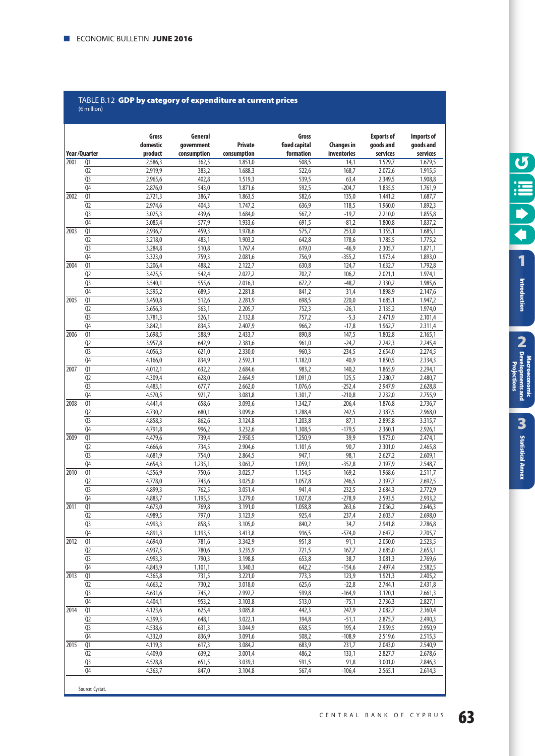#### TABLE B.12 **GDP by category of expenditure at current prices**  $(E \text{ million})$

|      |                                  | Gross              | General            |                    | Gross              |                   | <b>Exports of</b>  | Imports of         |
|------|----------------------------------|--------------------|--------------------|--------------------|--------------------|-------------------|--------------------|--------------------|
|      |                                  | domestic           | government         | <b>Private</b>     | fixed capital      | <b>Changes in</b> | goods and          | goods and          |
|      | Year/Quarter                     | product            | consumption        | consumption        | formation          | inventories       | services           | services           |
| 2001 | Q1                               | 2.586,3            | 362,5              | 1.851,0            | 508,5              | 14,1              | 1.529,7            | 1.679,5            |
|      | Q <sub>2</sub><br>Q <sub>3</sub> | 2.919.9<br>2.965,6 | 383,2<br>402,8     | 1.688,3<br>1.519,3 | 522,6<br>539,5     | 168,7<br>63,4     | 2.072,6<br>2.349,5 | 1.915,5<br>1.908,8 |
|      | Q <sub>4</sub>                   | 2.876,0            | 543,0              | 1.871,6            | 592,5              | $-204,7$          | 1.835,5            | 1.761,9            |
| 2002 | Q1                               | 2.721,3            | 386,7              | 1.863,5            | 582,6              | 135,0             | 1.441,2            | 1.687,7            |
|      | Q <sub>2</sub>                   | 2.974,6            | 404,3              | 1.747,2            | 636,9              | 118,5             | 1.960,0            | 1.892,3            |
|      | Q <sub>3</sub>                   | 3.025,3            | 439,6              | 1.684,0            | 567,2              | $-19,7$           | 2.210,0            | 1.855,8            |
|      | Q <sub>4</sub>                   | 3.085,4            | 577,9              | 1.933,6            | 691,5              | $-81,2$           | 1.800,8            | 1.837,2            |
| 2003 | $\overline{Q1}$                  | 2.936,7            | 459,3              | 1.978,6            | 575,7              | 253,0             | 1.355,1            | 1.685,1            |
|      | Q <sub>2</sub>                   | 3.218,0            | 483,1              | 1.903,2            | 642,8              | 178,6             | 1.785,5            | 1.775,2            |
|      | Q <sub>3</sub>                   | 3.284,8            | 510,8              | 1.767,4            | 619,0              | $-46,9$           | 2.305,7            | 1.871,1            |
|      | Q <sub>4</sub>                   | 3.323,0            | 759,3              | 2.081,6            | 756,9              | $-355,2$          | 1.973,4            | 1.893,0            |
| 2004 | Q1                               | 3.206,4            | 488,2              | 2.122,7            | 630,8              | 124,7             | 1.632,7            | 1.792,8            |
|      | Q <sub>2</sub>                   | 3.425,5            | 542,4              | 2.027,2            | 702,7              | 106,2             | 2.021,1            | 1.974,1            |
|      | Q <sub>3</sub>                   | 3.540,1            | $\overline{555,6}$ | 2.016,3            | 672,2              | $-48,7$           | 2.330,2            | 1.985,6            |
|      | Q <sub>4</sub>                   | 3.595,2            | 689,5              | 2.281,8            | 841,2              | 31,4              | 1.898,9            | 2.147,6            |
| 2005 | $\overline{01}$                  | 3.450,8            | 512,6              | 2.281,9            | 698,5              | 220,0             | 1.685,1            | 1.947,2            |
|      | Q <sub>2</sub>                   | 3.656,3            | 563,1              | 2.205,7            | 752,3              | $-26,1$           | 2.135,2            | 1.974,0            |
|      | Q <sub>3</sub>                   | 3.781,3            | 526,1              | 2.132,8            | 757,2              | $-5,3$            | 2.471,9            | 2.101,4            |
|      | Q <sub>4</sub>                   | 3.842,1            | 834,5              | 2.407,9            | 966,2              | $-17,8$           | 1.962,7            | 2.311,4            |
| 2006 | Q1                               | 3.698,5            | 588,9              | 2.433,7            | 890,8              | 147,5             | 1.802,8            | 2.165,1            |
|      | Q <sub>2</sub>                   | 3.957,8            | 642,9              | 2.381,6            | 961,0              | $-24,7$           | 2.242,3            | 2.245,4            |
|      | Q <sub>3</sub>                   | 4.056,3            | 621,0              | 2.330,0            | 960,3              | $-234,5$          | 2.654,0            | 2.274,5            |
|      | Q <sub>4</sub>                   | 4.166,0            | 834,9              | 2.592,1            | 1.182,0            | 40,9              | 1.850,5            | 2.334,3            |
| 2007 | $\overline{01}$                  | 4.012,1            | 632,2              | 2.684,6            | 983.2              | 140,2             | 1.865,9            | 2.294,1            |
|      | Q <sub>2</sub>                   | 4.309,4            | 628,0              | 2.664,9            | 1.091,0            | 125,5             | 2.280,7            | 2.480,7            |
|      | Q <sub>3</sub>                   | 4.483,1            | 677,7              | 2.662,0            | 1.076,6            | $-252,4$          | 2.947,9            | 2.628,8            |
|      | Q <sub>4</sub>                   | 4.570,5            | 921,7              | 3.081,8            | 1.301,7            | $-210,8$          | 2.232,0            | 2.755,9            |
| 2008 | $\overline{Q1}$                  | 4.441,4            | 658,6              | 3.093,6            | 1.342,7            | 206,4             | 1.876,8            | 2.736,7            |
|      | Q <sub>2</sub>                   | 4.730,2            | 680,1              | 3.099,6            | 1.288,4            | 242,5             | 2.387,5            | 2.968,0            |
|      | Q <sub>3</sub>                   | 4.858,3            | 862,6              | 3.124,8            | 1.203,8            | 87,1              | 2.895,8            | 3.315,7            |
| 2009 | Q <sub>4</sub>                   | 4.791,8            | 996,2              | 3.232,6            | 1.308,5            | $-179,5$          | 2.360,1            | 2.926,1            |
|      | $\overline{Q}$<br>Q <sub>2</sub> | 4.479,6<br>4.666,6 | 739,4<br>734,5     | 2.950,5<br>2.904,6 | 1.250,9<br>1.101,6 | 39,9<br>90,7      | 1.973,0<br>2.301,0 | 2.474,1<br>2.465,8 |
|      | Q <sub>3</sub>                   | 4.681,9            | 754,0              | 2.864,5            | 947,1              | 98,1              | 2.627,2            | 2.609,1            |
|      | Q <sub>4</sub>                   | 4.654,3            | 1.235,1            | 3.063,7            | 1.059,1            | $-352,8$          | 2.197,9            | 2.548,7            |
| 2010 | $\overline{01}$                  | 4.556,9            | 750,6              | 3.025,7            | 1.154,5            | 169,2             | 1.968,6            | 2.511,7            |
|      | Q <sub>2</sub>                   | 4.778,0            | 743,6              | 3.025,0            | 1.057,8            | 246,5             | 2.397,7            | 2.692,5            |
|      | Q <sub>3</sub>                   | 4.899,3            | 762,5              | 3.051,4            | 941,4              | 232,5             | 2.684,3            | 2.772,9            |
|      | Q <sub>4</sub>                   | 4.883,7            | 1.195,5            | 3.279,0            | 1.027,8            | $-278,9$          | 2.593,5            | 2.933,2            |
| 2011 | Q1                               | 4.673,0            | 769,8              | 3.191,0            | 1.058,8            | 263,6             | 2.036,2            | 2.646,3            |
|      | Q <sub>2</sub>                   | 4.989,5            | 797,0              | 3.123,9            | 925,4              | 237,4             | 2.603,7            | 2.698,0            |
|      | Q <sub>3</sub>                   | 4.993,3            | 858,5              | 3.105,0            | 840,2              | 34,7              | 2.941,8            | 2.786,8            |
|      | Q <sub>4</sub>                   | 4.891,3            | 1.193,5            | 3.413,8            | 916,5              | $-574,0$          | 2.647,2            | 2.705,7            |
| 2012 | Q1                               | 4.694,0            | 781,6              | 3.342,9            | 951,8              | 91,1              | 2.050,0            | 2.523,5            |
|      | Q2                               | 4.937,5            | 780,6              | 3.235,9            | 721,5              | 167,7             | 2.685,0            | 2.653,1            |
|      | Q <sub>3</sub>                   | 4.993,3            | 790,3              | 3.198,8            | 653,8              | 38,7              | 3.081,3            | 2.769,6            |
|      | Q <sub>4</sub>                   | 4.843,9            | 1.101,1            | 3.340,3            | 642,2              | $-154,6$          | 2.497,4            | 2.582,5            |
| 2013 | Q1                               | 4.365,8            | 731,5              | 3.221,0            | 773,3              | 123,9             | 1.921,3            | 2.405,2            |
|      | Q <sub>2</sub>                   | 4.663,2            | 730,2              | 3.018,0            | 625,6              | $-22,8$           | 2.744,1            | 2.431,8            |
|      | Q3                               | 4.631,6            | 745,2              | 2.992,7            | 599,8              | $-164,9$          | 3.120,1            | 2.661,3            |
|      | Q <sub>4</sub>                   | 4.404,1            | 953,2              | 3.103,8            | 513,0              | $-75,1$           | 2.736,3            | 2.827,1            |
| 2014 | Q <sub>1</sub>                   | 4.123,6            | 625,4              | 3.085,8            | 442,3              | 247,9             | 2.082,7            | 2.360,4            |
|      | Q2                               | 4.399,3            | 648,1              | 3.022,1            | 394,8              | $-51,1$           | 2.875,7            | 2.490,3            |
|      | Q <sub>3</sub>                   | 4.538,6            | 631,3              | 3.044,9            | 658,5              | 195,4             | 2.959,5            | 2.950,9            |
|      | Q4                               | 4.332,0            | 836,9              | 3.091,6            | 508,2              | $-108,9$          | 2.519,6            | 2.515,3            |
| 2015 | Q1                               | 4.119,3            | 617,3              | 3.084,2            | 683,9              | 231,7             | 2.043,0            | 2.540,9            |
|      | Q <sub>2</sub>                   | 4.409,0            | 639,2              | 3.001,4            | 486,2              | 133,1             | 2.827,7            | 2.678,6            |
|      | Q <sub>3</sub>                   | 4.528,8            | 651,5              | 3.039,3            | 591,5              | 91,8              | 3.001,0            | 2.846,3            |
|      | Q <sub>4</sub>                   | 4.363,7            | 847,0              | 3.104,8            | 567,4              | $-106,4$          | 2.565,1            | 2.614,3            |

Introduction

**[Statistical Annex](#page-52-0)**

**Statistical Annex**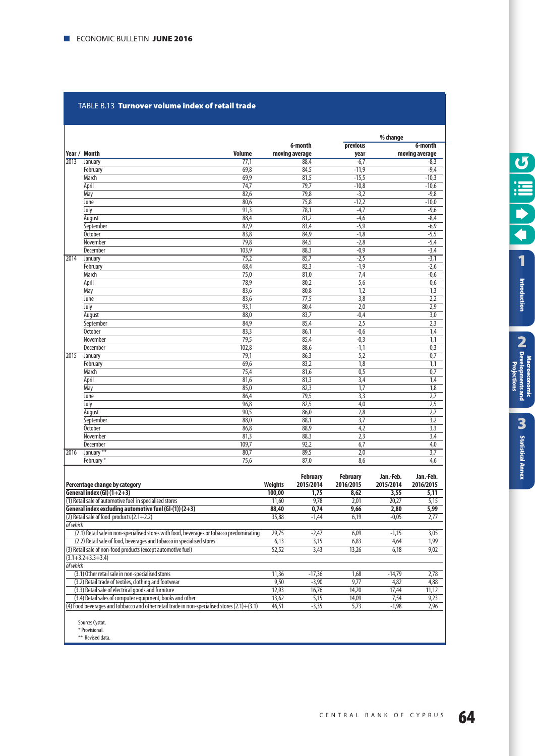#### TABLE Β.13 **Turnover volume index of retail trade**

|      |                 |               |                |                  | % change         |  |
|------|-----------------|---------------|----------------|------------------|------------------|--|
|      |                 |               | 6-month        | previous         | 6-month          |  |
|      | Year / Month    | <b>Volume</b> | moving average | year             | moving average   |  |
| 2013 | January         | 77,1          | 88,4           | $-6,7$           | $-8,3$           |  |
|      | February        | 69,8          | 84,5           | $-11,9$          | $-9,4$           |  |
|      | March           | 69,9          | 81,5           | $-15,5$          | $-10,3$          |  |
|      | April           | 74,7          | 79,7           | $-10,8$          | $-10,6$          |  |
|      | May             | 82,6          | 79,8           | $-3,2$           | $-9,8$           |  |
|      | June            | 80,6          | 75,8           | $-12,2$          | $-10,0$          |  |
|      | July            | 91,3          | 78,1           | $-4,7$           | $-9,6$           |  |
|      | August          | 88,4          | 81,2           | $-4,6$           | $-8,4$           |  |
|      | September       | 82,9          | 83,4           | $-5,9$           | $-6,9$           |  |
|      | <b>October</b>  | 83,8          | 84,9           | $-1,8$           | $-5,5$           |  |
|      | November        | 79,8          | 84,5           | $-2,8$           | $-5,4$           |  |
|      | <b>December</b> | 103,9         | 88,3           | $-0,9$           | $-3,4$           |  |
| 2014 | January         | 75,2          | 85,7           | $-2,5$           | $-3,1$           |  |
|      | February        | 68,4          | 82,3           | $-1,9$           | $-2,6$           |  |
|      | <b>March</b>    | 75,0          | 81,0           | 7,4              | $-0,6$           |  |
|      | April           | 78,9          | 80,2           | $\overline{5,6}$ | 0,6              |  |
|      | May             | 83,6          | 80,8           | 1,2              | 1,3              |  |
|      | June            | 83,6          | 77,5           | $\overline{3,8}$ | 2,2              |  |
|      | July            | 93,1          | 80,4           | 2,0              | $\overline{2,9}$ |  |
|      | August          | 88,0          | 83,7           | $-0,4$           | $\overline{3,0}$ |  |
|      | September       | 84,9          | 85,4           | $\overline{2,5}$ | $\overline{2,3}$ |  |
|      | <b>October</b>  | 83,3          | 86,1           | $-0,6$           | 1,4              |  |
|      | November        | 79,5          | 85,4           | $-0,3$           | $\overline{1,1}$ |  |
|      | December        | 102,8         | 88,6           | $-1,1$           | 0,3              |  |
| 2015 | January         | 79,1          | 86,3           | 5,2              | 0,7              |  |
|      | February        | 69,6          | 83,2           | $\overline{1,8}$ | $\overline{1,1}$ |  |
|      | March           | 75,4          | 81,6           | 0,5              | 0,7              |  |
|      | April           | 81,6          | 81,3           | 3,4              | 1,4              |  |
|      | May             | 85,0          | 82,3           | $\overline{1,7}$ | $\overline{1,8}$ |  |
|      | June            | 86,4          | 79,5           | 3,3              | 2,7              |  |
|      | July            | 96,8          | 82,5           | 4,0              | $\overline{2,5}$ |  |
|      | August          | 90,5          | 86,0           | 2,8              | 2,7              |  |
|      | September       | 88,0          | 88,1           | 3,7              | $\overline{3,2}$ |  |
|      | <b>October</b>  | 86,8          | 88,9           | 4,2              | $\overline{3,3}$ |  |
|      | November        | 81,3          | 88,3           | 2,3              | 3,4              |  |
|      | December        | 109,7         | 92,2           | 6,7              | 4,0              |  |
| 2016 | January **      | 80,7          | 89,5           | 2,0              | 3,7              |  |
|      | February*       | 75,6          | 87,0           | 8,6              | 4,6              |  |

|                                                                                                  |                | <b>February</b> | February  | Jan.-Feb. | Jan.-Feb. |
|--------------------------------------------------------------------------------------------------|----------------|-----------------|-----------|-----------|-----------|
| Percentage change by category                                                                    | <b>Weights</b> | 2015/2014       | 2016/2015 | 2015/2014 | 2016/2015 |
| General index $(GI)(1+2+3)$                                                                      | 100,00         | 1,75            | 8,62      | 3,55      | 5,11      |
| (1) Retail sale of automotive fuel in specialised stores                                         | 11,60          | 9,78            | 2,01      | 20,27     | 5,15      |
| General index excluding automotive fuel (GI- $(1)$ ) (2+3)                                       | 88,40          | 0,74            | 9,66      | 2,80      | 5,99      |
| $(2)$ Retail sale of food products $(2.1+2.2)$                                                   | 35,88          | $-1,44$         | 6,19      | $-0,05$   | 2,77      |
| of which                                                                                         |                |                 |           |           |           |
| (2.1) Retail sale in non-specialised stores with food, beverages or tobacco predominating        | 29,75          | $-2,47$         | 6,09      | $-1,15$   | 3,05      |
| (2.2) Retail sale of food, beverages and tobacco in specialised stores                           | 6,13           | 3,15            | 6,83      | 4,64      | 1,99      |
| (3) Retail sale of non-food products (except automotive fuel)                                    | 52,52          | 3,43            | 13,26     | 6,18      | 9,02      |
| $(3.1 + 3.2 + 3.3 + 3.4)$                                                                        |                |                 |           |           |           |
| of which                                                                                         |                |                 |           |           |           |
| (3.1) Other retail sale in non-specialised stores                                                | 11,36          | $-17,36$        | 1,68      | $-14,79$  | 2,78      |
| (3.2) Retail trade of textiles, clothing and footwear                                            | 9,50           | $-3,90$         | 9,77      | 4,82      | 4,88      |
| (3.3) Retail sale of electrical goods and furniture                                              | 12,93          | 16,76           | 14,20     | 17,44     | 11,12     |
| (3.4) Retail sales of computer equipment, books and other                                        | 13,62          | 5,15            | 14,09     | 7,54      | 9,23      |
| (4) Food beverages and tobbacco and other retail trade in non-specialised stores $(2.1) + (3.1)$ | 46,51          | $-3,35$         | 5,73      | $-1,98$   | 2,96      |
|                                                                                                  |                |                 |           |           |           |
| Source: Cystat.                                                                                  |                |                 |           |           |           |
| * Provisional.                                                                                   |                |                 |           |           |           |

\*\* Revised data.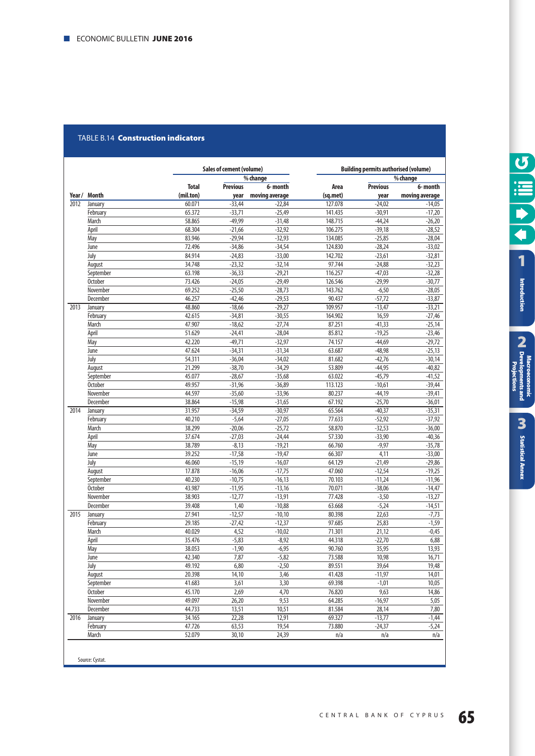#### TABLE B.14 **Construction indicators**

|        |                |              | Sales of cement (volume) |                |          | <b>Building permits authorised (volume)</b> |                |  |  |
|--------|----------------|--------------|--------------------------|----------------|----------|---------------------------------------------|----------------|--|--|
|        |                |              |                          | % change       |          |                                             | % change       |  |  |
|        |                | <b>Total</b> | <b>Previous</b>          | 6- month       | Area     | <b>Previous</b>                             | 6-month        |  |  |
| Year / | <b>Month</b>   | (mil.ton)    | year                     | moving average | (sq.met) | year                                        | moving average |  |  |
| 2012   | January        | 60.071       | $-33,44$                 | $-22,84$       | 127.078  | $-24,02$                                    | $-14,05$       |  |  |
|        | February       | 65.372       | $-33,71$                 | $-25,49$       | 141.435  | $-30,91$                                    | $-17,20$       |  |  |
|        | March          | 58.865       | $-49,99$                 | $-31,48$       | 148.715  | $-44,24$                                    | $-26,20$       |  |  |
|        | April          | 68.304       | $-21,66$                 | $-32,92$       | 106.275  | $-39,18$                                    | $-28,52$       |  |  |
|        | May            | 83.946       | $-29,94$                 | $-32,93$       | 134.085  | $-25,85$                                    | $-28,04$       |  |  |
|        | June           | 72.496       | $-34,86$                 | $-34,54$       | 124.830  | $-28,24$                                    | $-33,02$       |  |  |
|        | July           | 84.914       | $-24,83$                 | $-33,00$       | 142.702  | $-23,61$                                    | $-32,81$       |  |  |
|        | August         | 34.748       | $-23,32$                 | $-32,14$       | 97.744   | $-24,88$                                    | $-32,23$       |  |  |
|        | September      | 63.198       | $-36,33$                 | $-29,21$       | 116.257  | $-47,03$                                    | $-32,28$       |  |  |
|        | <b>October</b> | 73.426       | $-24,05$                 | $-29,49$       | 126.546  | $-29,99$                                    | $-30,77$       |  |  |
|        | November       | 69.252       | $-25,50$                 | $-28,73$       | 143.762  | $-6,50$                                     | $-28,05$       |  |  |
|        | December       | 46.257       | $-42,46$                 | $-29,53$       | 90.437   | $-57,72$                                    | $-33,87$       |  |  |
| 2013   | January        | 48.860       | $-18,66$                 | $-29,27$       | 109.957  | $-13,47$                                    | $-33,21$       |  |  |
|        | February       | 42.615       | $-34,81$                 | $-30,55$       | 164.902  | 16,59                                       | $-27,46$       |  |  |
|        | March          | 47.907       | $-18,62$                 | $-27,74$       | 87.251   | $-41,33$                                    | $-25,14$       |  |  |
|        | April          | 51.629       | $-24,41$                 | $-28,04$       | 85.812   | $-19,25$                                    | $-23,46$       |  |  |
|        | May            | 42.220       | $-49,71$                 | $-32,97$       | 74.157   | $-44,69$                                    | $-29,72$       |  |  |
|        | June           | 47.624       | $-34,31$                 | $-31,34$       | 63.687   | $-48,98$                                    | $-25,13$       |  |  |
|        | July           | 54.311       | $-36,04$                 | $-34,02$       | 81.682   | $-42,76$                                    | $-30,14$       |  |  |
|        | August         | 21.299       | $-38,70$                 | $-34,29$       | 53.809   | $-44,95$                                    | $-40,82$       |  |  |
|        | September      | 45.077       | $-28,67$                 | $-35,68$       | 63.022   | $-45,79$                                    | $-41,52$       |  |  |
|        | <b>October</b> | 49.957       | $-31,96$                 | $-36,89$       | 113.123  | $-10,61$                                    | $-39,44$       |  |  |
|        | November       | 44.597       | $-35,60$                 | $-33,96$       | 80.237   | $-44,19$                                    | $-39,41$       |  |  |
|        | December       | 38.864       | $-15,98$                 | $-31,65$       | 67.192   | $-25,70$                                    | $-36,01$       |  |  |
| 2014   | January        | 31.957       | $-34,59$                 | $-30,97$       | 65.564   | $-40,37$                                    | $-35,31$       |  |  |
|        | February       | 40.210       | $-5,64$                  | $-27,05$       | 77.633   | $-52,92$                                    | $-37,92$       |  |  |
|        | March          | 38.299       | $-20,06$                 | $-25,72$       | 58.870   | $-32,53$                                    | $-36,00$       |  |  |
|        | April          | 37.674       | $-27,03$                 | $-24,44$       | 57.330   | $-33,90$                                    | $-40,36$       |  |  |
|        | May            | 38.789       | $-8,13$                  | $-19,21$       | 66.760   | $-9,97$                                     | $-35,78$       |  |  |
|        | June           | 39.252       | $-17,58$                 | $-19,47$       | 66.307   | 4,11                                        | $-33,00$       |  |  |
|        | July           | 46.060       | $-15,19$                 | $-16,07$       | 64.129   | $-21,49$                                    | $-29,86$       |  |  |
|        | August         | 17.878       | $-16,06$                 | $-17,75$       | 47.060   | $-12,54$                                    | $-19,25$       |  |  |
|        | September      | 40.230       | $-10,75$                 | $-16,13$       | 70.103   | $-11,24$                                    | $-11,96$       |  |  |
|        | <b>October</b> | 43.987       | $-11,95$                 | $-13,16$       | 70.071   | $-38,06$                                    | $-14,47$       |  |  |
|        | November       | 38.903       | $-12,77$                 | $-13,91$       | 77.428   | $-3,50$                                     | $-13,27$       |  |  |
|        | December       | 39.408       | 1,40                     | $-10,88$       | 63.668   | $-5,24$                                     | $-14,51$       |  |  |
| 2015   | January        | 27.941       | $-12,57$                 | $-10,10$       | 80.398   | 22,63                                       | $-7,73$        |  |  |
|        | February       | 29.185       | $-27,42$                 | $-12,37$       | 97.685   | 25,83                                       | $-1,59$        |  |  |
|        | March          | 40.029       | 4,52                     | $-10,02$       | 71.301   | 21,12                                       | $-0,45$        |  |  |
|        | April          | 35.476       | $-5,83$                  | $-8,92$        | 44.318   | $-22,70$                                    | 6,88           |  |  |
|        | May            | 38.053       | $-1,90$                  | $-6,95$        | 90.760   | 35,95                                       | 13,93          |  |  |
|        | June           | 42.340       | 7.87                     | $-5,82$        | 73.588   | 10,98                                       | 16,71          |  |  |
|        | July           | 49.192       | 6,80                     | $-2,50$        | 89.551   | 39,64                                       | 19,48          |  |  |
|        | August         | 20.398       | 14,10                    | 3,46           | 41.428   | $-11,97$                                    | 14,01          |  |  |
|        | September      | 41.683       | 3,61                     | 3,30           | 69.398   | $-1,01$                                     | 10,05          |  |  |
|        | <b>October</b> | 45.170       | 2,69                     | 4,70           | 76.820   | 9,63                                        | 14,86          |  |  |
|        | November       | 49.097       | 26,20                    | 9,53           | 64.285   | $-16,97$                                    | 5,05           |  |  |
|        | December       | 44.733       | 13,51                    | 10,51          | 81.584   | 28,14                                       | 7,80           |  |  |
| 2016   | January        | 34.165       | 22,28                    | 12,91          | 69.327   | $-13,77$                                    | $-1,44$        |  |  |
|        | February       | 47.726       | 63,53                    | 19,54          | 73.880   | $-24,37$                                    | $-5,24$        |  |  |
|        | March          | 52.079       | 30,10                    | 24,39          | n/a      | n/a                                         | n/a            |  |  |
|        |                |              |                          |                |          |                                             |                |  |  |

Source: Cystat.

**Cilil Co**  $\blacktriangleright$  $\overline{\blacklozenge}$ **[1](#page-7-0)** Introduction

**[Statistical Annex](#page-52-0)**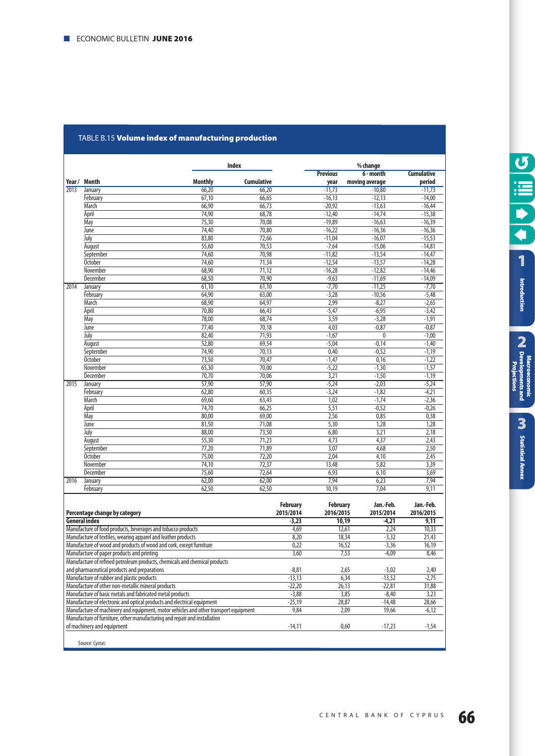#### TABLE Β.15 **volume index of manufacturing production**

|                                                                     |                                                                                                         | <b>Index</b>      |                 |                      | % change             |                      |  |
|---------------------------------------------------------------------|---------------------------------------------------------------------------------------------------------|-------------------|-----------------|----------------------|----------------------|----------------------|--|
|                                                                     |                                                                                                         |                   |                 | <b>Previous</b>      | 6 - month            | <b>Cumulative</b>    |  |
|                                                                     | Year/ Month<br><b>Monthly</b>                                                                           | <b>Cumulative</b> |                 | year                 | moving average       | period               |  |
| 2013                                                                | 66,20<br>January                                                                                        | 66,20             |                 | $-11,73$             | $-10,80$             | $-11,73$             |  |
|                                                                     | February<br>67,10                                                                                       | 66,65             |                 | $-16,13$             | $-12,13$             | $-14,00$             |  |
|                                                                     | March<br>66,90                                                                                          | 66,73             |                 | $-20,92$             | $-13,63$             | $-16,44$             |  |
|                                                                     | 74,90<br>April                                                                                          | 68,78             |                 | $-12,40$             | $-14,74$             | $-15,38$             |  |
|                                                                     | 75,30<br>May<br>June<br>74,40                                                                           | 70,08<br>70,80    |                 | $-19,89$             | $-16,63$<br>$-16,36$ | $-16,39$<br>$-16,36$ |  |
|                                                                     | July<br>83,80                                                                                           | 72,66             |                 | $-16,22$<br>$-11,04$ | $-16,07$             | $-15,53$             |  |
|                                                                     | 55,60<br>August                                                                                         | 70,53             |                 | $-7,64$              | $-15,06$             | $-14,81$             |  |
|                                                                     | 74,60<br>September                                                                                      | 70,98             |                 | $-11,82$             | $-13,54$             | $-14,47$             |  |
|                                                                     | <b>October</b><br>74,60                                                                                 | 71,34             |                 | $-12,54$             | $-13,57$             | $-14,28$             |  |
|                                                                     | November<br>68,90                                                                                       | 71,12             |                 | $-16,28$             | $-12,82$             | $-14,46$             |  |
|                                                                     | December<br>68,50                                                                                       | 70,90             |                 | $-9,63$              | $-11,69$             | $-14,09$             |  |
| 2014                                                                | 61,10<br>January                                                                                        | 61,10             |                 | $-7,70$              | $-11,25$             | $-7,70$              |  |
|                                                                     | February<br>64,90                                                                                       | 63,00             |                 | $-3,28$              | $-10,56$             | $-5,48$              |  |
|                                                                     | 68,90<br>March                                                                                          | 64,97             |                 | 2,99                 | $-8,27$              | $-2,65$              |  |
|                                                                     | April<br>70,80                                                                                          | 66,43             |                 | $-5,47$              | $-6,95$              | $-3,42$              |  |
|                                                                     | 78,00<br>May                                                                                            | 68,74             |                 | 3,59                 | $-3,28$              | $-1,91$              |  |
|                                                                     | June<br>77,40                                                                                           | 70,18             |                 | 4,03                 | $-0,87$              | $-0,87$              |  |
|                                                                     | July<br>82,40                                                                                           | 71,93             |                 | $-1,67$              | 0                    | $-1,00$              |  |
|                                                                     | August<br>52,80                                                                                         | 69,54             |                 | $-5,04$              | $-0,14$              | $-1,40$              |  |
|                                                                     | 74,90<br>September                                                                                      | 70,13             |                 | 0,40                 | $-0,52$              | $-1,19$              |  |
|                                                                     | <b>October</b><br>73,50<br>65,30<br>November                                                            |                   | 70,47           | $-1,47$              | 0,16                 | $-1,22$              |  |
|                                                                     |                                                                                                         |                   | 70,00           | $-5,22$              | $-1,30$              | $-1,57$              |  |
|                                                                     | December<br>70,70                                                                                       | 70,06             |                 | 3,21                 | $-1,50$              | $-1,19$              |  |
| 2015                                                                | 57,90<br>January                                                                                        | 57,90             |                 | $-5,24$              | $-2,03$              | $-5,24$              |  |
|                                                                     | February<br>62,80                                                                                       | 60,35             |                 | $-3,24$              | $-1,82$              | $-4,21$              |  |
|                                                                     | 69,60<br>March                                                                                          | 63,43             |                 | 1,02                 | $-1,74$              | $-2,36$              |  |
|                                                                     | April<br>74,70                                                                                          | 66,25             |                 | 5,51                 | $-0,52$              | $-0,26$              |  |
|                                                                     | 80,00<br>May                                                                                            | 69,00             |                 | 2,56                 | 0,85                 | 0,38                 |  |
|                                                                     | June<br>81,50                                                                                           | 71,08             |                 | 5,30                 | 1,28                 | 1,28                 |  |
|                                                                     | July<br>88,00                                                                                           | 73,50             |                 | 6,80                 | 3,21                 | 2,18                 |  |
|                                                                     | August<br>55,30                                                                                         | 71,23             |                 | 4,73                 | 4,37                 | 2,43                 |  |
|                                                                     | 77,20<br>September                                                                                      | 71,89             |                 | 3,07                 | 4,68                 | 2,50                 |  |
|                                                                     | <b>October</b><br>75,00                                                                                 | 72,20             |                 | 2,04                 | 4,10                 | 2,45                 |  |
|                                                                     | 74,10<br>November                                                                                       | 72,37             |                 | 13,48                | 5,82                 | 3,39                 |  |
|                                                                     | December<br>75,60                                                                                       | 72,64             |                 | 6,93                 | 6,10                 | 3,69                 |  |
| 2016                                                                | 62,00<br>January                                                                                        | 62,00             |                 | 7,94                 | 6,23                 | 7,94                 |  |
|                                                                     | February<br>62,50                                                                                       | 62,50             |                 | 10,19                | 7,04                 | 9,11                 |  |
|                                                                     |                                                                                                         |                   |                 |                      |                      |                      |  |
|                                                                     |                                                                                                         |                   | <b>February</b> | <b>February</b>      | Jan.-Feb.            | Jan.-Feb.            |  |
|                                                                     | Percentage change by category                                                                           |                   | 2015/2014       | 2016/2015            | 2015/2014            | 2016/2015            |  |
|                                                                     | <b>General index</b>                                                                                    |                   | $-3,23$         |                      | 10,19<br>$-4,21$     | 9,11                 |  |
|                                                                     | Manufacture of food products, beverages and tobacco products                                            |                   | 4,69            |                      | 12,61<br>2,24        | 10,33                |  |
|                                                                     | Manufacture of textiles, wearing apparel and leather products                                           |                   | 8,20            |                      | 18,34<br>$-3,32$     | 21,43                |  |
| Manufacture of wood and products of wood and cork, except furniture |                                                                                                         |                   | 0,22            |                      | 16,52<br>$-3,36$     | 16,19                |  |
|                                                                     | Manufacture of paper products and printing                                                              |                   | 3,60            |                      | 7,53<br>$-4,09$      | 8,46                 |  |
|                                                                     | Manufacture of refined petroleum products, chemicals and chemical products                              |                   |                 |                      |                      |                      |  |
|                                                                     | and pharmaceutical products and preparations                                                            |                   | $-8,81$         |                      | $-3,02$<br>2,65      | 2,40                 |  |
|                                                                     | Manufacture of rubber and plastic products                                                              |                   | $-13,13$        |                      | 6,34<br>$-13,52$     | $-2,75$              |  |
|                                                                     | Manufacture of other non-metallic mineral products                                                      |                   | $-22,20$        |                      | 26,13<br>$-22,81$    | 31,88                |  |
|                                                                     | Manufacture of basic metals and fabricated metal products                                               |                   | $-3,88$         |                      | 3,85<br>$-8,40$      | 3,23                 |  |
|                                                                     | Manufacture of electronic and optical products and electrical equipment                                 |                   | $-25,19$        |                      | 28,87<br>$-14,48$    | 28,66                |  |
|                                                                     | Manufacture of machinery and equipment, motor vehicles and other transport equipment                    |                   | 9,84            |                      | 2,09<br>19,66        | $-6,12$              |  |
|                                                                     | Manufacture of furniture, other manufacturing and repair and installation<br>of machinery and equipment |                   | $-14,11$        |                      | 0,60<br>$-17,23$     | $-1,54$              |  |
|                                                                     |                                                                                                         |                   |                 |                      |                      |                      |  |

Source: Cystat.

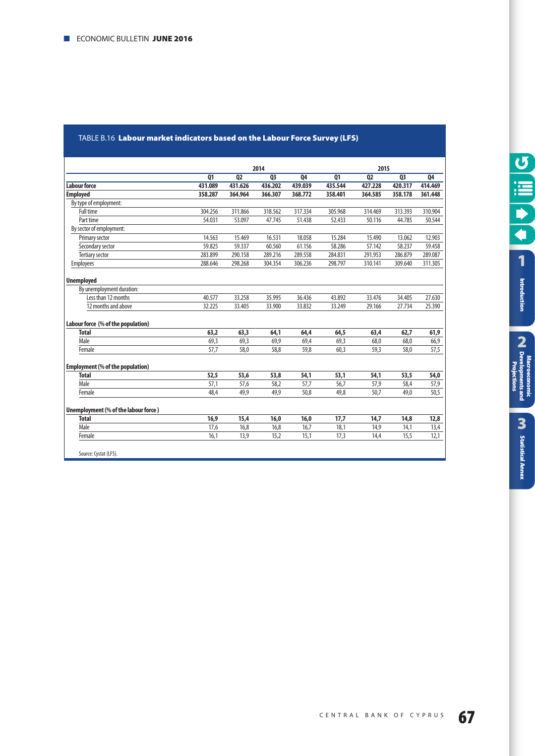#### <span id="page-66-0"></span>TABLE Β.16 **Labour market indicators based on the Labour Force Survey (LFS)**

|                                         |         | 2014           |         |         |         | 2015           |         |         |  |
|-----------------------------------------|---------|----------------|---------|---------|---------|----------------|---------|---------|--|
|                                         | Q1      | Q <sub>2</sub> | Q3      | Q4      | Q1      | Q <sub>2</sub> | Q3      | Q4      |  |
| Labour force                            | 431.089 | 431.626        | 436.202 | 439.039 | 435.544 | 427.228        | 420.317 | 414.469 |  |
| <b>Employed</b>                         | 358.287 | 364.964        | 366.307 | 368.772 | 358.401 | 364.585        | 358.178 | 361.448 |  |
| By type of employment:                  |         |                |         |         |         |                |         |         |  |
| Full time                               | 304.256 | 311.866        | 318.562 | 317.334 | 305.968 | 314.469        | 313.393 | 310.904 |  |
| Part time                               | 54.031  | 53.097         | 47.745  | 51.438  | 52.433  | 50.116         | 44.785  | 50.544  |  |
| By sector of employment:                |         |                |         |         |         |                |         |         |  |
| Primary sector                          | 14.563  | 15.469         | 16.531  | 18.058  | 15.284  | 15.490         | 13.062  | 12.903  |  |
| Secondary sector                        | 59.825  | 59.337         | 60.560  | 61.156  | 58.286  | 57.142         | 58.237  | 59.458  |  |
| <b>Tertiary sector</b>                  | 283.899 | 290.158        | 289.216 | 289.558 | 284.831 | 291.953        | 286.879 | 289.087 |  |
| <b>Employees</b>                        | 288.646 | 298.268        | 304.354 | 306.236 | 298.797 | 310.141        | 309.640 | 311.305 |  |
| <b>Unemployed</b>                       |         |                |         |         |         |                |         |         |  |
| By unemployment duration:               |         |                |         |         |         |                |         |         |  |
| Less than 12 months                     | 40.577  | 33.258         | 35.995  | 36.436  | 43.892  | 33.476         | 34.405  | 27.630  |  |
| 12 months and above                     | 32.225  | 33.405         | 33.900  | 33.832  | 33.249  | 29.166         | 27.734  | 25.390  |  |
| Labour force (% of the population)      |         |                |         |         |         |                |         |         |  |
| <b>Total</b>                            | 63.2    | 63,3           | 64,1    | 64.4    | 64,5    | 63,4           | 62.7    | 61,9    |  |
| Male                                    | 69,3    | 69,3           | 69,9    | 69,4    | 69,3    | 68.0           | 68.0    | 66,9    |  |
| Female                                  | 57,7    | 58,0           | 58,8    | 59,8    | 60,3    | 59,3           | 58,0    | 57,5    |  |
| <b>Employment (% of the population)</b> |         |                |         |         |         |                |         |         |  |
| <b>Total</b>                            | 52,5    | 53.6           | 53,8    | 54,1    | 53.1    | 54,1           | 53.5    | 54,0    |  |
| Male                                    | 57,1    | 57,6           | 58,2    | 57,7    | 56.7    | 57,9           | 58,4    | 57,9    |  |
| Female                                  | 48,4    | 49,9           | 49.9    | 50,8    | 49,8    | 50,7           | 49,0    | 50,5    |  |
| Unemployment (% of the labour force)    |         |                |         |         |         |                |         |         |  |
| <b>Total</b>                            | 16,9    | 15,4           | 16,0    | 16,0    | 17,7    | 14,7           |         |         |  |
| Male                                    | 17,6    | 16,8           | 16,8    | 16,7    | 18,1    | 14,9           | 14,8    | 12,8    |  |
|                                         |         |                |         |         |         |                | 14,1    | 13,4    |  |
| Female                                  | 16,1    | 13,9           | 15,2    | 15,1    | 17,3    | 14,4           | 15,5    | 12,1    |  |
| Source: Cystat (LFS).                   |         |                |         |         |         |                |         |         |  |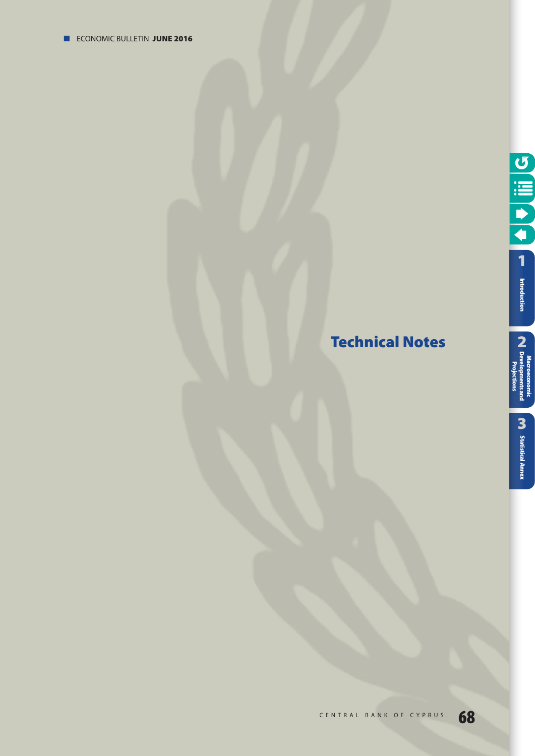# <span id="page-67-0"></span>**Technical Notes**



**[1](#page-7-0)** 

O III O

Macroeconomic<br>Pevelopments and<br>Proiections **Introduction**<br> **CA** Developments and<br>
CA Developments and

Projections

**[Statistical Annex](#page-52-0)**

**M** Statistical Annex

**Macroeconomic [Developments and](#page-9-0) Projections**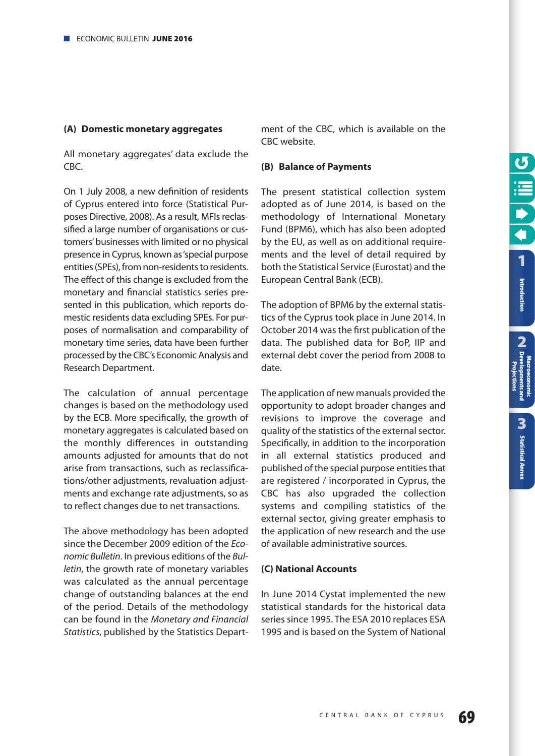**2**<br>**Pang**<br>**2** 

tsand

**[Statistical Annex](#page-52-0)**

**M** Statistical Annex

**Macroeconomic [Developments and](#page-9-0) Projections**

#### **(A) Domestic monetary aggregates**

All monetary aggregates' data exclude the CBC.

On 1 July 2008, a new definition of residents of Cyprus entered into force (Statistical Purposes Directive, 2008). As a result, MFIs reclassified a large number of organisations or customers' businesses with limited or no physical presence in Cyprus, known as 'special purpose entities (SPEs), from non-residents to residents. The effect of this change is excluded from the monetary and financial statistics series presented in this publication, which reports domestic residents data excluding SPEs. For purposes of normalisation and comparability of monetary time series, data have been further processed by the CBC's Economic Analysis and Research Department.

The calculation of annual percentage changes is based on the methodology used by the ECB. More specifically, the growth of monetary aggregates is calculated based on the monthly differences in outstanding amounts adjusted for amounts that do not arise from transactions, such as reclassifications/other adjustments, revaluation adjustments and exchange rate adjustments, so as to reflect changes due to net transactions.

The above methodology has been adopted since the December 2009 edition of the *Economic Bulletin*. In previous editions of the *Bulletin*, the growth rate of monetary variables was calculated as the annual percentage change of outstanding balances at the end of the period. Details of the methodology can be found in the *Monetary and Financial Statistics*, published by the Statistics Depart-

ment of the CBC, which is available on the CBC website.

#### **(B) Balance of Payments**

The present statistical collection system adopted as of June 2014, is based on the methodology of International Monetary Fund (BPM6), which has also been adopted by the EU, as well as on additional requirements and the level of detail required by both the Statistical Service (Eurostat) and the European Central Bank (ECB).

The adoption of BPM6 by the external statistics of the Cyprus took place in June 2014. In October 2014 was the first publication of the data. The published data for BoP, IIP and external debt cover the period from 2008 to date.

The application of new manuals provided the opportunity to adopt broader changes and revisions to improve the coverage and quality of the statistics of the external sector. Specifically, in addition to the incorporation in all external statistics produced and published of the special purpose entities that are registered / incorporated in Cyprus, the CBC has also upgraded the collection systems and compiling statistics of the external sector, giving greater emphasis to the application of new research and the use of available administrative sources.

#### **(C) National Accounts**

In June 2014 Cystat implemented the new statistical standards for the historical data series since 1995. The ESA 2010 replaces ESA 1995 and is based on the System of National